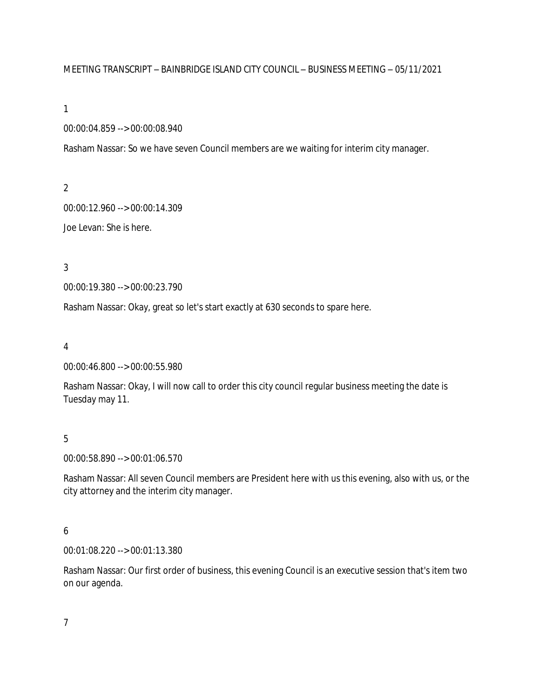## MEETING TRANSCRIPT – BAINBRIDGE ISLAND CITY COUNCIL – BUSINESS MEETING – 05/11/2021

#### 1

## 00:00:04.859 --> 00:00:08.940

Rasham Nassar: So we have seven Council members are we waiting for interim city manager.

2

00:00:12.960 --> 00:00:14.309

Joe Levan: She is here.

3

00:00:19.380 --> 00:00:23.790

Rasham Nassar: Okay, great so let's start exactly at 630 seconds to spare here.

4

00:00:46.800 --> 00:00:55.980

Rasham Nassar: Okay, I will now call to order this city council regular business meeting the date is Tuesday may 11.

5

00:00:58.890 --> 00:01:06.570

Rasham Nassar: All seven Council members are President here with us this evening, also with us, or the city attorney and the interim city manager.

# 6

00:01:08.220 --> 00:01:13.380

Rasham Nassar: Our first order of business, this evening Council is an executive session that's item two on our agenda.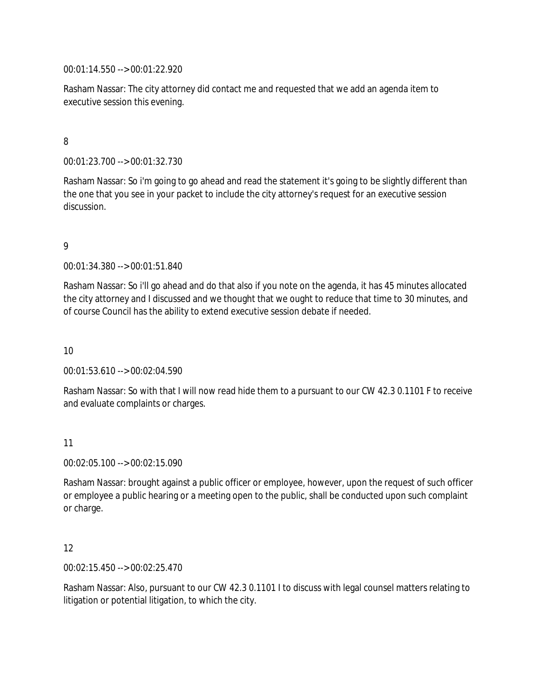00:01:14.550 --> 00:01:22.920

Rasham Nassar: The city attorney did contact me and requested that we add an agenda item to executive session this evening.

# 8

00:01:23.700 --> 00:01:32.730

Rasham Nassar: So i'm going to go ahead and read the statement it's going to be slightly different than the one that you see in your packet to include the city attorney's request for an executive session discussion.

## 9

00:01:34.380 --> 00:01:51.840

Rasham Nassar: So i'll go ahead and do that also if you note on the agenda, it has 45 minutes allocated the city attorney and I discussed and we thought that we ought to reduce that time to 30 minutes, and of course Council has the ability to extend executive session debate if needed.

10

00:01:53.610 --> 00:02:04.590

Rasham Nassar: So with that I will now read hide them to a pursuant to our CW 42.3 0.1101 F to receive and evaluate complaints or charges.

### 11

00:02:05.100 --> 00:02:15.090

Rasham Nassar: brought against a public officer or employee, however, upon the request of such officer or employee a public hearing or a meeting open to the public, shall be conducted upon such complaint or charge.

### 12

00:02:15.450 --> 00:02:25.470

Rasham Nassar: Also, pursuant to our CW 42.3 0.1101 I to discuss with legal counsel matters relating to litigation or potential litigation, to which the city.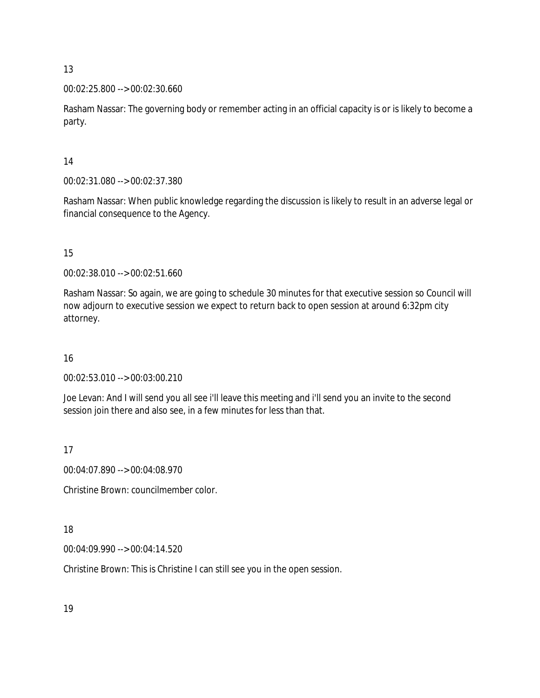13

00:02:25.800 --> 00:02:30.660

Rasham Nassar: The governing body or remember acting in an official capacity is or is likely to become a party.

14

00:02:31.080 --> 00:02:37.380

Rasham Nassar: When public knowledge regarding the discussion is likely to result in an adverse legal or financial consequence to the Agency.

15

00:02:38.010 --> 00:02:51.660

Rasham Nassar: So again, we are going to schedule 30 minutes for that executive session so Council will now adjourn to executive session we expect to return back to open session at around 6:32pm city attorney.

16

00:02:53.010 --> 00:03:00.210

Joe Levan: And I will send you all see i'll leave this meeting and i'll send you an invite to the second session join there and also see, in a few minutes for less than that.

17

00:04:07.890 --> 00:04:08.970

Christine Brown: councilmember color.

18

00:04:09.990 --> 00:04:14.520

Christine Brown: This is Christine I can still see you in the open session.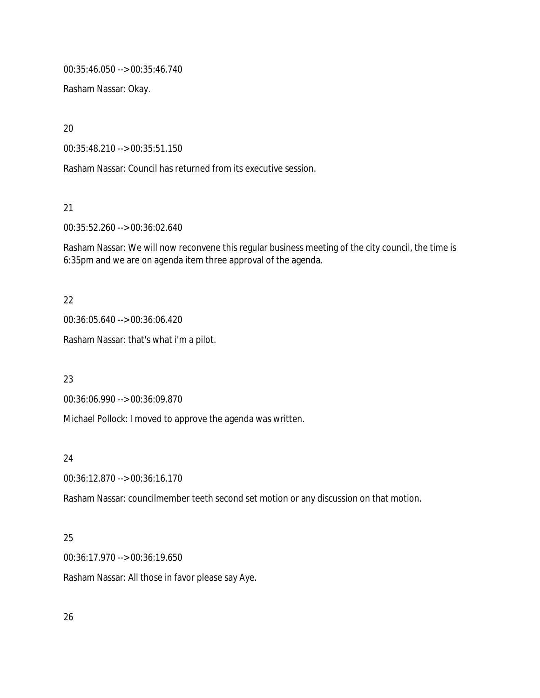00:35:46.050 --> 00:35:46.740

Rasham Nassar: Okay.

20

00:35:48.210 --> 00:35:51.150

Rasham Nassar: Council has returned from its executive session.

21

00:35:52.260 --> 00:36:02.640

Rasham Nassar: We will now reconvene this regular business meeting of the city council, the time is 6:35pm and we are on agenda item three approval of the agenda.

# 22

00:36:05.640 --> 00:36:06.420

Rasham Nassar: that's what i'm a pilot.

23

00:36:06.990 --> 00:36:09.870

Michael Pollock: I moved to approve the agenda was written.

### 24

00:36:12.870 --> 00:36:16.170

Rasham Nassar: councilmember teeth second set motion or any discussion on that motion.

# 25

00:36:17.970 --> 00:36:19.650

Rasham Nassar: All those in favor please say Aye.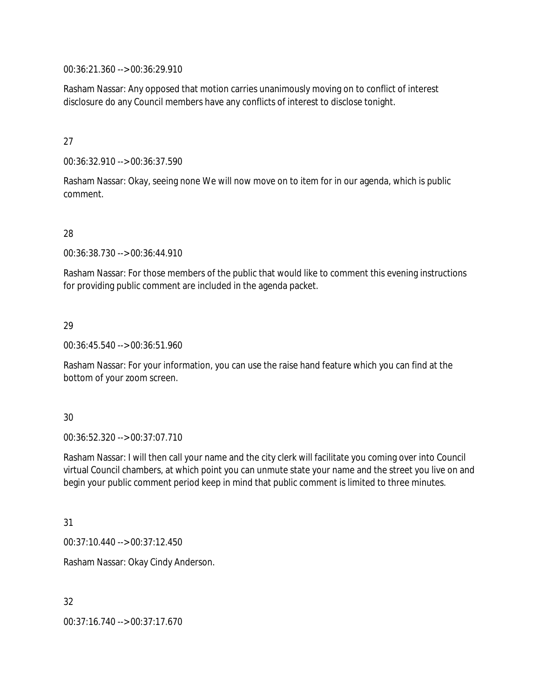00:36:21.360 --> 00:36:29.910

Rasham Nassar: Any opposed that motion carries unanimously moving on to conflict of interest disclosure do any Council members have any conflicts of interest to disclose tonight.

## 27

00:36:32.910 --> 00:36:37.590

Rasham Nassar: Okay, seeing none We will now move on to item for in our agenda, which is public comment.

# 28

00:36:38.730 --> 00:36:44.910

Rasham Nassar: For those members of the public that would like to comment this evening instructions for providing public comment are included in the agenda packet.

# 29

00:36:45.540 --> 00:36:51.960

Rasham Nassar: For your information, you can use the raise hand feature which you can find at the bottom of your zoom screen.

# 30

00:36:52.320 --> 00:37:07.710

Rasham Nassar: I will then call your name and the city clerk will facilitate you coming over into Council virtual Council chambers, at which point you can unmute state your name and the street you live on and begin your public comment period keep in mind that public comment is limited to three minutes.

# 31

00:37:10.440 --> 00:37:12.450

Rasham Nassar: Okay Cindy Anderson.

# 32

00:37:16.740 --> 00:37:17.670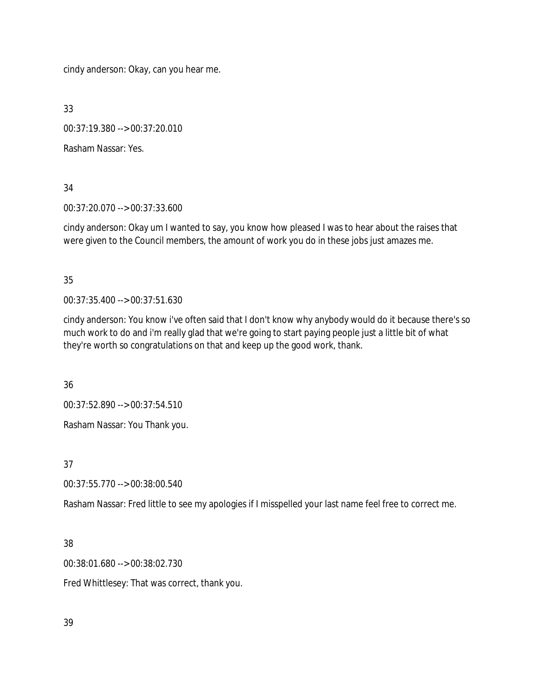cindy anderson: Okay, can you hear me.

33

00:37:19.380 --> 00:37:20.010

Rasham Nassar: Yes.

## 34

00:37:20.070 --> 00:37:33.600

cindy anderson: Okay um I wanted to say, you know how pleased I was to hear about the raises that were given to the Council members, the amount of work you do in these jobs just amazes me.

# 35

00:37:35.400 --> 00:37:51.630

cindy anderson: You know i've often said that I don't know why anybody would do it because there's so much work to do and i'm really glad that we're going to start paying people just a little bit of what they're worth so congratulations on that and keep up the good work, thank.

36

00:37:52.890 --> 00:37:54.510

Rasham Nassar: You Thank you.

37

00:37:55.770 --> 00:38:00.540

Rasham Nassar: Fred little to see my apologies if I misspelled your last name feel free to correct me.

# 38

00:38:01.680 --> 00:38:02.730

Fred Whittlesey: That was correct, thank you.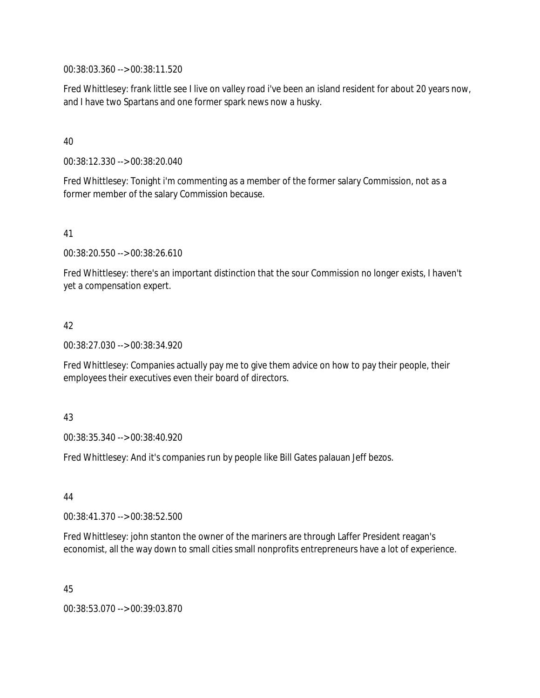00:38:03.360 --> 00:38:11.520

Fred Whittlesey: frank little see I live on valley road i've been an island resident for about 20 years now, and I have two Spartans and one former spark news now a husky.

## 40

00:38:12.330 --> 00:38:20.040

Fred Whittlesey: Tonight i'm commenting as a member of the former salary Commission, not as a former member of the salary Commission because.

## 41

00:38:20.550 --> 00:38:26.610

Fred Whittlesey: there's an important distinction that the sour Commission no longer exists, I haven't yet a compensation expert.

## 42

00:38:27.030 --> 00:38:34.920

Fred Whittlesey: Companies actually pay me to give them advice on how to pay their people, their employees their executives even their board of directors.

### 43

00:38:35.340 --> 00:38:40.920

Fred Whittlesey: And it's companies run by people like Bill Gates palauan Jeff bezos.

44

00:38:41.370 --> 00:38:52.500

Fred Whittlesey: john stanton the owner of the mariners are through Laffer President reagan's economist, all the way down to small cities small nonprofits entrepreneurs have a lot of experience.

45

00:38:53.070 --> 00:39:03.870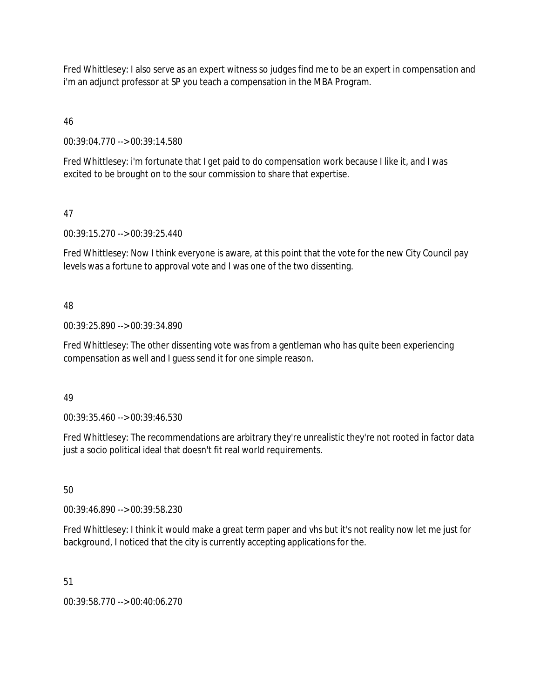Fred Whittlesey: I also serve as an expert witness so judges find me to be an expert in compensation and i'm an adjunct professor at SP you teach a compensation in the MBA Program.

46

00:39:04.770 --> 00:39:14.580

Fred Whittlesey: i'm fortunate that I get paid to do compensation work because I like it, and I was excited to be brought on to the sour commission to share that expertise.

47

00:39:15.270 --> 00:39:25.440

Fred Whittlesey: Now I think everyone is aware, at this point that the vote for the new City Council pay levels was a fortune to approval vote and I was one of the two dissenting.

# 48

00:39:25.890 --> 00:39:34.890

Fred Whittlesey: The other dissenting vote was from a gentleman who has quite been experiencing compensation as well and I guess send it for one simple reason.

# 49

00:39:35.460 --> 00:39:46.530

Fred Whittlesey: The recommendations are arbitrary they're unrealistic they're not rooted in factor data just a socio political ideal that doesn't fit real world requirements.

50

00:39:46.890 --> 00:39:58.230

Fred Whittlesey: I think it would make a great term paper and vhs but it's not reality now let me just for background, I noticed that the city is currently accepting applications for the.

51

00:39:58.770 --> 00:40:06.270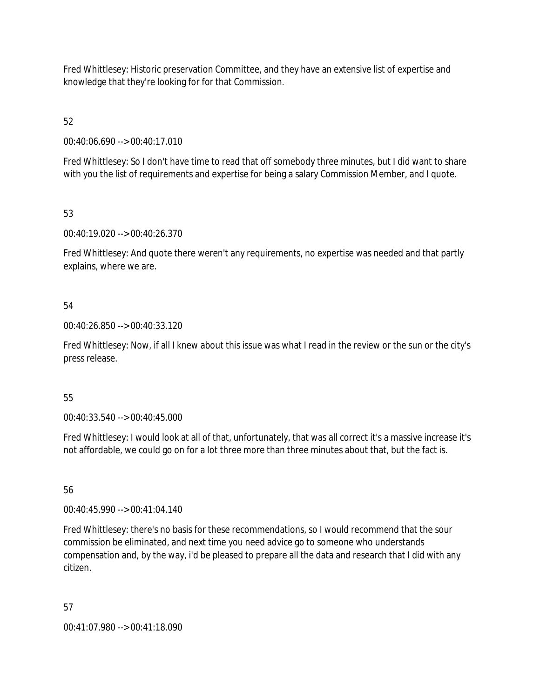Fred Whittlesey: Historic preservation Committee, and they have an extensive list of expertise and knowledge that they're looking for for that Commission.

52

00:40:06.690 --> 00:40:17.010

Fred Whittlesey: So I don't have time to read that off somebody three minutes, but I did want to share with you the list of requirements and expertise for being a salary Commission Member, and I quote.

53

00:40:19.020 --> 00:40:26.370

Fred Whittlesey: And quote there weren't any requirements, no expertise was needed and that partly explains, where we are.

# 54

00:40:26.850 --> 00:40:33.120

Fred Whittlesey: Now, if all I knew about this issue was what I read in the review or the sun or the city's press release.

# 55

00:40:33.540 --> 00:40:45.000

Fred Whittlesey: I would look at all of that, unfortunately, that was all correct it's a massive increase it's not affordable, we could go on for a lot three more than three minutes about that, but the fact is.

56

00:40:45.990 --> 00:41:04.140

Fred Whittlesey: there's no basis for these recommendations, so I would recommend that the sour commission be eliminated, and next time you need advice go to someone who understands compensation and, by the way, i'd be pleased to prepare all the data and research that I did with any citizen.

57

00:41:07.980 --> 00:41:18.090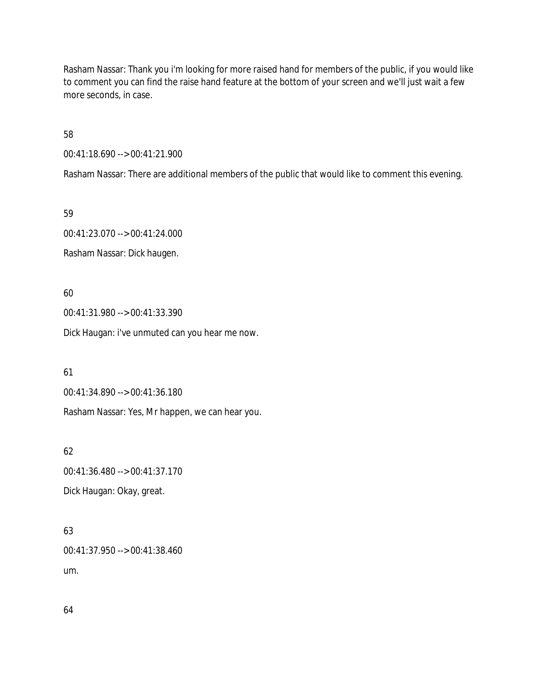Rasham Nassar: Thank you i'm looking for more raised hand for members of the public, if you would like to comment you can find the raise hand feature at the bottom of your screen and we'll just wait a few more seconds, in case.

58

00:41:18.690 --> 00:41:21.900

Rasham Nassar: There are additional members of the public that would like to comment this evening.

59

00:41:23.070 --> 00:41:24.000 Rasham Nassar: Dick haugen.

60

00:41:31.980 --> 00:41:33.390

Dick Haugan: i've unmuted can you hear me now.

61

00:41:34.890 --> 00:41:36.180

Rasham Nassar: Yes, Mr happen, we can hear you.

62

00:41:36.480 --> 00:41:37.170 Dick Haugan: Okay, great.

63

00:41:37.950 --> 00:41:38.460 um.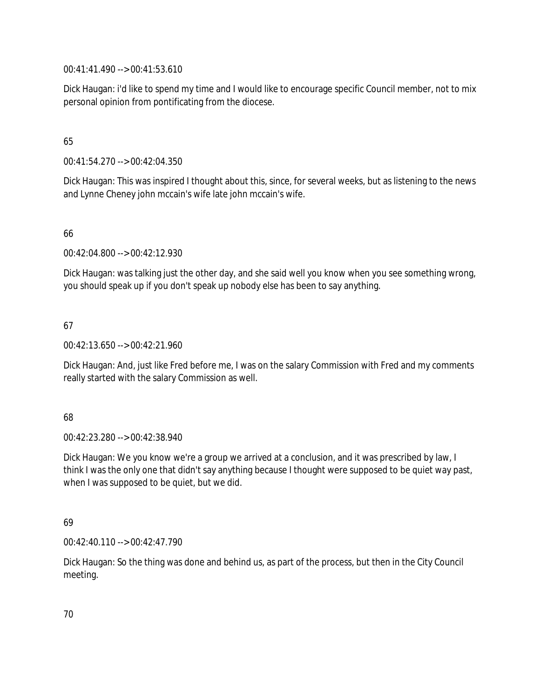00:41:41.490 --> 00:41:53.610

Dick Haugan: i'd like to spend my time and I would like to encourage specific Council member, not to mix personal opinion from pontificating from the diocese.

# 65

00:41:54.270 --> 00:42:04.350

Dick Haugan: This was inspired I thought about this, since, for several weeks, but as listening to the news and Lynne Cheney john mccain's wife late john mccain's wife.

# 66

00:42:04.800 --> 00:42:12.930

Dick Haugan: was talking just the other day, and she said well you know when you see something wrong, you should speak up if you don't speak up nobody else has been to say anything.

# 67

00:42:13.650 --> 00:42:21.960

Dick Haugan: And, just like Fred before me, I was on the salary Commission with Fred and my comments really started with the salary Commission as well.

# 68

00:42:23.280 --> 00:42:38.940

Dick Haugan: We you know we're a group we arrived at a conclusion, and it was prescribed by law, I think I was the only one that didn't say anything because I thought were supposed to be quiet way past, when I was supposed to be quiet, but we did.

# 69

00:42:40.110 --> 00:42:47.790

Dick Haugan: So the thing was done and behind us, as part of the process, but then in the City Council meeting.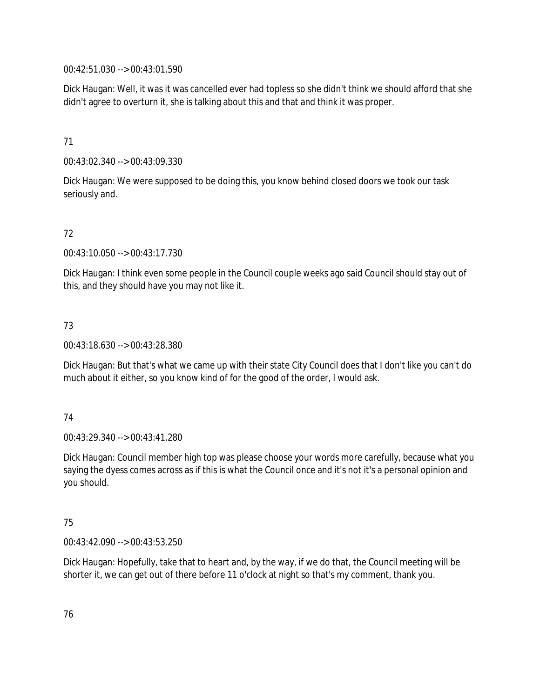00:42:51.030 --> 00:43:01.590

Dick Haugan: Well, it was it was cancelled ever had topless so she didn't think we should afford that she didn't agree to overturn it, she is talking about this and that and think it was proper.

## 71

00:43:02.340 --> 00:43:09.330

Dick Haugan: We were supposed to be doing this, you know behind closed doors we took our task seriously and.

# 72

00:43:10.050 --> 00:43:17.730

Dick Haugan: I think even some people in the Council couple weeks ago said Council should stay out of this, and they should have you may not like it.

# 73

00:43:18.630 --> 00:43:28.380

Dick Haugan: But that's what we came up with their state City Council does that I don't like you can't do much about it either, so you know kind of for the good of the order, I would ask.

# 74

00:43:29.340 --> 00:43:41.280

Dick Haugan: Council member high top was please choose your words more carefully, because what you saying the dyess comes across as if this is what the Council once and it's not it's a personal opinion and you should.

# 75

00:43:42.090 --> 00:43:53.250

Dick Haugan: Hopefully, take that to heart and, by the way, if we do that, the Council meeting will be shorter it, we can get out of there before 11 o'clock at night so that's my comment, thank you.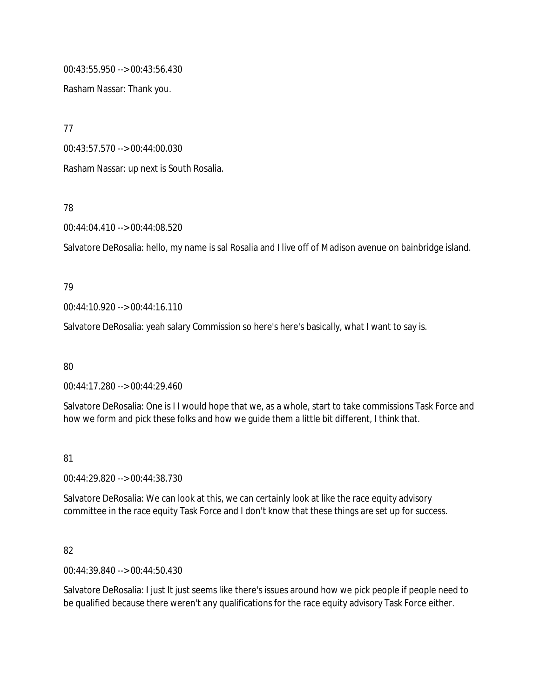00:43:55.950 --> 00:43:56.430

Rasham Nassar: Thank you.

77

00:43:57.570 --> 00:44:00.030

Rasham Nassar: up next is South Rosalia.

78

00:44:04.410 --> 00:44:08.520

Salvatore DeRosalia: hello, my name is sal Rosalia and I live off of Madison avenue on bainbridge island.

### 79

00:44:10.920 --> 00:44:16.110

Salvatore DeRosalia: yeah salary Commission so here's here's basically, what I want to say is.

80

00:44:17.280 --> 00:44:29.460

Salvatore DeRosalia: One is I I would hope that we, as a whole, start to take commissions Task Force and how we form and pick these folks and how we guide them a little bit different, I think that.

# 81

00:44:29.820 --> 00:44:38.730

Salvatore DeRosalia: We can look at this, we can certainly look at like the race equity advisory committee in the race equity Task Force and I don't know that these things are set up for success.

# 82

00:44:39.840 --> 00:44:50.430

Salvatore DeRosalia: I just It just seems like there's issues around how we pick people if people need to be qualified because there weren't any qualifications for the race equity advisory Task Force either.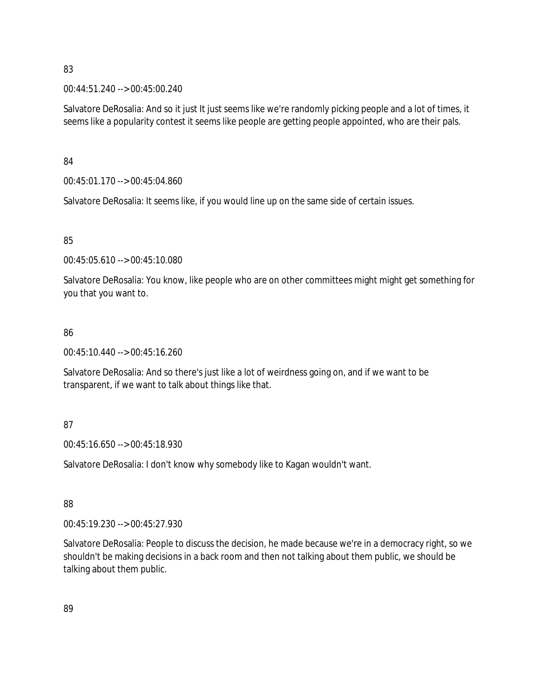### 83

00:44:51.240 --> 00:45:00.240

Salvatore DeRosalia: And so it just It just seems like we're randomly picking people and a lot of times, it seems like a popularity contest it seems like people are getting people appointed, who are their pals.

84

00:45:01.170 --> 00:45:04.860

Salvatore DeRosalia: It seems like, if you would line up on the same side of certain issues.

# 85

00:45:05.610 --> 00:45:10.080

Salvatore DeRosalia: You know, like people who are on other committees might might get something for you that you want to.

# 86

00:45:10.440 --> 00:45:16.260

Salvatore DeRosalia: And so there's just like a lot of weirdness going on, and if we want to be transparent, if we want to talk about things like that.

# 87

00:45:16.650 --> 00:45:18.930

Salvatore DeRosalia: I don't know why somebody like to Kagan wouldn't want.

# 88

00:45:19.230 --> 00:45:27.930

Salvatore DeRosalia: People to discuss the decision, he made because we're in a democracy right, so we shouldn't be making decisions in a back room and then not talking about them public, we should be talking about them public.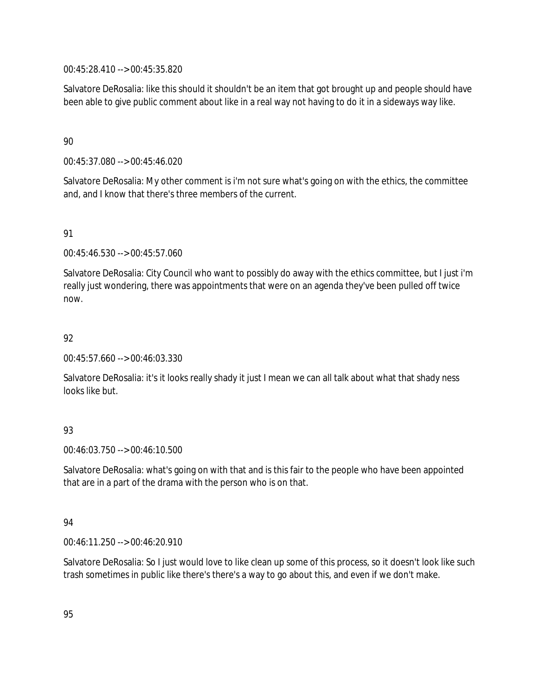00:45:28.410 --> 00:45:35.820

Salvatore DeRosalia: like this should it shouldn't be an item that got brought up and people should have been able to give public comment about like in a real way not having to do it in a sideways way like.

## 90

00:45:37.080 --> 00:45:46.020

Salvatore DeRosalia: My other comment is i'm not sure what's going on with the ethics, the committee and, and I know that there's three members of the current.

## 91

00:45:46.530 --> 00:45:57.060

Salvatore DeRosalia: City Council who want to possibly do away with the ethics committee, but I just i'm really just wondering, there was appointments that were on an agenda they've been pulled off twice now.

## 92

00:45:57.660 --> 00:46:03.330

Salvatore DeRosalia: it's it looks really shady it just I mean we can all talk about what that shady ness looks like but.

# 93

00:46:03.750 --> 00:46:10.500

Salvatore DeRosalia: what's going on with that and is this fair to the people who have been appointed that are in a part of the drama with the person who is on that.

### 94

00:46:11.250 --> 00:46:20.910

Salvatore DeRosalia: So I just would love to like clean up some of this process, so it doesn't look like such trash sometimes in public like there's there's a way to go about this, and even if we don't make.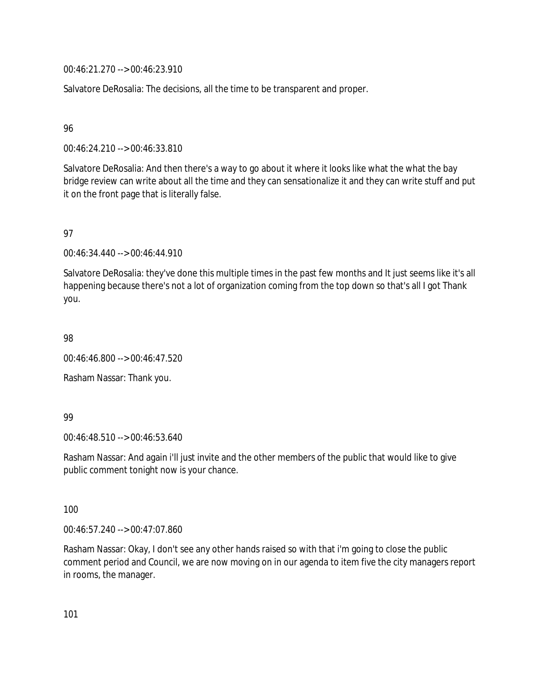00:46:21.270 --> 00:46:23.910

Salvatore DeRosalia: The decisions, all the time to be transparent and proper.

96

00:46:24.210 --> 00:46:33.810

Salvatore DeRosalia: And then there's a way to go about it where it looks like what the what the bay bridge review can write about all the time and they can sensationalize it and they can write stuff and put it on the front page that is literally false.

97

00:46:34.440 --> 00:46:44.910

Salvatore DeRosalia: they've done this multiple times in the past few months and It just seems like it's all happening because there's not a lot of organization coming from the top down so that's all I got Thank you.

98

00:46:46.800 --> 00:46:47.520

Rasham Nassar: Thank you.

99

00:46:48.510 --> 00:46:53.640

Rasham Nassar: And again i'll just invite and the other members of the public that would like to give public comment tonight now is your chance.

100

00:46:57.240 --> 00:47:07.860

Rasham Nassar: Okay, I don't see any other hands raised so with that i'm going to close the public comment period and Council, we are now moving on in our agenda to item five the city managers report in rooms, the manager.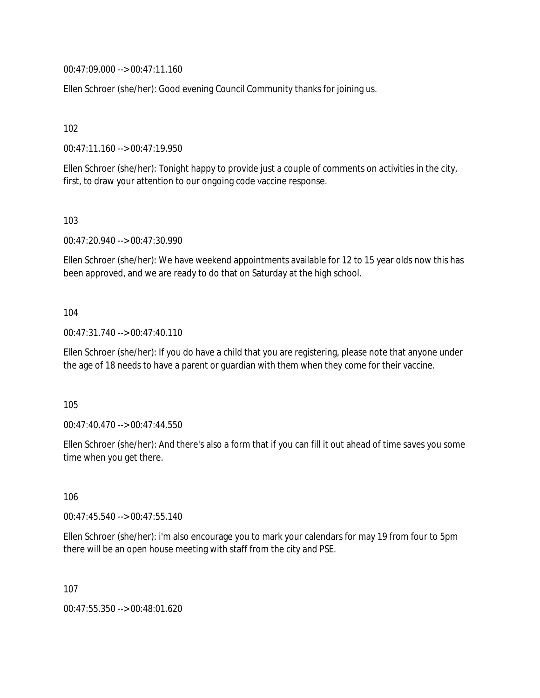00:47:09.000 --> 00:47:11.160

Ellen Schroer (she/her): Good evening Council Community thanks for joining us.

102

00:47:11.160 --> 00:47:19.950

Ellen Schroer (she/her): Tonight happy to provide just a couple of comments on activities in the city, first, to draw your attention to our ongoing code vaccine response.

103

00:47:20.940 --> 00:47:30.990

Ellen Schroer (she/her): We have weekend appointments available for 12 to 15 year olds now this has been approved, and we are ready to do that on Saturday at the high school.

### 104

00:47:31.740 --> 00:47:40.110

Ellen Schroer (she/her): If you do have a child that you are registering, please note that anyone under the age of 18 needs to have a parent or guardian with them when they come for their vaccine.

105

00:47:40.470 --> 00:47:44.550

Ellen Schroer (she/her): And there's also a form that if you can fill it out ahead of time saves you some time when you get there.

106

00:47:45.540 --> 00:47:55.140

Ellen Schroer (she/her): i'm also encourage you to mark your calendars for may 19 from four to 5pm there will be an open house meeting with staff from the city and PSE.

107

00:47:55.350 --> 00:48:01.620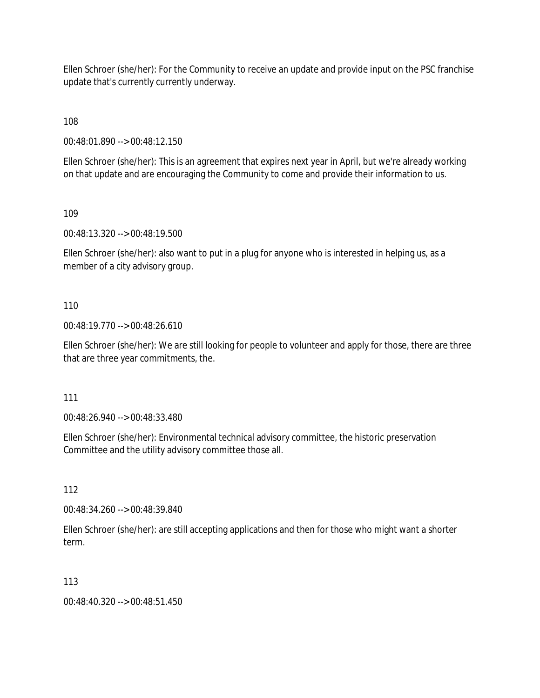Ellen Schroer (she/her): For the Community to receive an update and provide input on the PSC franchise update that's currently currently underway.

108

00:48:01.890 --> 00:48:12.150

Ellen Schroer (she/her): This is an agreement that expires next year in April, but we're already working on that update and are encouraging the Community to come and provide their information to us.

109

00:48:13.320 --> 00:48:19.500

Ellen Schroer (she/her): also want to put in a plug for anyone who is interested in helping us, as a member of a city advisory group.

### 110

00:48:19.770 --> 00:48:26.610

Ellen Schroer (she/her): We are still looking for people to volunteer and apply for those, there are three that are three year commitments, the.

### 111

00:48:26.940 --> 00:48:33.480

Ellen Schroer (she/her): Environmental technical advisory committee, the historic preservation Committee and the utility advisory committee those all.

112

00:48:34.260 --> 00:48:39.840

Ellen Schroer (she/her): are still accepting applications and then for those who might want a shorter term.

### 113

00:48:40.320 --> 00:48:51.450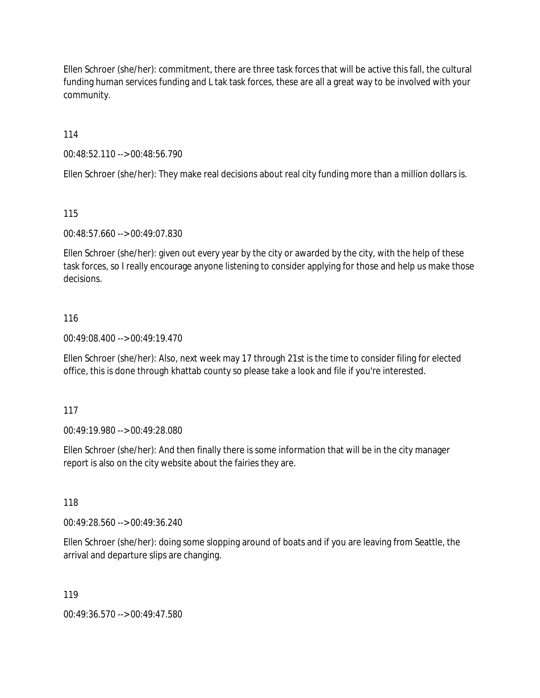Ellen Schroer (she/her): commitment, there are three task forces that will be active this fall, the cultural funding human services funding and L tak task forces, these are all a great way to be involved with your community.

114

00:48:52.110 --> 00:48:56.790

Ellen Schroer (she/her): They make real decisions about real city funding more than a million dollars is.

115

00:48:57.660 --> 00:49:07.830

Ellen Schroer (she/her): given out every year by the city or awarded by the city, with the help of these task forces, so I really encourage anyone listening to consider applying for those and help us make those decisions.

## 116

00:49:08.400 --> 00:49:19.470

Ellen Schroer (she/her): Also, next week may 17 through 21st is the time to consider filing for elected office, this is done through khattab county so please take a look and file if you're interested.

117

00:49:19.980 --> 00:49:28.080

Ellen Schroer (she/her): And then finally there is some information that will be in the city manager report is also on the city website about the fairies they are.

118

00:49:28.560 --> 00:49:36.240

Ellen Schroer (she/her): doing some slopping around of boats and if you are leaving from Seattle, the arrival and departure slips are changing.

119

00:49:36.570 --> 00:49:47.580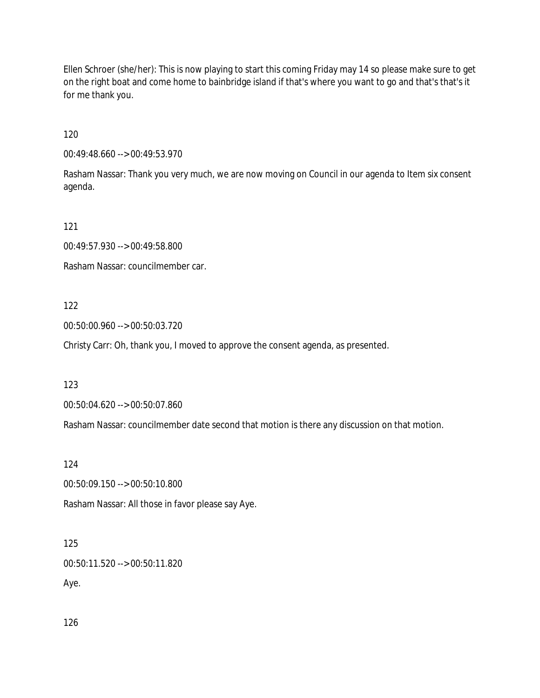Ellen Schroer (she/her): This is now playing to start this coming Friday may 14 so please make sure to get on the right boat and come home to bainbridge island if that's where you want to go and that's that's it for me thank you.

120

00:49:48.660 --> 00:49:53.970

Rasham Nassar: Thank you very much, we are now moving on Council in our agenda to Item six consent agenda.

121

00:49:57.930 --> 00:49:58.800

Rasham Nassar: councilmember car.

122

00:50:00.960 --> 00:50:03.720

Christy Carr: Oh, thank you, I moved to approve the consent agenda, as presented.

123

00:50:04.620 --> 00:50:07.860

Rasham Nassar: councilmember date second that motion is there any discussion on that motion.

124

00:50:09.150 --> 00:50:10.800

Rasham Nassar: All those in favor please say Aye.

125

00:50:11.520 --> 00:50:11.820

Aye.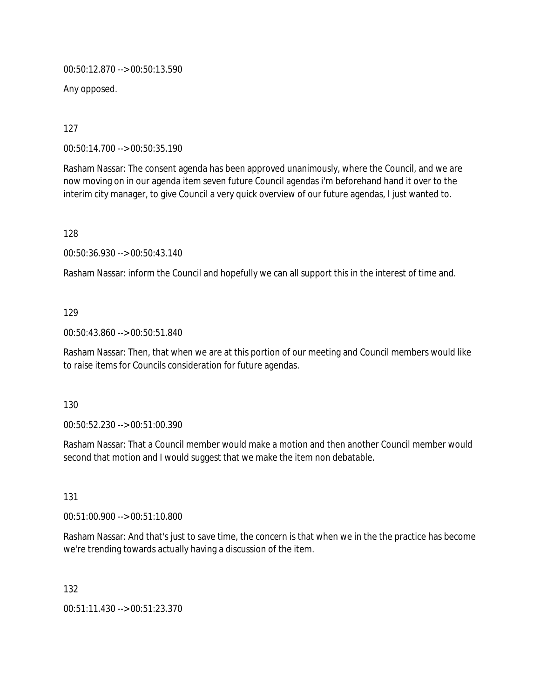00:50:12.870 --> 00:50:13.590

Any opposed.

127

00:50:14.700 --> 00:50:35.190

Rasham Nassar: The consent agenda has been approved unanimously, where the Council, and we are now moving on in our agenda item seven future Council agendas i'm beforehand hand it over to the interim city manager, to give Council a very quick overview of our future agendas, I just wanted to.

128

00:50:36.930 --> 00:50:43.140

Rasham Nassar: inform the Council and hopefully we can all support this in the interest of time and.

## 129

00:50:43.860 --> 00:50:51.840

Rasham Nassar: Then, that when we are at this portion of our meeting and Council members would like to raise items for Councils consideration for future agendas.

### 130

00:50:52.230 --> 00:51:00.390

Rasham Nassar: That a Council member would make a motion and then another Council member would second that motion and I would suggest that we make the item non debatable.

### 131

00:51:00.900 --> 00:51:10.800

Rasham Nassar: And that's just to save time, the concern is that when we in the the practice has become we're trending towards actually having a discussion of the item.

132

00:51:11.430 --> 00:51:23.370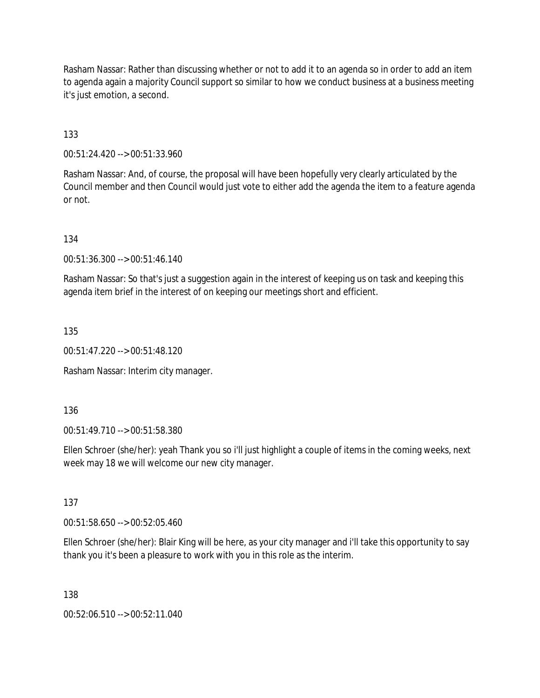Rasham Nassar: Rather than discussing whether or not to add it to an agenda so in order to add an item to agenda again a majority Council support so similar to how we conduct business at a business meeting it's just emotion, a second.

133

00:51:24.420 --> 00:51:33.960

Rasham Nassar: And, of course, the proposal will have been hopefully very clearly articulated by the Council member and then Council would just vote to either add the agenda the item to a feature agenda or not.

134

00:51:36.300 --> 00:51:46.140

Rasham Nassar: So that's just a suggestion again in the interest of keeping us on task and keeping this agenda item brief in the interest of on keeping our meetings short and efficient.

135

00:51:47.220 --> 00:51:48.120

Rasham Nassar: Interim city manager.

136

00:51:49.710 --> 00:51:58.380

Ellen Schroer (she/her): yeah Thank you so i'll just highlight a couple of items in the coming weeks, next week may 18 we will welcome our new city manager.

137

00:51:58.650 --> 00:52:05.460

Ellen Schroer (she/her): Blair King will be here, as your city manager and i'll take this opportunity to say thank you it's been a pleasure to work with you in this role as the interim.

138

00:52:06.510 --> 00:52:11.040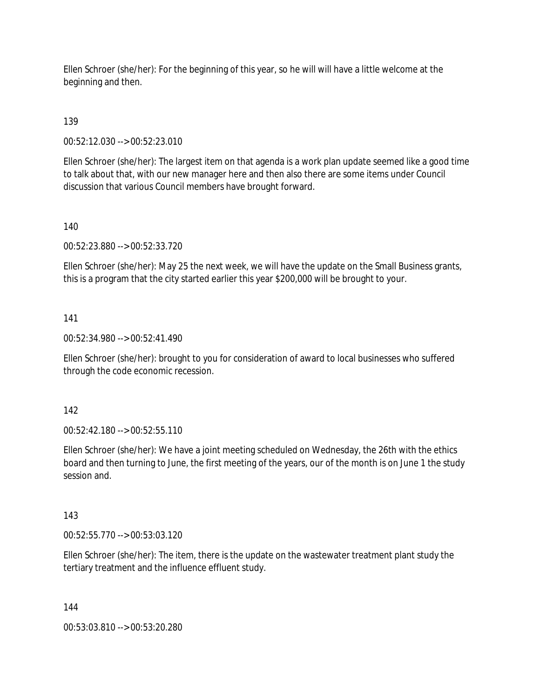Ellen Schroer (she/her): For the beginning of this year, so he will will have a little welcome at the beginning and then.

139

00:52:12.030 --> 00:52:23.010

Ellen Schroer (she/her): The largest item on that agenda is a work plan update seemed like a good time to talk about that, with our new manager here and then also there are some items under Council discussion that various Council members have brought forward.

140

00:52:23.880 --> 00:52:33.720

Ellen Schroer (she/her): May 25 the next week, we will have the update on the Small Business grants, this is a program that the city started earlier this year \$200,000 will be brought to your.

141

00:52:34.980 --> 00:52:41.490

Ellen Schroer (she/her): brought to you for consideration of award to local businesses who suffered through the code economic recession.

142

00:52:42.180 --> 00:52:55.110

Ellen Schroer (she/her): We have a joint meeting scheduled on Wednesday, the 26th with the ethics board and then turning to June, the first meeting of the years, our of the month is on June 1 the study session and.

143

00:52:55.770 --> 00:53:03.120

Ellen Schroer (she/her): The item, there is the update on the wastewater treatment plant study the tertiary treatment and the influence effluent study.

144

00:53:03.810 --> 00:53:20.280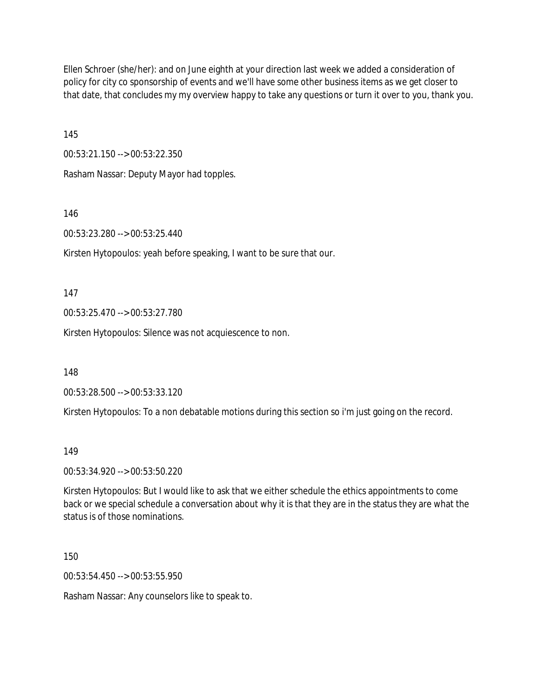Ellen Schroer (she/her): and on June eighth at your direction last week we added a consideration of policy for city co sponsorship of events and we'll have some other business items as we get closer to that date, that concludes my my overview happy to take any questions or turn it over to you, thank you.

145

00:53:21.150 --> 00:53:22.350

Rasham Nassar: Deputy Mayor had topples.

146

00:53:23.280 --> 00:53:25.440

Kirsten Hytopoulos: yeah before speaking, I want to be sure that our.

147

00:53:25.470 --> 00:53:27.780

Kirsten Hytopoulos: Silence was not acquiescence to non.

148

00:53:28.500 --> 00:53:33.120

Kirsten Hytopoulos: To a non debatable motions during this section so i'm just going on the record.

#### 149

00:53:34.920 --> 00:53:50.220

Kirsten Hytopoulos: But I would like to ask that we either schedule the ethics appointments to come back or we special schedule a conversation about why it is that they are in the status they are what the status is of those nominations.

150

00:53:54.450 --> 00:53:55.950

Rasham Nassar: Any counselors like to speak to.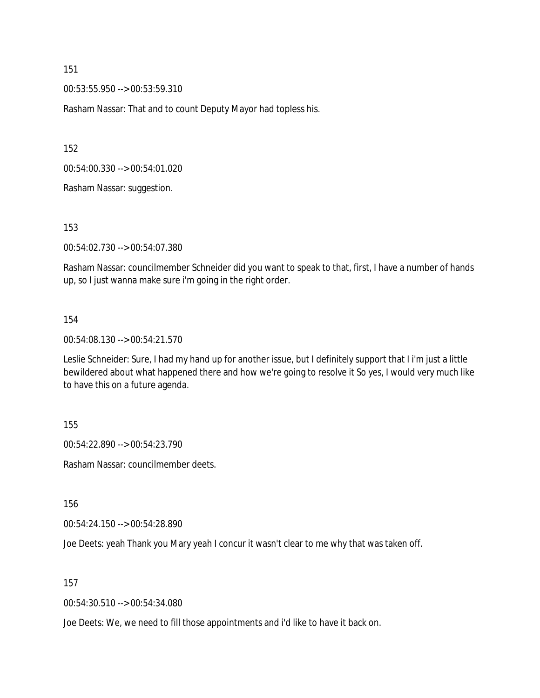151

00:53:55.950 --> 00:53:59.310

Rasham Nassar: That and to count Deputy Mayor had topless his.

152

00:54:00.330 --> 00:54:01.020

Rasham Nassar: suggestion.

153

00:54:02.730 --> 00:54:07.380

Rasham Nassar: councilmember Schneider did you want to speak to that, first, I have a number of hands up, so I just wanna make sure i'm going in the right order.

#### 154

00:54:08.130 --> 00:54:21.570

Leslie Schneider: Sure, I had my hand up for another issue, but I definitely support that I i'm just a little bewildered about what happened there and how we're going to resolve it So yes, I would very much like to have this on a future agenda.

155

00:54:22.890 --> 00:54:23.790

Rasham Nassar: councilmember deets.

156

00:54:24.150 --> 00:54:28.890

Joe Deets: yeah Thank you Mary yeah I concur it wasn't clear to me why that was taken off.

157

00:54:30.510 --> 00:54:34.080

Joe Deets: We, we need to fill those appointments and i'd like to have it back on.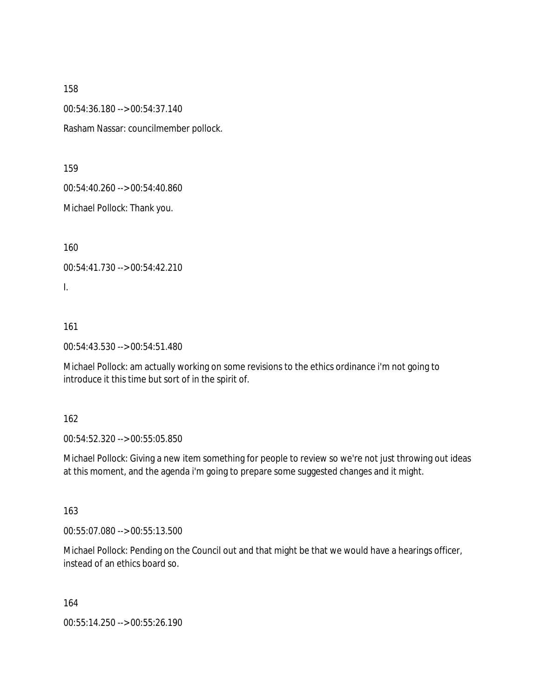158

00:54:36.180 --> 00:54:37.140

Rasham Nassar: councilmember pollock.

159

00:54:40.260 --> 00:54:40.860

Michael Pollock: Thank you.

160

00:54:41.730 --> 00:54:42.210

I.

### 161

00:54:43.530 --> 00:54:51.480

Michael Pollock: am actually working on some revisions to the ethics ordinance i'm not going to introduce it this time but sort of in the spirit of.

### 162

00:54:52.320 --> 00:55:05.850

Michael Pollock: Giving a new item something for people to review so we're not just throwing out ideas at this moment, and the agenda i'm going to prepare some suggested changes and it might.

163

00:55:07.080 --> 00:55:13.500

Michael Pollock: Pending on the Council out and that might be that we would have a hearings officer, instead of an ethics board so.

164

00:55:14.250 --> 00:55:26.190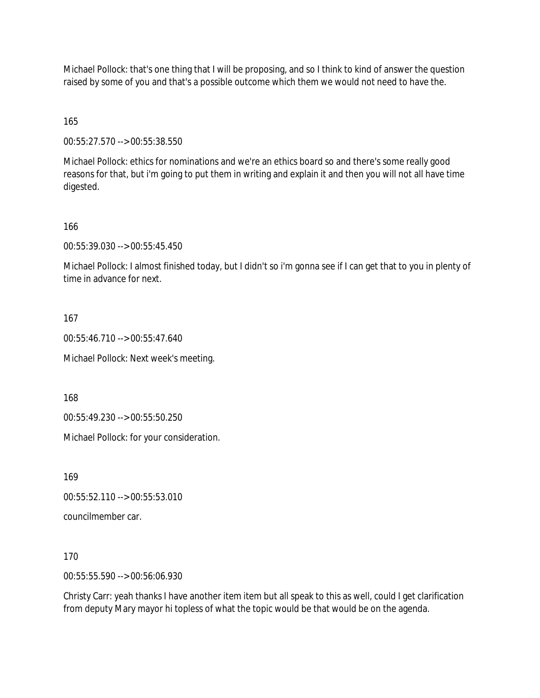Michael Pollock: that's one thing that I will be proposing, and so I think to kind of answer the question raised by some of you and that's a possible outcome which them we would not need to have the.

165

00:55:27.570 --> 00:55:38.550

Michael Pollock: ethics for nominations and we're an ethics board so and there's some really good reasons for that, but i'm going to put them in writing and explain it and then you will not all have time digested.

166

00:55:39.030 --> 00:55:45.450

Michael Pollock: I almost finished today, but I didn't so i'm gonna see if I can get that to you in plenty of time in advance for next.

167

00:55:46.710 --> 00:55:47.640

Michael Pollock: Next week's meeting.

168

00:55:49.230 --> 00:55:50.250

Michael Pollock: for your consideration.

169

00:55:52.110 --> 00:55:53.010

councilmember car.

170

00:55:55.590 --> 00:56:06.930

Christy Carr: yeah thanks I have another item item but all speak to this as well, could I get clarification from deputy Mary mayor hi topless of what the topic would be that would be on the agenda.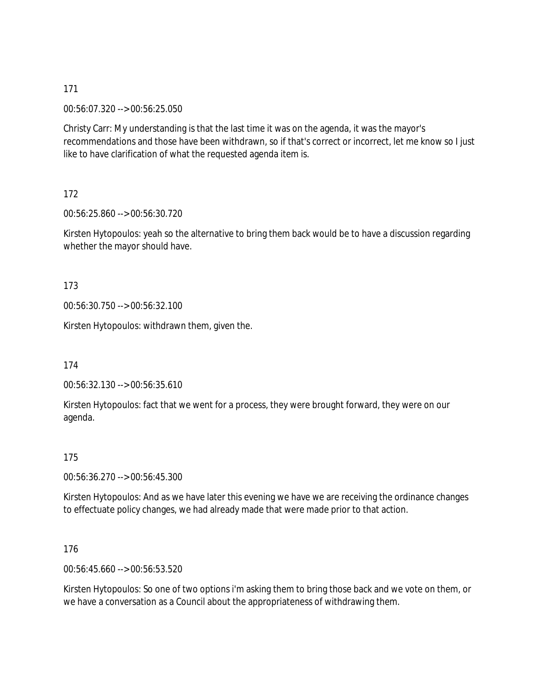171

00:56:07.320 --> 00:56:25.050

Christy Carr: My understanding is that the last time it was on the agenda, it was the mayor's recommendations and those have been withdrawn, so if that's correct or incorrect, let me know so I just like to have clarification of what the requested agenda item is.

172

00:56:25.860 --> 00:56:30.720

Kirsten Hytopoulos: yeah so the alternative to bring them back would be to have a discussion regarding whether the mayor should have.

173

00:56:30.750 --> 00:56:32.100

Kirsten Hytopoulos: withdrawn them, given the.

174

00:56:32.130 --> 00:56:35.610

Kirsten Hytopoulos: fact that we went for a process, they were brought forward, they were on our agenda.

175

00:56:36.270 --> 00:56:45.300

Kirsten Hytopoulos: And as we have later this evening we have we are receiving the ordinance changes to effectuate policy changes, we had already made that were made prior to that action.

176

00:56:45.660 --> 00:56:53.520

Kirsten Hytopoulos: So one of two options i'm asking them to bring those back and we vote on them, or we have a conversation as a Council about the appropriateness of withdrawing them.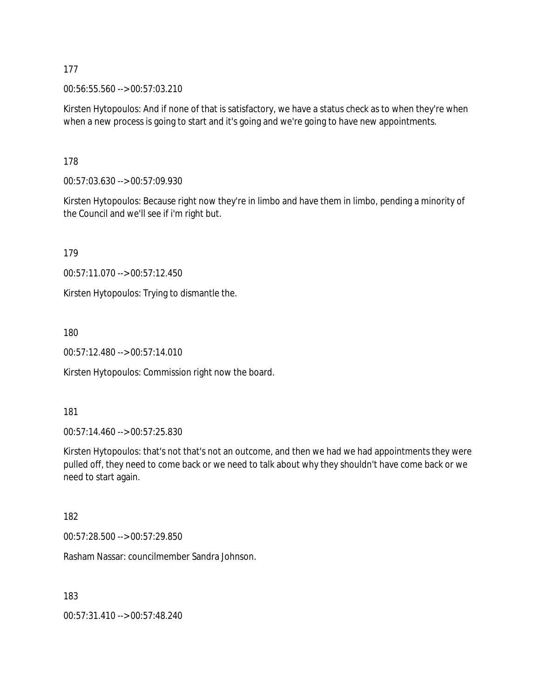177

00:56:55.560 --> 00:57:03.210

Kirsten Hytopoulos: And if none of that is satisfactory, we have a status check as to when they're when when a new process is going to start and it's going and we're going to have new appointments.

178

00:57:03.630 --> 00:57:09.930

Kirsten Hytopoulos: Because right now they're in limbo and have them in limbo, pending a minority of the Council and we'll see if i'm right but.

179

00:57:11.070 --> 00:57:12.450

Kirsten Hytopoulos: Trying to dismantle the.

180

00:57:12.480 --> 00:57:14.010

Kirsten Hytopoulos: Commission right now the board.

181

00:57:14.460 --> 00:57:25.830

Kirsten Hytopoulos: that's not that's not an outcome, and then we had we had appointments they were pulled off, they need to come back or we need to talk about why they shouldn't have come back or we need to start again.

182

00:57:28.500 --> 00:57:29.850

Rasham Nassar: councilmember Sandra Johnson.

183

00:57:31.410 --> 00:57:48.240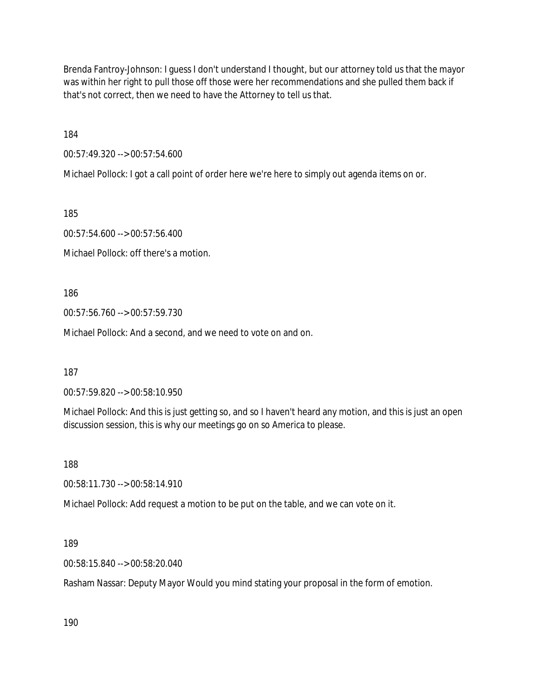Brenda Fantroy-Johnson: I guess I don't understand I thought, but our attorney told us that the mayor was within her right to pull those off those were her recommendations and she pulled them back if that's not correct, then we need to have the Attorney to tell us that.

184

00:57:49.320 --> 00:57:54.600

Michael Pollock: I got a call point of order here we're here to simply out agenda items on or.

185

00:57:54.600 --> 00:57:56.400

Michael Pollock: off there's a motion.

186

00:57:56.760 --> 00:57:59.730

Michael Pollock: And a second, and we need to vote on and on.

187

00:57:59.820 --> 00:58:10.950

Michael Pollock: And this is just getting so, and so I haven't heard any motion, and this is just an open discussion session, this is why our meetings go on so America to please.

188

00:58:11.730 --> 00:58:14.910

Michael Pollock: Add request a motion to be put on the table, and we can vote on it.

189

00:58:15.840 --> 00:58:20.040

Rasham Nassar: Deputy Mayor Would you mind stating your proposal in the form of emotion.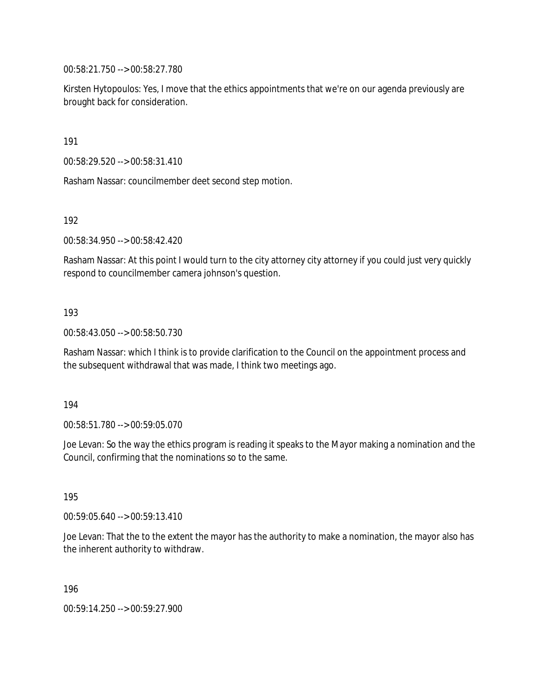00:58:21.750 --> 00:58:27.780

Kirsten Hytopoulos: Yes, I move that the ethics appointments that we're on our agenda previously are brought back for consideration.

191

00:58:29.520 --> 00:58:31.410

Rasham Nassar: councilmember deet second step motion.

192

00:58:34.950 --> 00:58:42.420

Rasham Nassar: At this point I would turn to the city attorney city attorney if you could just very quickly respond to councilmember camera johnson's question.

### 193

00:58:43.050 --> 00:58:50.730

Rasham Nassar: which I think is to provide clarification to the Council on the appointment process and the subsequent withdrawal that was made, I think two meetings ago.

194

00:58:51.780 --> 00:59:05.070

Joe Levan: So the way the ethics program is reading it speaks to the Mayor making a nomination and the Council, confirming that the nominations so to the same.

195

00:59:05.640 --> 00:59:13.410

Joe Levan: That the to the extent the mayor has the authority to make a nomination, the mayor also has the inherent authority to withdraw.

196

00:59:14.250 --> 00:59:27.900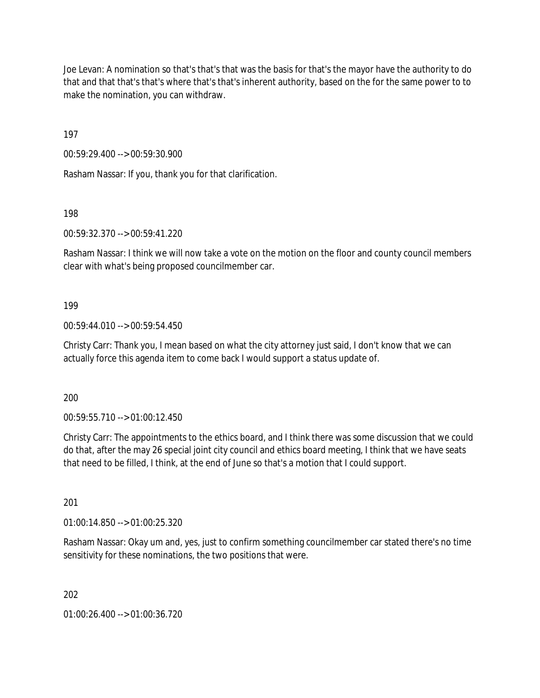Joe Levan: A nomination so that's that's that was the basis for that's the mayor have the authority to do that and that that's that's where that's that's inherent authority, based on the for the same power to to make the nomination, you can withdraw.

197

00:59:29.400 --> 00:59:30.900

Rasham Nassar: If you, thank you for that clarification.

198

00:59:32.370 --> 00:59:41.220

Rasham Nassar: I think we will now take a vote on the motion on the floor and county council members clear with what's being proposed councilmember car.

#### 199

00:59:44.010 --> 00:59:54.450

Christy Carr: Thank you, I mean based on what the city attorney just said, I don't know that we can actually force this agenda item to come back I would support a status update of.

200

00:59:55.710 --> 01:00:12.450

Christy Carr: The appointments to the ethics board, and I think there was some discussion that we could do that, after the may 26 special joint city council and ethics board meeting, I think that we have seats that need to be filled, I think, at the end of June so that's a motion that I could support.

201

01:00:14.850 --> 01:00:25.320

Rasham Nassar: Okay um and, yes, just to confirm something councilmember car stated there's no time sensitivity for these nominations, the two positions that were.

202

01:00:26.400 --> 01:00:36.720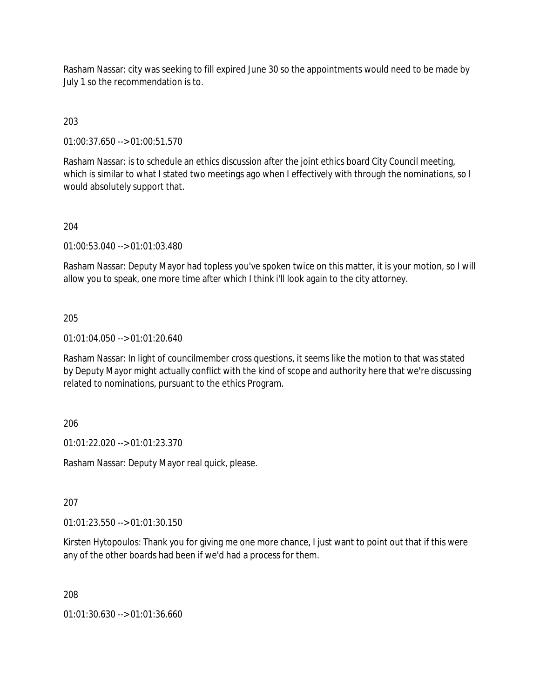Rasham Nassar: city was seeking to fill expired June 30 so the appointments would need to be made by July 1 so the recommendation is to.

## 203

01:00:37.650 --> 01:00:51.570

Rasham Nassar: is to schedule an ethics discussion after the joint ethics board City Council meeting, which is similar to what I stated two meetings ago when I effectively with through the nominations, so I would absolutely support that.

### 204

01:00:53.040 --> 01:01:03.480

Rasham Nassar: Deputy Mayor had topless you've spoken twice on this matter, it is your motion, so I will allow you to speak, one more time after which I think i'll look again to the city attorney.

#### 205

01:01:04.050 --> 01:01:20.640

Rasham Nassar: In light of councilmember cross questions, it seems like the motion to that was stated by Deputy Mayor might actually conflict with the kind of scope and authority here that we're discussing related to nominations, pursuant to the ethics Program.

### 206

01:01:22.020 --> 01:01:23.370

Rasham Nassar: Deputy Mayor real quick, please.

207

01:01:23.550 --> 01:01:30.150

Kirsten Hytopoulos: Thank you for giving me one more chance, I just want to point out that if this were any of the other boards had been if we'd had a process for them.

208

01:01:30.630 --> 01:01:36.660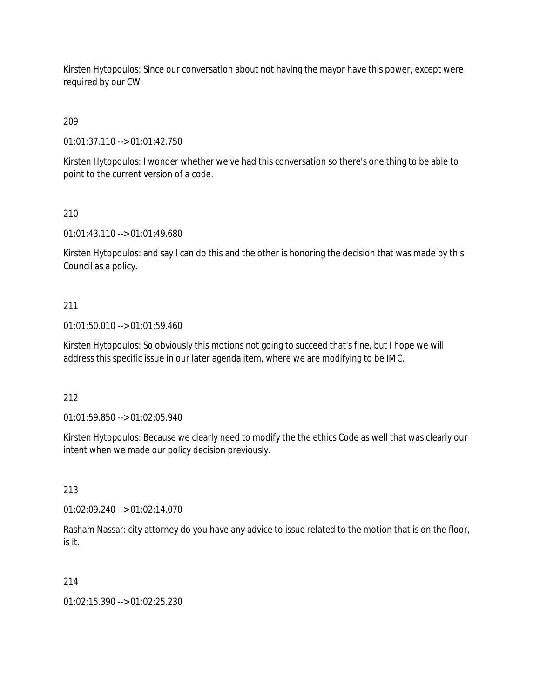Kirsten Hytopoulos: Since our conversation about not having the mayor have this power, except were required by our CW.

209

01:01:37.110 --> 01:01:42.750

Kirsten Hytopoulos: I wonder whether we've had this conversation so there's one thing to be able to point to the current version of a code.

210

01:01:43.110 --> 01:01:49.680

Kirsten Hytopoulos: and say I can do this and the other is honoring the decision that was made by this Council as a policy.

# 211

01:01:50.010 --> 01:01:59.460

Kirsten Hytopoulos: So obviously this motions not going to succeed that's fine, but I hope we will address this specific issue in our later agenda item, where we are modifying to be IMC.

212

01:01:59.850 --> 01:02:05.940

Kirsten Hytopoulos: Because we clearly need to modify the the ethics Code as well that was clearly our intent when we made our policy decision previously.

213

01:02:09.240 --> 01:02:14.070

Rasham Nassar: city attorney do you have any advice to issue related to the motion that is on the floor, is it.

214

01:02:15.390 --> 01:02:25.230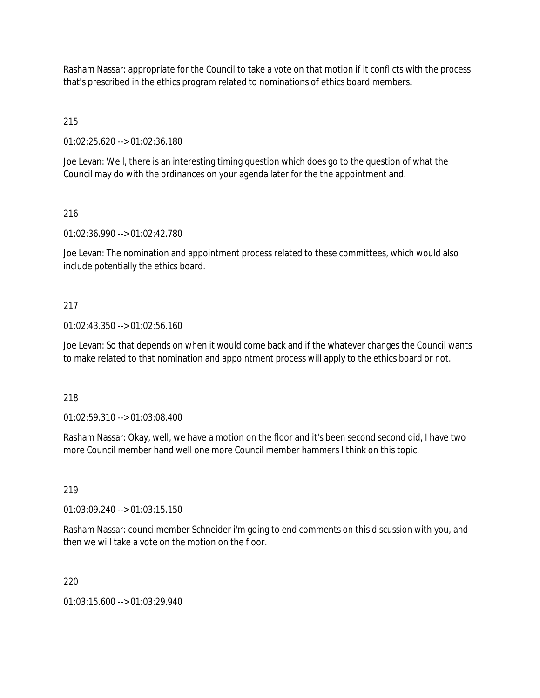Rasham Nassar: appropriate for the Council to take a vote on that motion if it conflicts with the process that's prescribed in the ethics program related to nominations of ethics board members.

# 215

01:02:25.620 --> 01:02:36.180

Joe Levan: Well, there is an interesting timing question which does go to the question of what the Council may do with the ordinances on your agenda later for the the appointment and.

# 216

01:02:36.990 --> 01:02:42.780

Joe Levan: The nomination and appointment process related to these committees, which would also include potentially the ethics board.

# 217

## 01:02:43.350 --> 01:02:56.160

Joe Levan: So that depends on when it would come back and if the whatever changes the Council wants to make related to that nomination and appointment process will apply to the ethics board or not.

# 218

01:02:59.310 --> 01:03:08.400

Rasham Nassar: Okay, well, we have a motion on the floor and it's been second second did, I have two more Council member hand well one more Council member hammers I think on this topic.

# 219

01:03:09.240 --> 01:03:15.150

Rasham Nassar: councilmember Schneider i'm going to end comments on this discussion with you, and then we will take a vote on the motion on the floor.

# 220

01:03:15.600 --> 01:03:29.940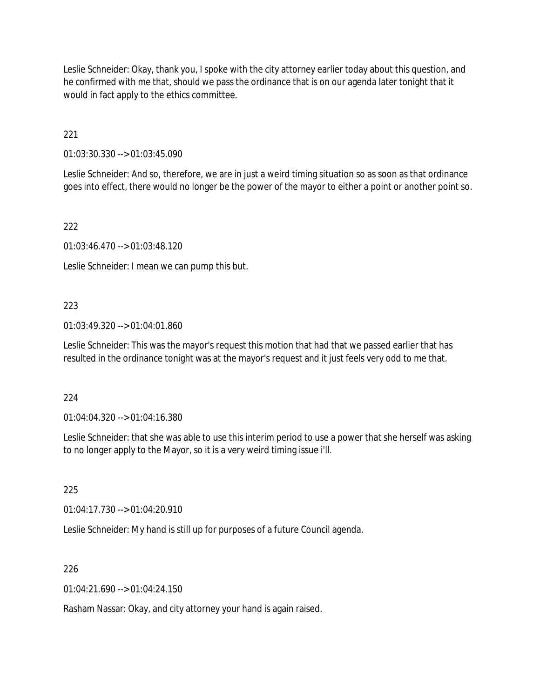Leslie Schneider: Okay, thank you, I spoke with the city attorney earlier today about this question, and he confirmed with me that, should we pass the ordinance that is on our agenda later tonight that it would in fact apply to the ethics committee.

221

01:03:30.330 --> 01:03:45.090

Leslie Schneider: And so, therefore, we are in just a weird timing situation so as soon as that ordinance goes into effect, there would no longer be the power of the mayor to either a point or another point so.

222

01:03:46.470 --> 01:03:48.120

Leslie Schneider: I mean we can pump this but.

## 223

01:03:49.320 --> 01:04:01.860

Leslie Schneider: This was the mayor's request this motion that had that we passed earlier that has resulted in the ordinance tonight was at the mayor's request and it just feels very odd to me that.

### 224

01:04:04.320 --> 01:04:16.380

Leslie Schneider: that she was able to use this interim period to use a power that she herself was asking to no longer apply to the Mayor, so it is a very weird timing issue i'll.

225

01:04:17.730 --> 01:04:20.910

Leslie Schneider: My hand is still up for purposes of a future Council agenda.

### 226

 $01:04:21.690 \rightarrow 01:04:24.150$ 

Rasham Nassar: Okay, and city attorney your hand is again raised.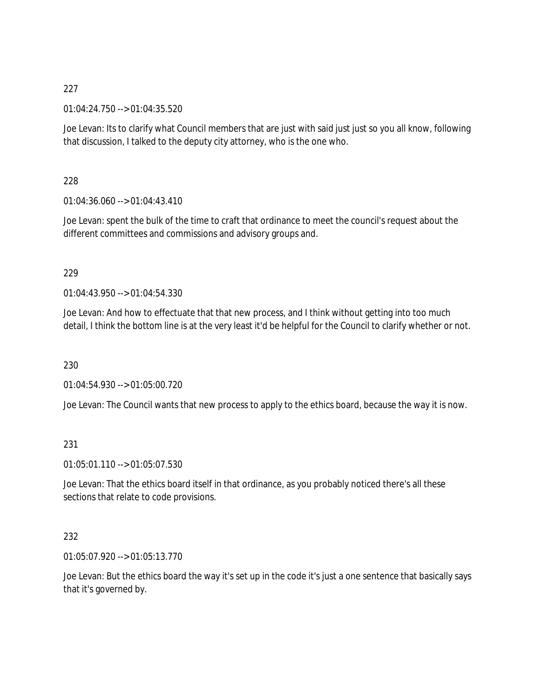01:04:24.750 --> 01:04:35.520

Joe Levan: Its to clarify what Council members that are just with said just just so you all know, following that discussion, I talked to the deputy city attorney, who is the one who.

228

 $01:04:36.060 \rightarrow 01:04:43.410$ 

Joe Levan: spent the bulk of the time to craft that ordinance to meet the council's request about the different committees and commissions and advisory groups and.

## 229

01:04:43.950 --> 01:04:54.330

Joe Levan: And how to effectuate that that new process, and I think without getting into too much detail, I think the bottom line is at the very least it'd be helpful for the Council to clarify whether or not.

230

01:04:54.930 --> 01:05:00.720

Joe Levan: The Council wants that new process to apply to the ethics board, because the way it is now.

# 231

01:05:01.110 --> 01:05:07.530

Joe Levan: That the ethics board itself in that ordinance, as you probably noticed there's all these sections that relate to code provisions.

### 232

01:05:07.920 --> 01:05:13.770

Joe Levan: But the ethics board the way it's set up in the code it's just a one sentence that basically says that it's governed by.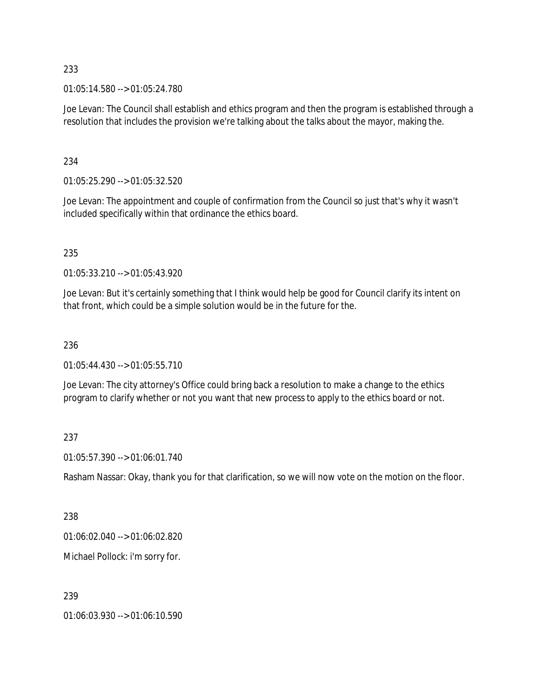01:05:14.580 --> 01:05:24.780

Joe Levan: The Council shall establish and ethics program and then the program is established through a resolution that includes the provision we're talking about the talks about the mayor, making the.

### 234

01:05:25.290 --> 01:05:32.520

Joe Levan: The appointment and couple of confirmation from the Council so just that's why it wasn't included specifically within that ordinance the ethics board.

## 235

01:05:33.210 --> 01:05:43.920

Joe Levan: But it's certainly something that I think would help be good for Council clarify its intent on that front, which could be a simple solution would be in the future for the.

### 236

01:05:44.430 --> 01:05:55.710

Joe Levan: The city attorney's Office could bring back a resolution to make a change to the ethics program to clarify whether or not you want that new process to apply to the ethics board or not.

# 237

01:05:57.390 --> 01:06:01.740

Rasham Nassar: Okay, thank you for that clarification, so we will now vote on the motion on the floor.

### 238

01:06:02.040 --> 01:06:02.820

Michael Pollock: i'm sorry for.

# 239

01:06:03.930 --> 01:06:10.590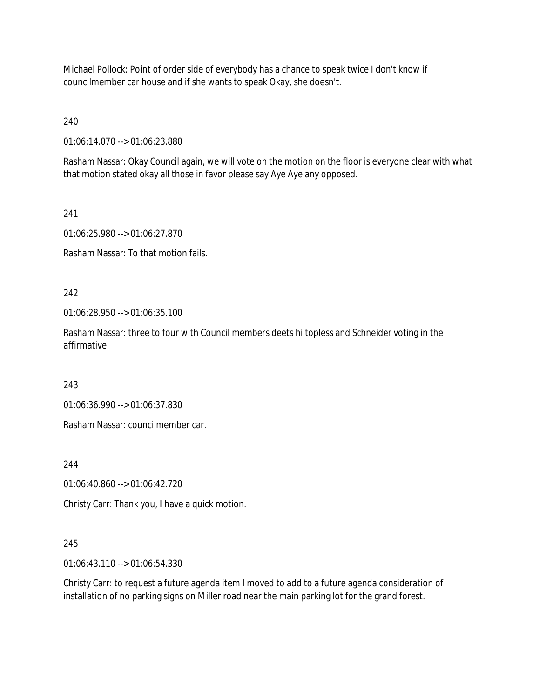Michael Pollock: Point of order side of everybody has a chance to speak twice I don't know if councilmember car house and if she wants to speak Okay, she doesn't.

240

01:06:14.070 --> 01:06:23.880

Rasham Nassar: Okay Council again, we will vote on the motion on the floor is everyone clear with what that motion stated okay all those in favor please say Aye Aye any opposed.

241

01:06:25.980 --> 01:06:27.870

Rasham Nassar: To that motion fails.

242

01:06:28.950 --> 01:06:35.100

Rasham Nassar: three to four with Council members deets hi topless and Schneider voting in the affirmative.

243

01:06:36.990 --> 01:06:37.830

Rasham Nassar: councilmember car.

244

01:06:40.860 --> 01:06:42.720

Christy Carr: Thank you, I have a quick motion.

# 245

01:06:43.110 --> 01:06:54.330

Christy Carr: to request a future agenda item I moved to add to a future agenda consideration of installation of no parking signs on Miller road near the main parking lot for the grand forest.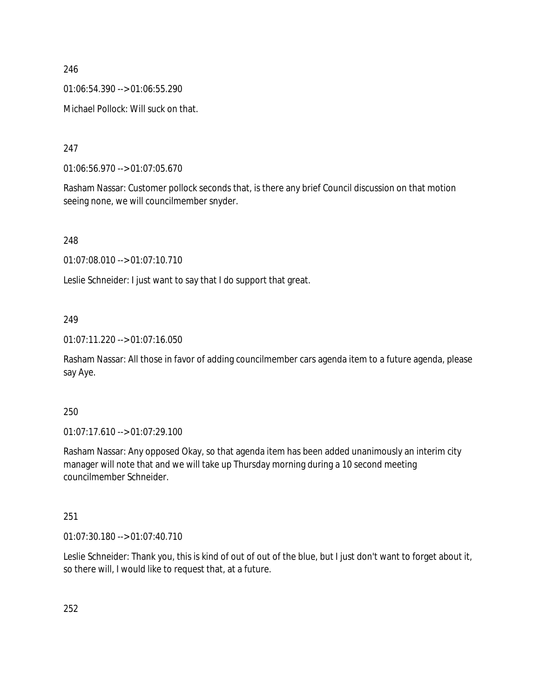01:06:54.390 --> 01:06:55.290

Michael Pollock: Will suck on that.

247

01:06:56.970 --> 01:07:05.670

Rasham Nassar: Customer pollock seconds that, is there any brief Council discussion on that motion seeing none, we will councilmember snyder.

# 248

01:07:08.010 --> 01:07:10.710

Leslie Schneider: I just want to say that I do support that great.

# 249

01:07:11.220 --> 01:07:16.050

Rasham Nassar: All those in favor of adding councilmember cars agenda item to a future agenda, please say Aye.

# 250

01:07:17.610 --> 01:07:29.100

Rasham Nassar: Any opposed Okay, so that agenda item has been added unanimously an interim city manager will note that and we will take up Thursday morning during a 10 second meeting councilmember Schneider.

# 251

01:07:30.180 --> 01:07:40.710

Leslie Schneider: Thank you, this is kind of out of out of the blue, but I just don't want to forget about it, so there will, I would like to request that, at a future.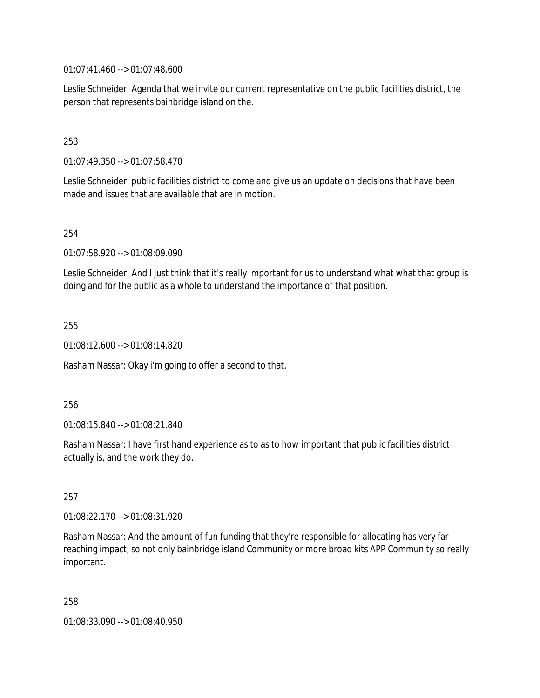01:07:41.460 --> 01:07:48.600

Leslie Schneider: Agenda that we invite our current representative on the public facilities district, the person that represents bainbridge island on the.

## 253

01:07:49.350 --> 01:07:58.470

Leslie Schneider: public facilities district to come and give us an update on decisions that have been made and issues that are available that are in motion.

### 254

01:07:58.920 --> 01:08:09.090

Leslie Schneider: And I just think that it's really important for us to understand what what that group is doing and for the public as a whole to understand the importance of that position.

#### 255

01:08:12.600 --> 01:08:14.820

Rasham Nassar: Okay i'm going to offer a second to that.

#### 256

01:08:15.840 --> 01:08:21.840

Rasham Nassar: I have first hand experience as to as to how important that public facilities district actually is, and the work they do.

### 257

01:08:22.170 --> 01:08:31.920

Rasham Nassar: And the amount of fun funding that they're responsible for allocating has very far reaching impact, so not only bainbridge island Community or more broad kits APP Community so really important.

258

01:08:33.090 --> 01:08:40.950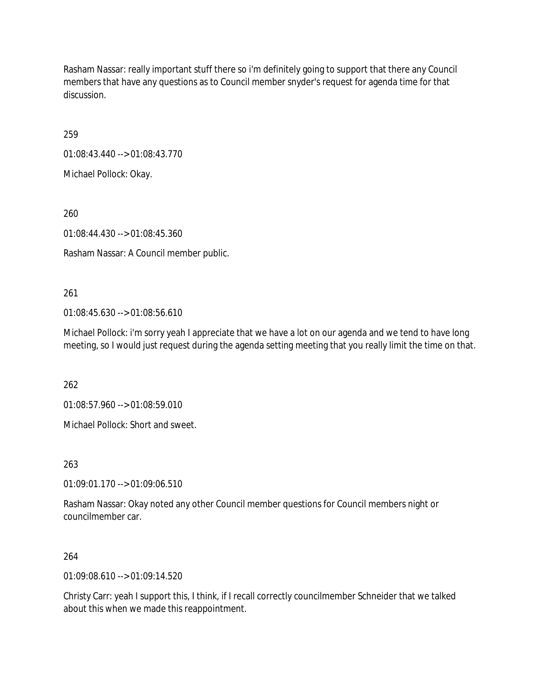Rasham Nassar: really important stuff there so i'm definitely going to support that there any Council members that have any questions as to Council member snyder's request for agenda time for that discussion.

259

01:08:43.440 --> 01:08:43.770

Michael Pollock: Okay.

260

01:08:44.430 --> 01:08:45.360

Rasham Nassar: A Council member public.

261

01:08:45.630 --> 01:08:56.610

Michael Pollock: i'm sorry yeah I appreciate that we have a lot on our agenda and we tend to have long meeting, so I would just request during the agenda setting meeting that you really limit the time on that.

262

01:08:57.960 --> 01:08:59.010

Michael Pollock: Short and sweet.

263

01:09:01.170 --> 01:09:06.510

Rasham Nassar: Okay noted any other Council member questions for Council members night or councilmember car.

264

01:09:08.610 --> 01:09:14.520

Christy Carr: yeah I support this, I think, if I recall correctly councilmember Schneider that we talked about this when we made this reappointment.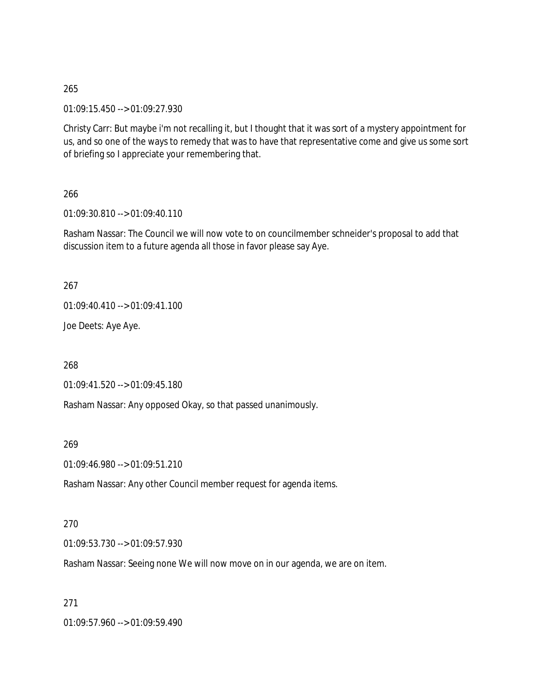01:09:15.450 --> 01:09:27.930

Christy Carr: But maybe i'm not recalling it, but I thought that it was sort of a mystery appointment for us, and so one of the ways to remedy that was to have that representative come and give us some sort of briefing so I appreciate your remembering that.

266

01:09:30.810 --> 01:09:40.110

Rasham Nassar: The Council we will now vote to on councilmember schneider's proposal to add that discussion item to a future agenda all those in favor please say Aye.

267

01:09:40.410 --> 01:09:41.100

Joe Deets: Aye Aye.

268

01:09:41.520 --> 01:09:45.180

Rasham Nassar: Any opposed Okay, so that passed unanimously.

269

01:09:46.980 --> 01:09:51.210

Rasham Nassar: Any other Council member request for agenda items.

#### 270

01:09:53.730 --> 01:09:57.930

Rasham Nassar: Seeing none We will now move on in our agenda, we are on item.

271

01:09:57.960 --> 01:09:59.490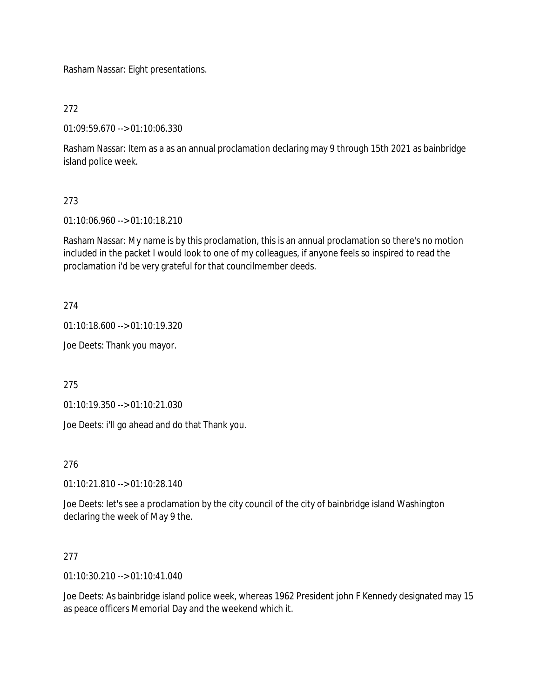Rasham Nassar: Eight presentations.

272

01:09:59.670 --> 01:10:06.330

Rasham Nassar: Item as a as an annual proclamation declaring may 9 through 15th 2021 as bainbridge island police week.

# 273

01:10:06.960 --> 01:10:18.210

Rasham Nassar: My name is by this proclamation, this is an annual proclamation so there's no motion included in the packet I would look to one of my colleagues, if anyone feels so inspired to read the proclamation i'd be very grateful for that councilmember deeds.

274

01:10:18.600 --> 01:10:19.320

Joe Deets: Thank you mayor.

275

01:10:19.350 --> 01:10:21.030

Joe Deets: i'll go ahead and do that Thank you.

276

01:10:21.810 --> 01:10:28.140

Joe Deets: let's see a proclamation by the city council of the city of bainbridge island Washington declaring the week of May 9 the.

### 277

01:10:30.210 --> 01:10:41.040

Joe Deets: As bainbridge island police week, whereas 1962 President john F Kennedy designated may 15 as peace officers Memorial Day and the weekend which it.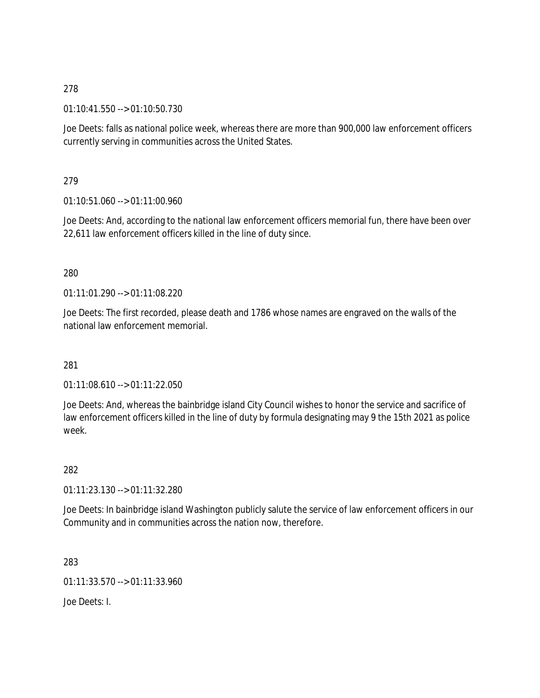01:10:41.550 --> 01:10:50.730

Joe Deets: falls as national police week, whereas there are more than 900,000 law enforcement officers currently serving in communities across the United States.

279

01:10:51.060 --> 01:11:00.960

Joe Deets: And, according to the national law enforcement officers memorial fun, there have been over 22,611 law enforcement officers killed in the line of duty since.

### 280

01:11:01.290 --> 01:11:08.220

Joe Deets: The first recorded, please death and 1786 whose names are engraved on the walls of the national law enforcement memorial.

### 281

01:11:08.610 --> 01:11:22.050

Joe Deets: And, whereas the bainbridge island City Council wishes to honor the service and sacrifice of law enforcement officers killed in the line of duty by formula designating may 9 the 15th 2021 as police week.

282

01:11:23.130 --> 01:11:32.280

Joe Deets: In bainbridge island Washington publicly salute the service of law enforcement officers in our Community and in communities across the nation now, therefore.

283

01:11:33.570 --> 01:11:33.960

Joe Deets: I.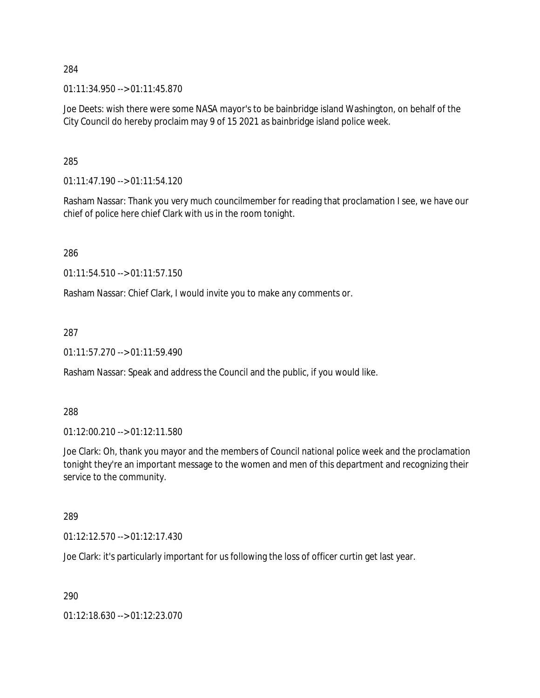01:11:34.950 --> 01:11:45.870

Joe Deets: wish there were some NASA mayor's to be bainbridge island Washington, on behalf of the City Council do hereby proclaim may 9 of 15 2021 as bainbridge island police week.

285

01:11:47.190 --> 01:11:54.120

Rasham Nassar: Thank you very much councilmember for reading that proclamation I see, we have our chief of police here chief Clark with us in the room tonight.

286

01:11:54.510 --> 01:11:57.150

Rasham Nassar: Chief Clark, I would invite you to make any comments or.

287

01:11:57.270 --> 01:11:59.490

Rasham Nassar: Speak and address the Council and the public, if you would like.

288

01:12:00.210 --> 01:12:11.580

Joe Clark: Oh, thank you mayor and the members of Council national police week and the proclamation tonight they're an important message to the women and men of this department and recognizing their service to the community.

289

01:12:12.570 --> 01:12:17.430

Joe Clark: it's particularly important for us following the loss of officer curtin get last year.

290

01:12:18.630 --> 01:12:23.070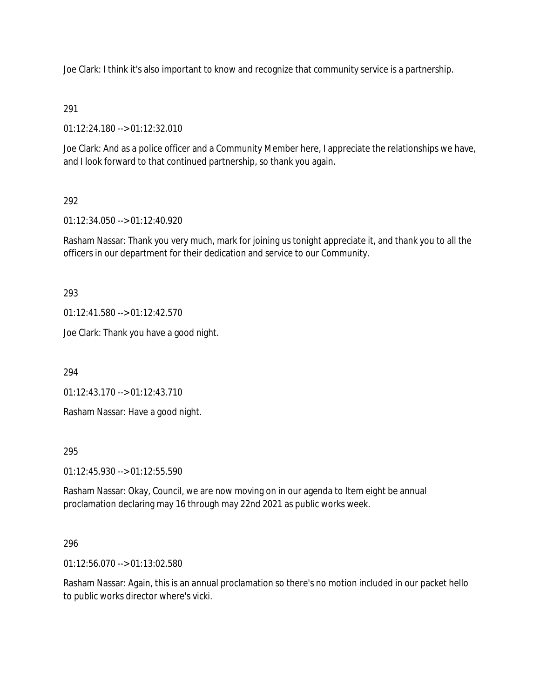Joe Clark: I think it's also important to know and recognize that community service is a partnership.

## 291

01:12:24.180 --> 01:12:32.010

Joe Clark: And as a police officer and a Community Member here, I appreciate the relationships we have, and I look forward to that continued partnership, so thank you again.

## 292

01:12:34.050 --> 01:12:40.920

Rasham Nassar: Thank you very much, mark for joining us tonight appreciate it, and thank you to all the officers in our department for their dedication and service to our Community.

293

01:12:41.580 --> 01:12:42.570

Joe Clark: Thank you have a good night.

294

01:12:43.170 --> 01:12:43.710

Rasham Nassar: Have a good night.

### 295

01:12:45.930 --> 01:12:55.590

Rasham Nassar: Okay, Council, we are now moving on in our agenda to Item eight be annual proclamation declaring may 16 through may 22nd 2021 as public works week.

### 296

01:12:56.070 --> 01:13:02.580

Rasham Nassar: Again, this is an annual proclamation so there's no motion included in our packet hello to public works director where's vicki.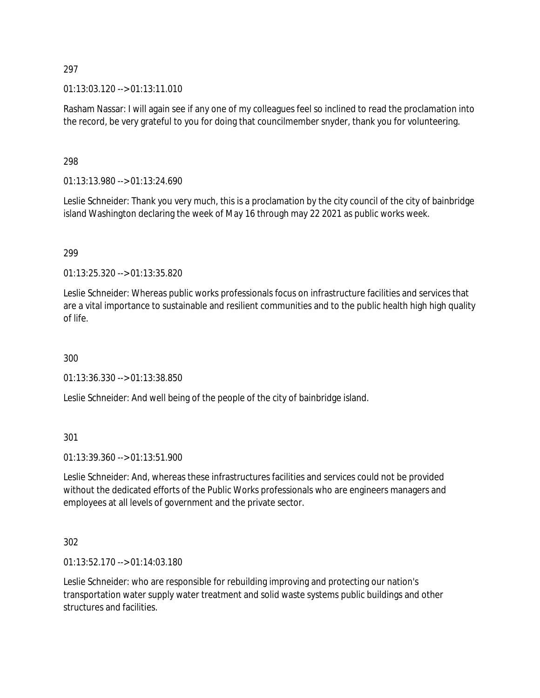### $01:13:03.120 \rightarrow 01:13:11.010$

Rasham Nassar: I will again see if any one of my colleagues feel so inclined to read the proclamation into the record, be very grateful to you for doing that councilmember snyder, thank you for volunteering.

### 298

01:13:13.980 --> 01:13:24.690

Leslie Schneider: Thank you very much, this is a proclamation by the city council of the city of bainbridge island Washington declaring the week of May 16 through may 22 2021 as public works week.

### 299

01:13:25.320 --> 01:13:35.820

Leslie Schneider: Whereas public works professionals focus on infrastructure facilities and services that are a vital importance to sustainable and resilient communities and to the public health high high quality of life.

300

01:13:36.330 --> 01:13:38.850

Leslie Schneider: And well being of the people of the city of bainbridge island.

301

01:13:39.360 --> 01:13:51.900

Leslie Schneider: And, whereas these infrastructures facilities and services could not be provided without the dedicated efforts of the Public Works professionals who are engineers managers and employees at all levels of government and the private sector.

### 302

01:13:52.170 --> 01:14:03.180

Leslie Schneider: who are responsible for rebuilding improving and protecting our nation's transportation water supply water treatment and solid waste systems public buildings and other structures and facilities.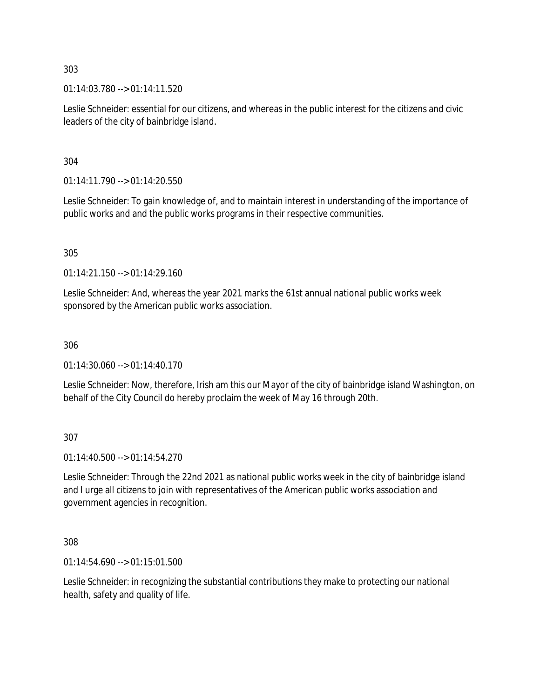01:14:03.780 --> 01:14:11.520

Leslie Schneider: essential for our citizens, and whereas in the public interest for the citizens and civic leaders of the city of bainbridge island.

304

 $01:14:11.790 \rightarrow 01:14:20.550$ 

Leslie Schneider: To gain knowledge of, and to maintain interest in understanding of the importance of public works and and the public works programs in their respective communities.

305

01:14:21.150 --> 01:14:29.160

Leslie Schneider: And, whereas the year 2021 marks the 61st annual national public works week sponsored by the American public works association.

306

 $01:14:30.060 \rightarrow 01:14:40.170$ 

Leslie Schneider: Now, therefore, Irish am this our Mayor of the city of bainbridge island Washington, on behalf of the City Council do hereby proclaim the week of May 16 through 20th.

307

01:14:40.500 --> 01:14:54.270

Leslie Schneider: Through the 22nd 2021 as national public works week in the city of bainbridge island and I urge all citizens to join with representatives of the American public works association and government agencies in recognition.

308

01:14:54.690 --> 01:15:01.500

Leslie Schneider: in recognizing the substantial contributions they make to protecting our national health, safety and quality of life.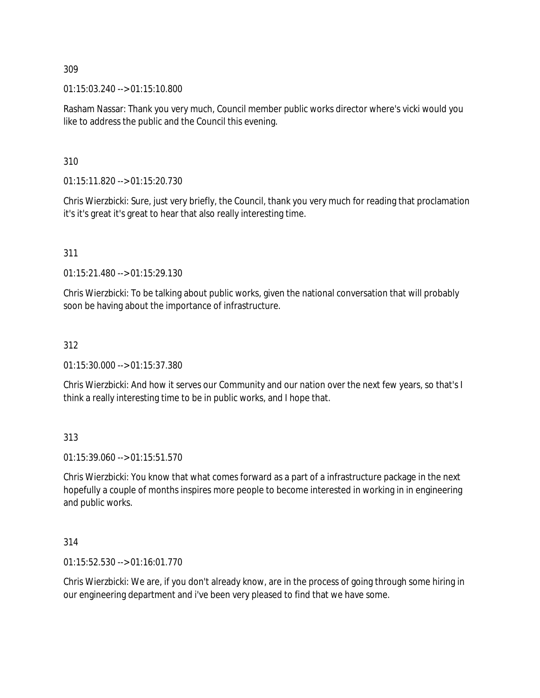01:15:03.240 --> 01:15:10.800

Rasham Nassar: Thank you very much, Council member public works director where's vicki would you like to address the public and the Council this evening.

310

01:15:11.820 --> 01:15:20.730

Chris Wierzbicki: Sure, just very briefly, the Council, thank you very much for reading that proclamation it's it's great it's great to hear that also really interesting time.

311

01:15:21.480 --> 01:15:29.130

Chris Wierzbicki: To be talking about public works, given the national conversation that will probably soon be having about the importance of infrastructure.

## 312

01:15:30.000 --> 01:15:37.380

Chris Wierzbicki: And how it serves our Community and our nation over the next few years, so that's I think a really interesting time to be in public works, and I hope that.

313

01:15:39.060 --> 01:15:51.570

Chris Wierzbicki: You know that what comes forward as a part of a infrastructure package in the next hopefully a couple of months inspires more people to become interested in working in in engineering and public works.

314

01:15:52.530 --> 01:16:01.770

Chris Wierzbicki: We are, if you don't already know, are in the process of going through some hiring in our engineering department and i've been very pleased to find that we have some.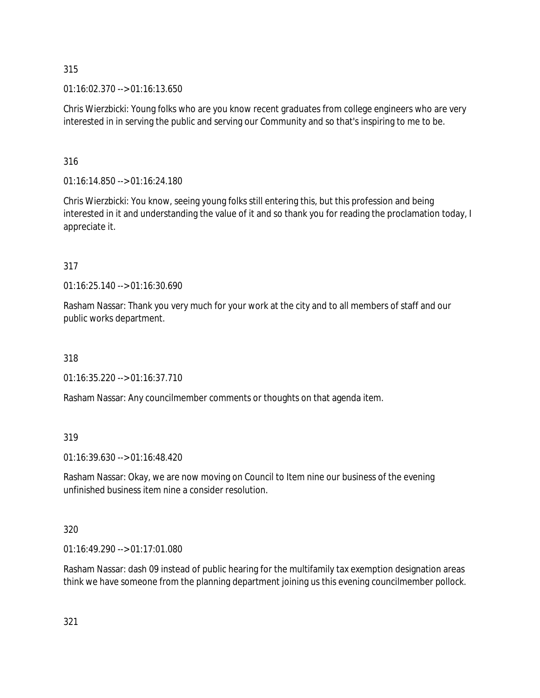01:16:02.370 --> 01:16:13.650

Chris Wierzbicki: Young folks who are you know recent graduates from college engineers who are very interested in in serving the public and serving our Community and so that's inspiring to me to be.

### 316

01:16:14.850 --> 01:16:24.180

Chris Wierzbicki: You know, seeing young folks still entering this, but this profession and being interested in it and understanding the value of it and so thank you for reading the proclamation today, I appreciate it.

## 317

01:16:25.140 --> 01:16:30.690

Rasham Nassar: Thank you very much for your work at the city and to all members of staff and our public works department.

318

01:16:35.220 --> 01:16:37.710

Rasham Nassar: Any councilmember comments or thoughts on that agenda item.

### 319

01:16:39.630 --> 01:16:48.420

Rasham Nassar: Okay, we are now moving on Council to Item nine our business of the evening unfinished business item nine a consider resolution.

## 320

01:16:49.290 --> 01:17:01.080

Rasham Nassar: dash 09 instead of public hearing for the multifamily tax exemption designation areas think we have someone from the planning department joining us this evening councilmember pollock.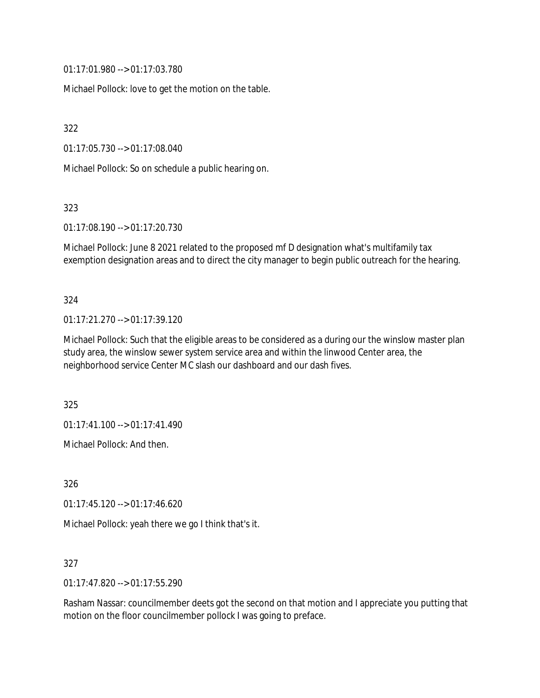01:17:01.980 --> 01:17:03.780

Michael Pollock: love to get the motion on the table.

322

01:17:05.730 --> 01:17:08.040

Michael Pollock: So on schedule a public hearing on.

323

01:17:08.190 --> 01:17:20.730

Michael Pollock: June 8 2021 related to the proposed mf D designation what's multifamily tax exemption designation areas and to direct the city manager to begin public outreach for the hearing.

#### 324

01:17:21.270 --> 01:17:39.120

Michael Pollock: Such that the eligible areas to be considered as a during our the winslow master plan study area, the winslow sewer system service area and within the linwood Center area, the neighborhood service Center MC slash our dashboard and our dash fives.

325

01:17:41.100 --> 01:17:41.490

Michael Pollock: And then.

326

01:17:45.120 --> 01:17:46.620

Michael Pollock: yeah there we go I think that's it.

327

01:17:47.820 --> 01:17:55.290

Rasham Nassar: councilmember deets got the second on that motion and I appreciate you putting that motion on the floor councilmember pollock I was going to preface.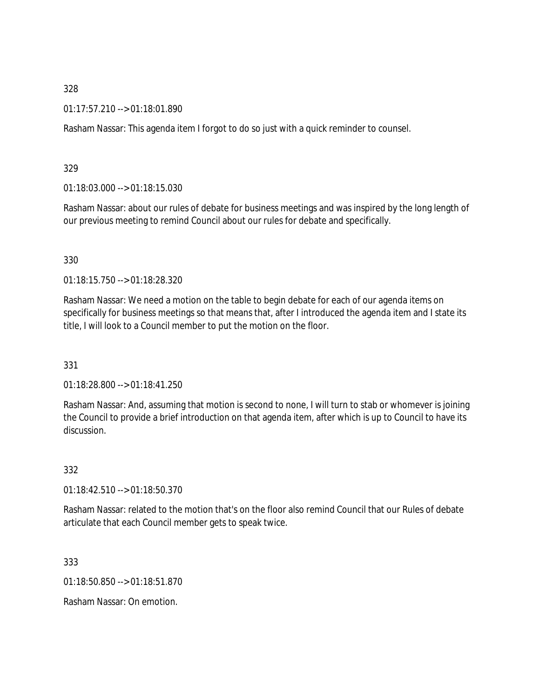01:17:57.210 --> 01:18:01.890

Rasham Nassar: This agenda item I forgot to do so just with a quick reminder to counsel.

329

01:18:03.000 --> 01:18:15.030

Rasham Nassar: about our rules of debate for business meetings and was inspired by the long length of our previous meeting to remind Council about our rules for debate and specifically.

330

01:18:15.750 --> 01:18:28.320

Rasham Nassar: We need a motion on the table to begin debate for each of our agenda items on specifically for business meetings so that means that, after I introduced the agenda item and I state its title, I will look to a Council member to put the motion on the floor.

331

01:18:28.800 --> 01:18:41.250

Rasham Nassar: And, assuming that motion is second to none, I will turn to stab or whomever is joining the Council to provide a brief introduction on that agenda item, after which is up to Council to have its discussion.

332

01:18:42.510 --> 01:18:50.370

Rasham Nassar: related to the motion that's on the floor also remind Council that our Rules of debate articulate that each Council member gets to speak twice.

333

01:18:50.850 --> 01:18:51.870

Rasham Nassar: On emotion.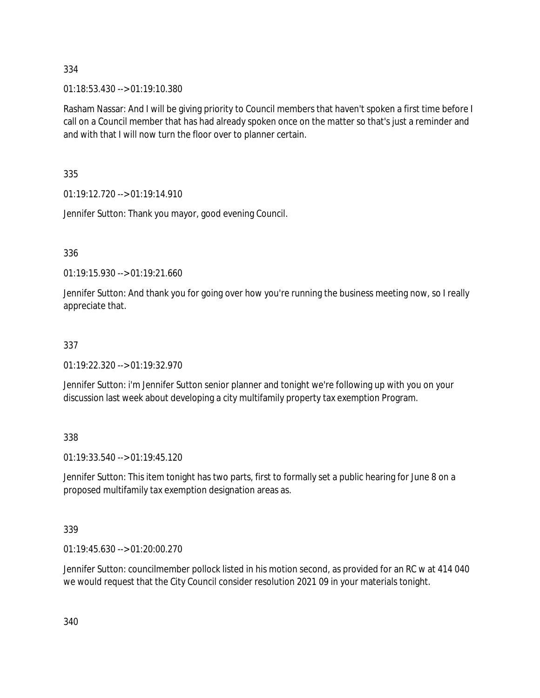01:18:53.430 --> 01:19:10.380

Rasham Nassar: And I will be giving priority to Council members that haven't spoken a first time before I call on a Council member that has had already spoken once on the matter so that's just a reminder and and with that I will now turn the floor over to planner certain.

335

01:19:12.720 --> 01:19:14.910

Jennifer Sutton: Thank you mayor, good evening Council.

### 336

01:19:15.930 --> 01:19:21.660

Jennifer Sutton: And thank you for going over how you're running the business meeting now, so I really appreciate that.

#### 337

01:19:22.320 --> 01:19:32.970

Jennifer Sutton: i'm Jennifer Sutton senior planner and tonight we're following up with you on your discussion last week about developing a city multifamily property tax exemption Program.

338

01:19:33.540 --> 01:19:45.120

Jennifer Sutton: This item tonight has two parts, first to formally set a public hearing for June 8 on a proposed multifamily tax exemption designation areas as.

### 339

01:19:45.630 --> 01:20:00.270

Jennifer Sutton: councilmember pollock listed in his motion second, as provided for an RC w at 414 040 we would request that the City Council consider resolution 2021 09 in your materials tonight.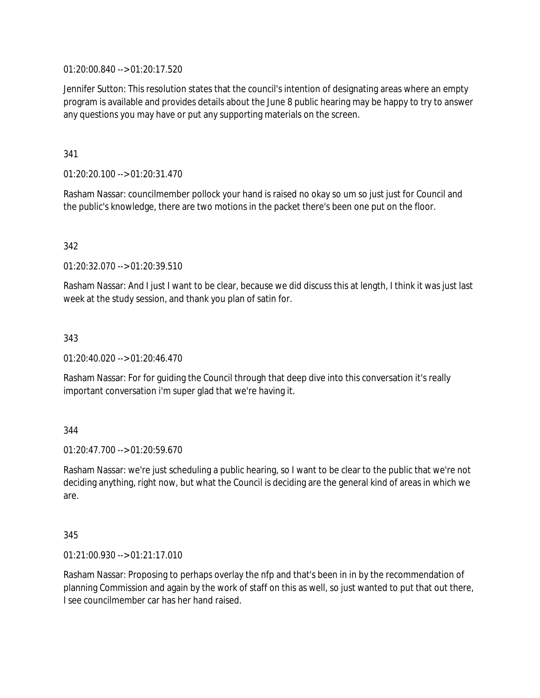01:20:00.840 --> 01:20:17.520

Jennifer Sutton: This resolution states that the council's intention of designating areas where an empty program is available and provides details about the June 8 public hearing may be happy to try to answer any questions you may have or put any supporting materials on the screen.

341

01:20:20.100 --> 01:20:31.470

Rasham Nassar: councilmember pollock your hand is raised no okay so um so just just for Council and the public's knowledge, there are two motions in the packet there's been one put on the floor.

342

01:20:32.070 --> 01:20:39.510

Rasham Nassar: And I just I want to be clear, because we did discuss this at length, I think it was just last week at the study session, and thank you plan of satin for.

343

01:20:40.020 --> 01:20:46.470

Rasham Nassar: For for guiding the Council through that deep dive into this conversation it's really important conversation i'm super glad that we're having it.

344

 $01:20:47.700 \rightarrow 01:20:59.670$ 

Rasham Nassar: we're just scheduling a public hearing, so I want to be clear to the public that we're not deciding anything, right now, but what the Council is deciding are the general kind of areas in which we are.

345

01:21:00.930 --> 01:21:17.010

Rasham Nassar: Proposing to perhaps overlay the nfp and that's been in in by the recommendation of planning Commission and again by the work of staff on this as well, so just wanted to put that out there, I see councilmember car has her hand raised.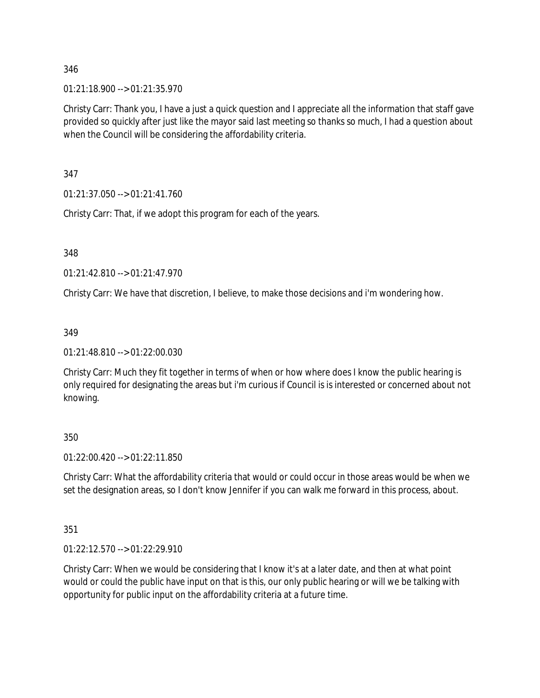01:21:18.900 --> 01:21:35.970

Christy Carr: Thank you, I have a just a quick question and I appreciate all the information that staff gave provided so quickly after just like the mayor said last meeting so thanks so much, I had a question about when the Council will be considering the affordability criteria.

347

01:21:37.050 --> 01:21:41.760

Christy Carr: That, if we adopt this program for each of the years.

348

 $01:21:42.810 \rightarrow 01:21:47.970$ 

Christy Carr: We have that discretion, I believe, to make those decisions and i'm wondering how.

349

01:21:48.810 --> 01:22:00.030

Christy Carr: Much they fit together in terms of when or how where does I know the public hearing is only required for designating the areas but i'm curious if Council is is interested or concerned about not knowing.

350

01:22:00.420 --> 01:22:11.850

Christy Carr: What the affordability criteria that would or could occur in those areas would be when we set the designation areas, so I don't know Jennifer if you can walk me forward in this process, about.

351

01:22:12.570 --> 01:22:29.910

Christy Carr: When we would be considering that I know it's at a later date, and then at what point would or could the public have input on that is this, our only public hearing or will we be talking with opportunity for public input on the affordability criteria at a future time.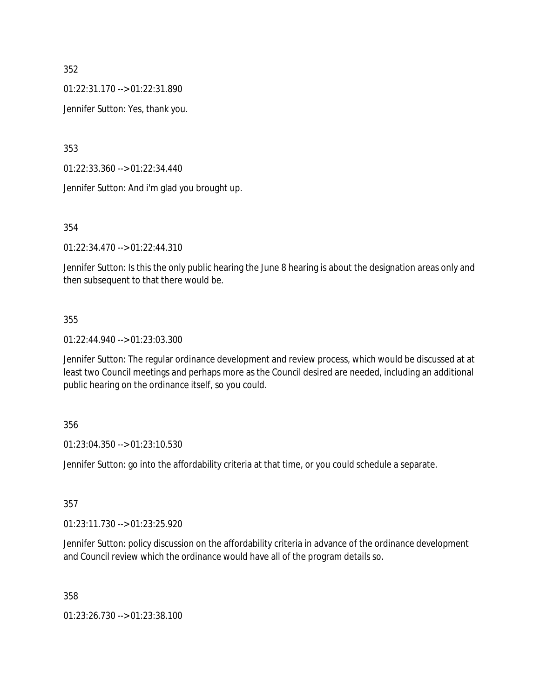01:22:31.170 --> 01:22:31.890

Jennifer Sutton: Yes, thank you.

353

01:22:33.360 --> 01:22:34.440

Jennifer Sutton: And i'm glad you brought up.

354

01:22:34.470 --> 01:22:44.310

Jennifer Sutton: Is this the only public hearing the June 8 hearing is about the designation areas only and then subsequent to that there would be.

### 355

01:22:44.940 --> 01:23:03.300

Jennifer Sutton: The regular ordinance development and review process, which would be discussed at at least two Council meetings and perhaps more as the Council desired are needed, including an additional public hearing on the ordinance itself, so you could.

### 356

01:23:04.350 --> 01:23:10.530

Jennifer Sutton: go into the affordability criteria at that time, or you could schedule a separate.

### 357

01:23:11.730 --> 01:23:25.920

Jennifer Sutton: policy discussion on the affordability criteria in advance of the ordinance development and Council review which the ordinance would have all of the program details so.

358

01:23:26.730 --> 01:23:38.100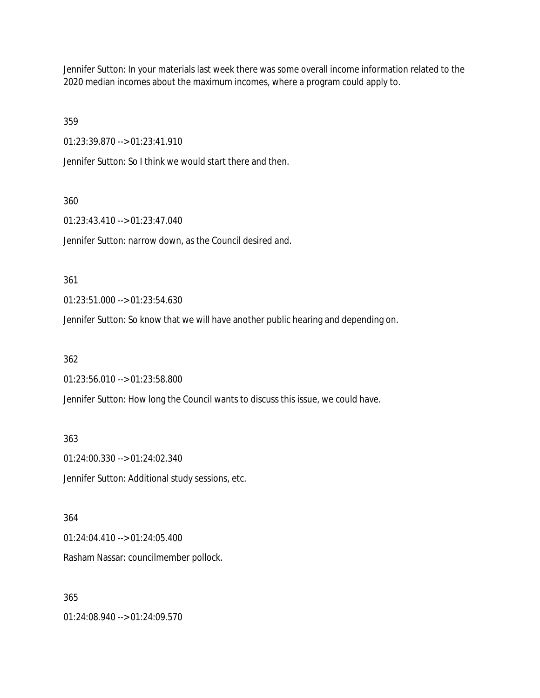Jennifer Sutton: In your materials last week there was some overall income information related to the 2020 median incomes about the maximum incomes, where a program could apply to.

359

01:23:39.870 --> 01:23:41.910

Jennifer Sutton: So I think we would start there and then.

#### 360

01:23:43.410 --> 01:23:47.040

Jennifer Sutton: narrow down, as the Council desired and.

#### 361

01:23:51.000 --> 01:23:54.630

Jennifer Sutton: So know that we will have another public hearing and depending on.

### 362

01:23:56.010 --> 01:23:58.800

Jennifer Sutton: How long the Council wants to discuss this issue, we could have.

363

01:24:00.330 --> 01:24:02.340

Jennifer Sutton: Additional study sessions, etc.

#### 364

01:24:04.410 --> 01:24:05.400

Rasham Nassar: councilmember pollock.

### 365

01:24:08.940 --> 01:24:09.570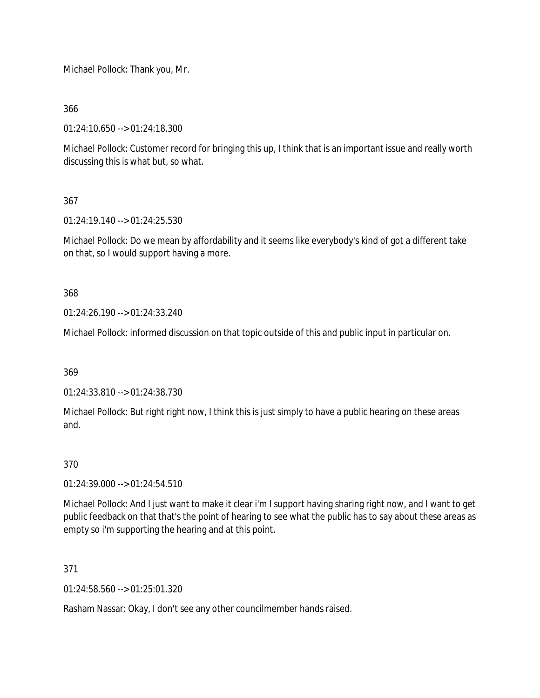Michael Pollock: Thank you, Mr.

366

01:24:10.650 --> 01:24:18.300

Michael Pollock: Customer record for bringing this up, I think that is an important issue and really worth discussing this is what but, so what.

# 367

01:24:19.140 --> 01:24:25.530

Michael Pollock: Do we mean by affordability and it seems like everybody's kind of got a different take on that, so I would support having a more.

368

01:24:26.190 --> 01:24:33.240

Michael Pollock: informed discussion on that topic outside of this and public input in particular on.

369

01:24:33.810 --> 01:24:38.730

Michael Pollock: But right right now, I think this is just simply to have a public hearing on these areas and.

### 370

01:24:39.000 --> 01:24:54.510

Michael Pollock: And I just want to make it clear i'm I support having sharing right now, and I want to get public feedback on that that's the point of hearing to see what the public has to say about these areas as empty so i'm supporting the hearing and at this point.

371

01:24:58.560 --> 01:25:01.320

Rasham Nassar: Okay, I don't see any other councilmember hands raised.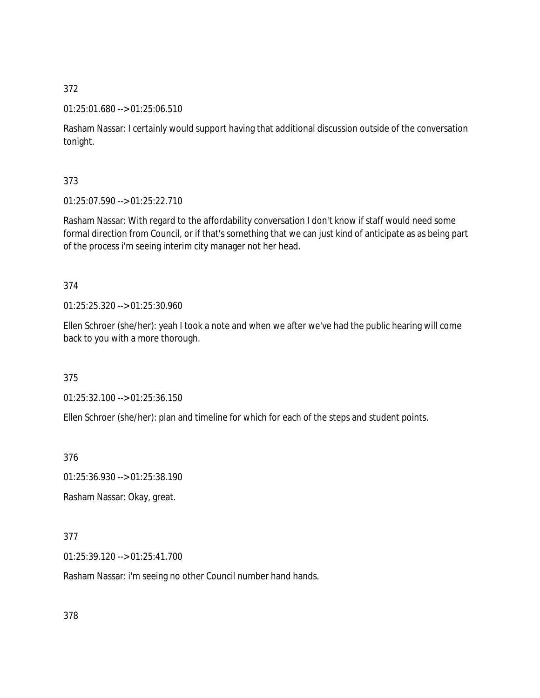### 01:25:01.680 --> 01:25:06.510

Rasham Nassar: I certainly would support having that additional discussion outside of the conversation tonight.

## 373

01:25:07.590 --> 01:25:22.710

Rasham Nassar: With regard to the affordability conversation I don't know if staff would need some formal direction from Council, or if that's something that we can just kind of anticipate as as being part of the process i'm seeing interim city manager not her head.

## 374

01:25:25.320 --> 01:25:30.960

Ellen Schroer (she/her): yeah I took a note and when we after we've had the public hearing will come back to you with a more thorough.

### 375

01:25:32.100 --> 01:25:36.150

Ellen Schroer (she/her): plan and timeline for which for each of the steps and student points.

376

01:25:36.930 --> 01:25:38.190

Rasham Nassar: Okay, great.

### 377

01:25:39.120 --> 01:25:41.700

Rasham Nassar: i'm seeing no other Council number hand hands.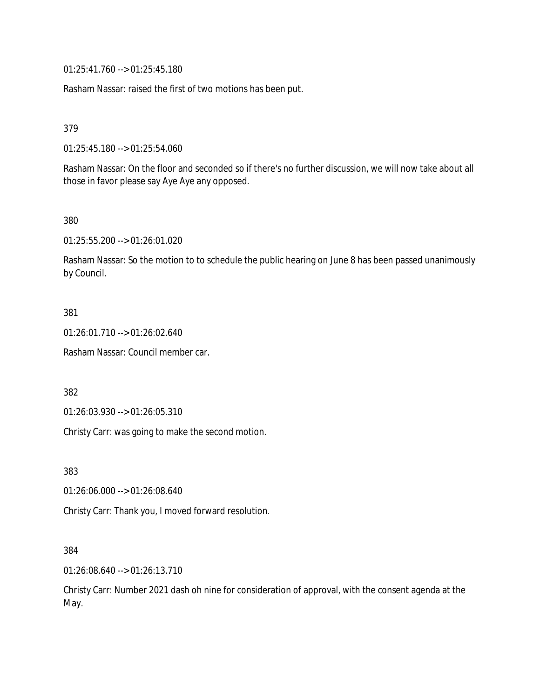01:25:41.760 --> 01:25:45.180

Rasham Nassar: raised the first of two motions has been put.

379

01:25:45.180 --> 01:25:54.060

Rasham Nassar: On the floor and seconded so if there's no further discussion, we will now take about all those in favor please say Aye Aye any opposed.

380

01:25:55.200 --> 01:26:01.020

Rasham Nassar: So the motion to to schedule the public hearing on June 8 has been passed unanimously by Council.

#### 381

01:26:01.710 --> 01:26:02.640

Rasham Nassar: Council member car.

382

01:26:03.930 --> 01:26:05.310

Christy Carr: was going to make the second motion.

383

01:26:06.000 --> 01:26:08.640

Christy Carr: Thank you, I moved forward resolution.

#### 384

01:26:08.640 --> 01:26:13.710

Christy Carr: Number 2021 dash oh nine for consideration of approval, with the consent agenda at the May.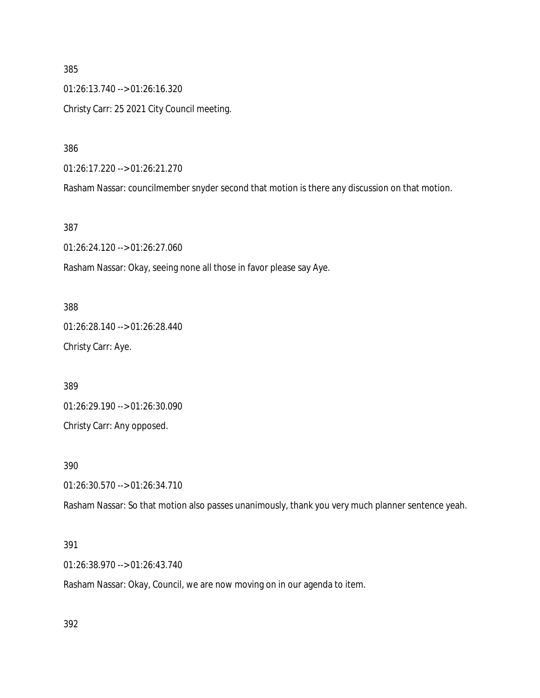385 01:26:13.740 --> 01:26:16.320 Christy Carr: 25 2021 City Council meeting.

386

01:26:17.220 --> 01:26:21.270

Rasham Nassar: councilmember snyder second that motion is there any discussion on that motion.

387

01:26:24.120 --> 01:26:27.060

Rasham Nassar: Okay, seeing none all those in favor please say Aye.

388 01:26:28.140 --> 01:26:28.440 Christy Carr: Aye.

389

01:26:29.190 --> 01:26:30.090

Christy Carr: Any opposed.

390

01:26:30.570 --> 01:26:34.710

Rasham Nassar: So that motion also passes unanimously, thank you very much planner sentence yeah.

### 391

01:26:38.970 --> 01:26:43.740

Rasham Nassar: Okay, Council, we are now moving on in our agenda to item.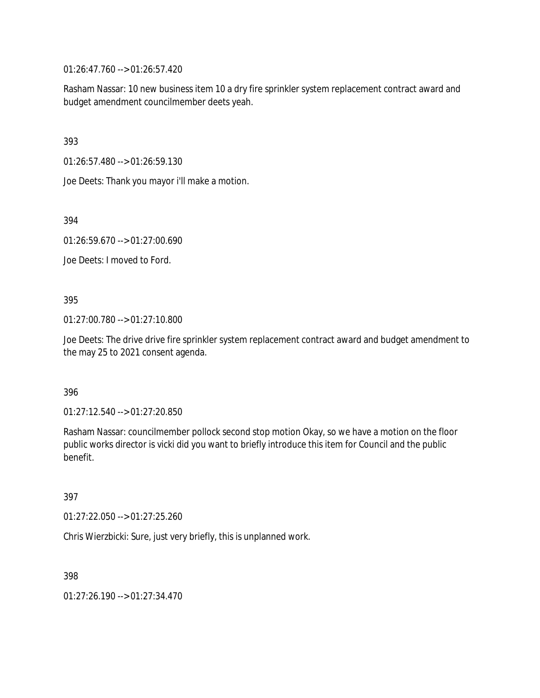01:26:47.760 --> 01:26:57.420

Rasham Nassar: 10 new business item 10 a dry fire sprinkler system replacement contract award and budget amendment councilmember deets yeah.

393

01:26:57.480 --> 01:26:59.130

Joe Deets: Thank you mayor i'll make a motion.

394

01:26:59.670 --> 01:27:00.690

Joe Deets: I moved to Ford.

395

01:27:00.780 --> 01:27:10.800

Joe Deets: The drive drive fire sprinkler system replacement contract award and budget amendment to the may 25 to 2021 consent agenda.

396

01:27:12.540 --> 01:27:20.850

Rasham Nassar: councilmember pollock second stop motion Okay, so we have a motion on the floor public works director is vicki did you want to briefly introduce this item for Council and the public benefit.

397

01:27:22.050 --> 01:27:25.260

Chris Wierzbicki: Sure, just very briefly, this is unplanned work.

398

01:27:26.190 --> 01:27:34.470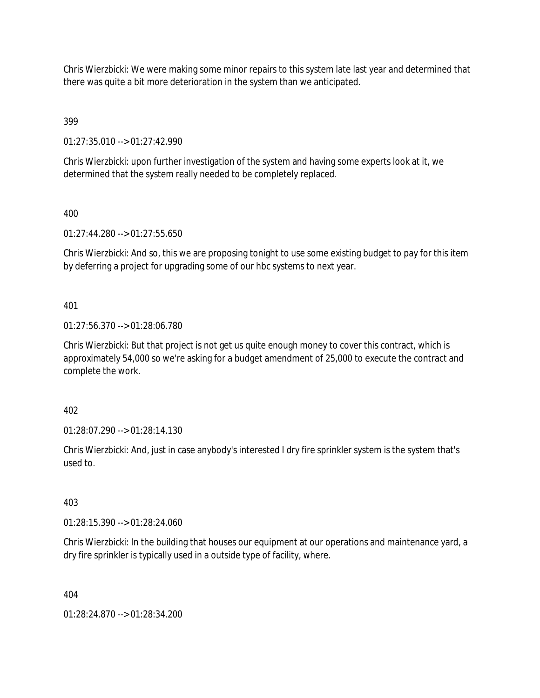Chris Wierzbicki: We were making some minor repairs to this system late last year and determined that there was quite a bit more deterioration in the system than we anticipated.

399

01:27:35.010 --> 01:27:42.990

Chris Wierzbicki: upon further investigation of the system and having some experts look at it, we determined that the system really needed to be completely replaced.

400

01:27:44.280 --> 01:27:55.650

Chris Wierzbicki: And so, this we are proposing tonight to use some existing budget to pay for this item by deferring a project for upgrading some of our hbc systems to next year.

401

01:27:56.370 --> 01:28:06.780

Chris Wierzbicki: But that project is not get us quite enough money to cover this contract, which is approximately 54,000 so we're asking for a budget amendment of 25,000 to execute the contract and complete the work.

402

01:28:07.290 --> 01:28:14.130

Chris Wierzbicki: And, just in case anybody's interested I dry fire sprinkler system is the system that's used to.

403

01:28:15.390 --> 01:28:24.060

Chris Wierzbicki: In the building that houses our equipment at our operations and maintenance yard, a dry fire sprinkler is typically used in a outside type of facility, where.

404

01:28:24.870 --> 01:28:34.200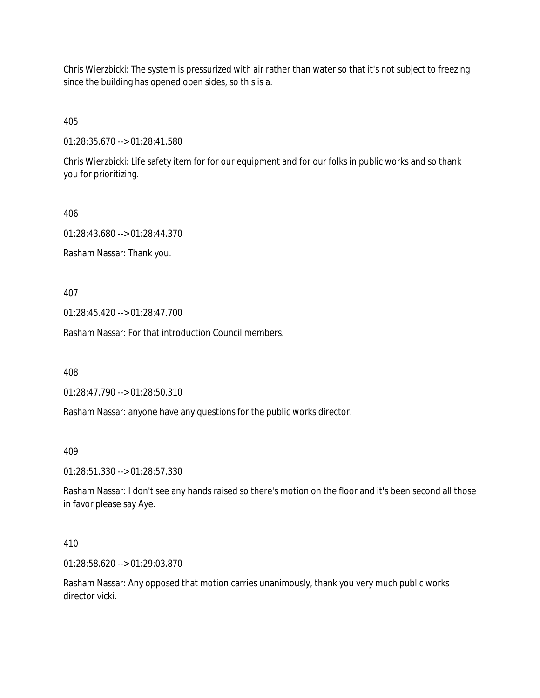Chris Wierzbicki: The system is pressurized with air rather than water so that it's not subject to freezing since the building has opened open sides, so this is a.

405

01:28:35.670 --> 01:28:41.580

Chris Wierzbicki: Life safety item for for our equipment and for our folks in public works and so thank you for prioritizing.

406

01:28:43.680 --> 01:28:44.370

Rasham Nassar: Thank you.

407

01:28:45.420 --> 01:28:47.700

Rasham Nassar: For that introduction Council members.

408

01:28:47.790 --> 01:28:50.310

Rasham Nassar: anyone have any questions for the public works director.

409

01:28:51.330 --> 01:28:57.330

Rasham Nassar: I don't see any hands raised so there's motion on the floor and it's been second all those in favor please say Aye.

410

01:28:58.620 --> 01:29:03.870

Rasham Nassar: Any opposed that motion carries unanimously, thank you very much public works director vicki.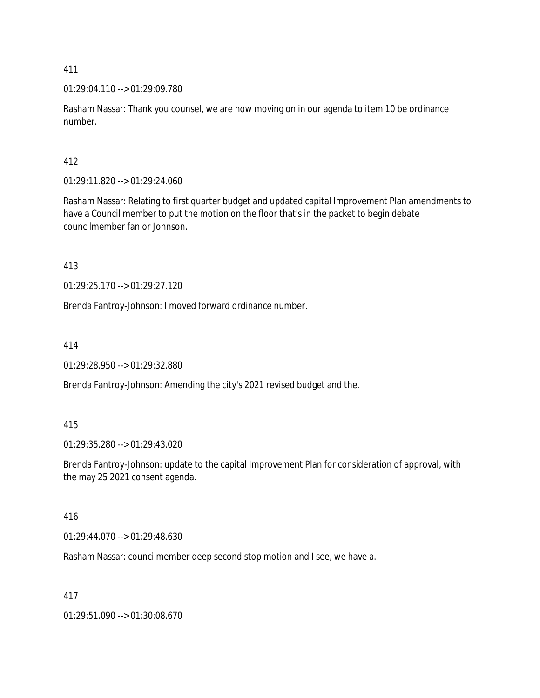01:29:04.110 --> 01:29:09.780

Rasham Nassar: Thank you counsel, we are now moving on in our agenda to item 10 be ordinance number.

# 412

01:29:11.820 --> 01:29:24.060

Rasham Nassar: Relating to first quarter budget and updated capital Improvement Plan amendments to have a Council member to put the motion on the floor that's in the packet to begin debate councilmember fan or Johnson.

413

01:29:25.170 --> 01:29:27.120

Brenda Fantroy-Johnson: I moved forward ordinance number.

414

01:29:28.950 --> 01:29:32.880

Brenda Fantroy-Johnson: Amending the city's 2021 revised budget and the.

# 415

01:29:35.280 --> 01:29:43.020

Brenda Fantroy-Johnson: update to the capital Improvement Plan for consideration of approval, with the may 25 2021 consent agenda.

# 416

01:29:44.070 --> 01:29:48.630

Rasham Nassar: councilmember deep second stop motion and I see, we have a.

# 417

01:29:51.090 --> 01:30:08.670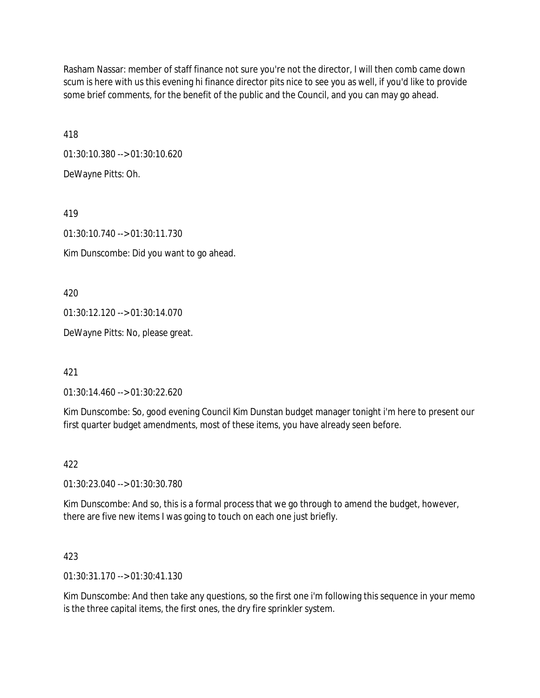Rasham Nassar: member of staff finance not sure you're not the director, I will then comb came down scum is here with us this evening hi finance director pits nice to see you as well, if you'd like to provide some brief comments, for the benefit of the public and the Council, and you can may go ahead.

418

01:30:10.380 --> 01:30:10.620 DeWayne Pitts: Oh.

419

01:30:10.740 --> 01:30:11.730

Kim Dunscombe: Did you want to go ahead.

420

01:30:12.120 --> 01:30:14.070

DeWayne Pitts: No, please great.

421

01:30:14.460 --> 01:30:22.620

Kim Dunscombe: So, good evening Council Kim Dunstan budget manager tonight i'm here to present our first quarter budget amendments, most of these items, you have already seen before.

422

01:30:23.040 --> 01:30:30.780

Kim Dunscombe: And so, this is a formal process that we go through to amend the budget, however, there are five new items I was going to touch on each one just briefly.

423

01:30:31.170 --> 01:30:41.130

Kim Dunscombe: And then take any questions, so the first one i'm following this sequence in your memo is the three capital items, the first ones, the dry fire sprinkler system.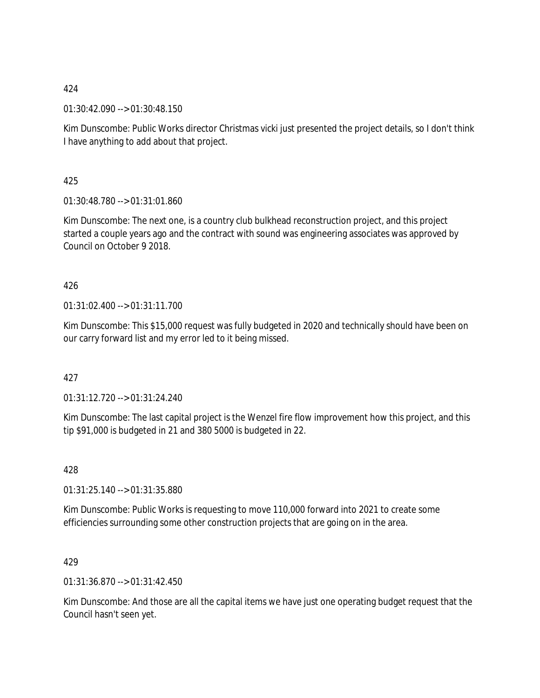01:30:42.090 --> 01:30:48.150

Kim Dunscombe: Public Works director Christmas vicki just presented the project details, so I don't think I have anything to add about that project.

425

01:30:48.780 --> 01:31:01.860

Kim Dunscombe: The next one, is a country club bulkhead reconstruction project, and this project started a couple years ago and the contract with sound was engineering associates was approved by Council on October 9 2018.

## 426

01:31:02.400 --> 01:31:11.700

Kim Dunscombe: This \$15,000 request was fully budgeted in 2020 and technically should have been on our carry forward list and my error led to it being missed.

### 427

01:31:12.720 --> 01:31:24.240

Kim Dunscombe: The last capital project is the Wenzel fire flow improvement how this project, and this tip \$91,000 is budgeted in 21 and 380 5000 is budgeted in 22.

428

01:31:25.140 --> 01:31:35.880

Kim Dunscombe: Public Works is requesting to move 110,000 forward into 2021 to create some efficiencies surrounding some other construction projects that are going on in the area.

### 429

01:31:36.870 --> 01:31:42.450

Kim Dunscombe: And those are all the capital items we have just one operating budget request that the Council hasn't seen yet.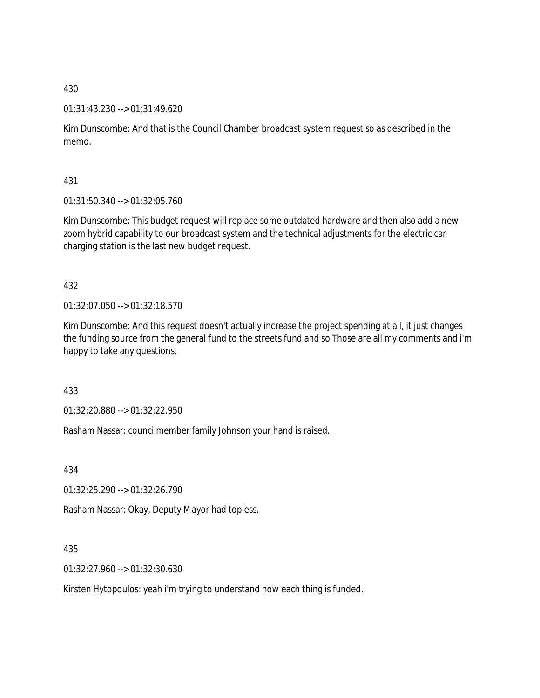### 01:31:43.230 --> 01:31:49.620

Kim Dunscombe: And that is the Council Chamber broadcast system request so as described in the memo.

431

01:31:50.340 --> 01:32:05.760

Kim Dunscombe: This budget request will replace some outdated hardware and then also add a new zoom hybrid capability to our broadcast system and the technical adjustments for the electric car charging station is the last new budget request.

432

01:32:07.050 --> 01:32:18.570

Kim Dunscombe: And this request doesn't actually increase the project spending at all, it just changes the funding source from the general fund to the streets fund and so Those are all my comments and i'm happy to take any questions.

433

01:32:20.880 --> 01:32:22.950

Rasham Nassar: councilmember family Johnson your hand is raised.

434

01:32:25.290 --> 01:32:26.790

Rasham Nassar: Okay, Deputy Mayor had topless.

435

01:32:27.960 --> 01:32:30.630

Kirsten Hytopoulos: yeah i'm trying to understand how each thing is funded.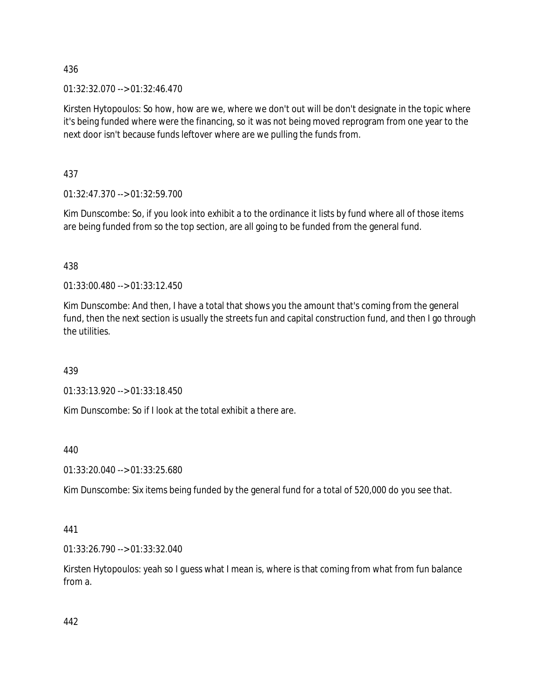01:32:32.070 --> 01:32:46.470

Kirsten Hytopoulos: So how, how are we, where we don't out will be don't designate in the topic where it's being funded where were the financing, so it was not being moved reprogram from one year to the next door isn't because funds leftover where are we pulling the funds from.

437

01:32:47.370 --> 01:32:59.700

Kim Dunscombe: So, if you look into exhibit a to the ordinance it lists by fund where all of those items are being funded from so the top section, are all going to be funded from the general fund.

438

01:33:00.480 --> 01:33:12.450

Kim Dunscombe: And then, I have a total that shows you the amount that's coming from the general fund, then the next section is usually the streets fun and capital construction fund, and then I go through the utilities.

439

01:33:13.920 --> 01:33:18.450

Kim Dunscombe: So if I look at the total exhibit a there are.

440

01:33:20.040 --> 01:33:25.680

Kim Dunscombe: Six items being funded by the general fund for a total of 520,000 do you see that.

441

01:33:26.790 --> 01:33:32.040

Kirsten Hytopoulos: yeah so I guess what I mean is, where is that coming from what from fun balance from a.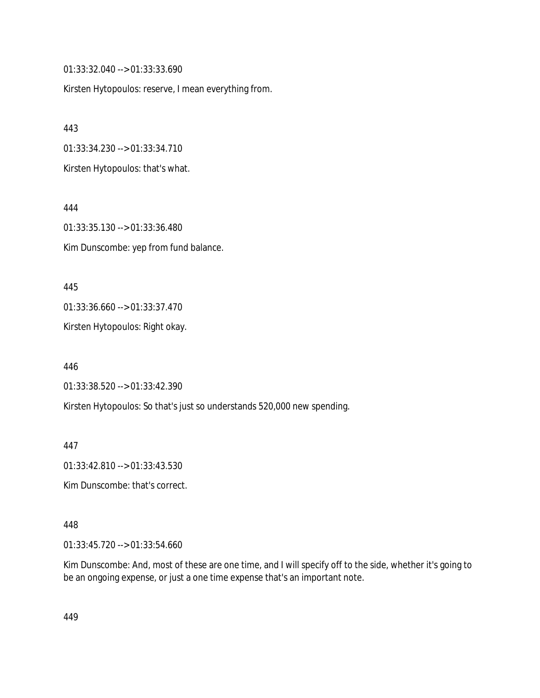01:33:32.040 --> 01:33:33.690

Kirsten Hytopoulos: reserve, I mean everything from.

443 01:33:34.230 --> 01:33:34.710 Kirsten Hytopoulos: that's what.

444 01:33:35.130 --> 01:33:36.480 Kim Dunscombe: yep from fund balance.

445 01:33:36.660 --> 01:33:37.470

Kirsten Hytopoulos: Right okay.

446 01:33:38.520 --> 01:33:42.390

Kirsten Hytopoulos: So that's just so understands 520,000 new spending.

447

01:33:42.810 --> 01:33:43.530

Kim Dunscombe: that's correct.

448

01:33:45.720 --> 01:33:54.660

Kim Dunscombe: And, most of these are one time, and I will specify off to the side, whether it's going to be an ongoing expense, or just a one time expense that's an important note.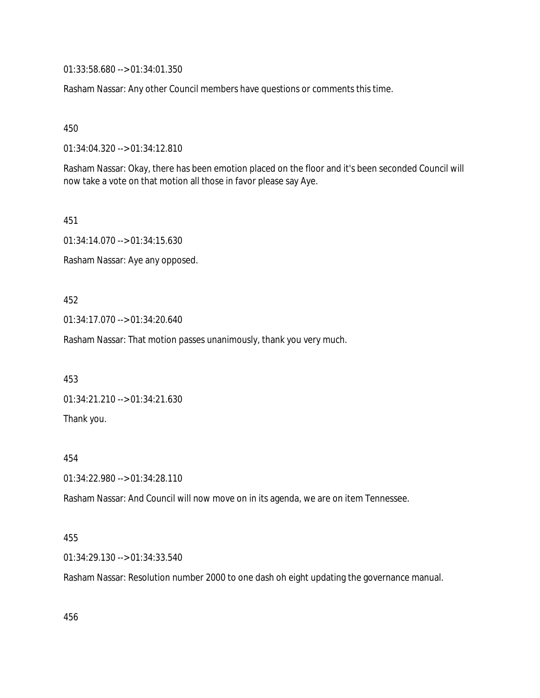01:33:58.680 --> 01:34:01.350

Rasham Nassar: Any other Council members have questions or comments this time.

450

01:34:04.320 --> 01:34:12.810

Rasham Nassar: Okay, there has been emotion placed on the floor and it's been seconded Council will now take a vote on that motion all those in favor please say Aye.

451

01:34:14.070 --> 01:34:15.630

Rasham Nassar: Aye any opposed.

452

01:34:17.070 --> 01:34:20.640

Rasham Nassar: That motion passes unanimously, thank you very much.

453

01:34:21.210 --> 01:34:21.630

Thank you.

454

01:34:22.980 --> 01:34:28.110

Rasham Nassar: And Council will now move on in its agenda, we are on item Tennessee.

#### 455

01:34:29.130 --> 01:34:33.540

Rasham Nassar: Resolution number 2000 to one dash oh eight updating the governance manual.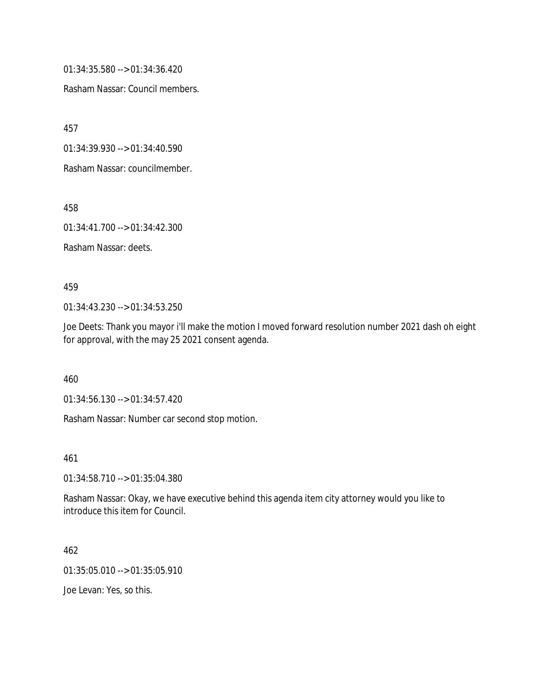01:34:35.580 --> 01:34:36.420

Rasham Nassar: Council members.

457

01:34:39.930 --> 01:34:40.590

Rasham Nassar: councilmember.

458

01:34:41.700 --> 01:34:42.300

Rasham Nassar: deets.

#### 459

01:34:43.230 --> 01:34:53.250

Joe Deets: Thank you mayor i'll make the motion I moved forward resolution number 2021 dash oh eight for approval, with the may 25 2021 consent agenda.

460

01:34:56.130 --> 01:34:57.420

Rasham Nassar: Number car second stop motion.

461

01:34:58.710 --> 01:35:04.380

Rasham Nassar: Okay, we have executive behind this agenda item city attorney would you like to introduce this item for Council.

462

01:35:05.010 --> 01:35:05.910

Joe Levan: Yes, so this.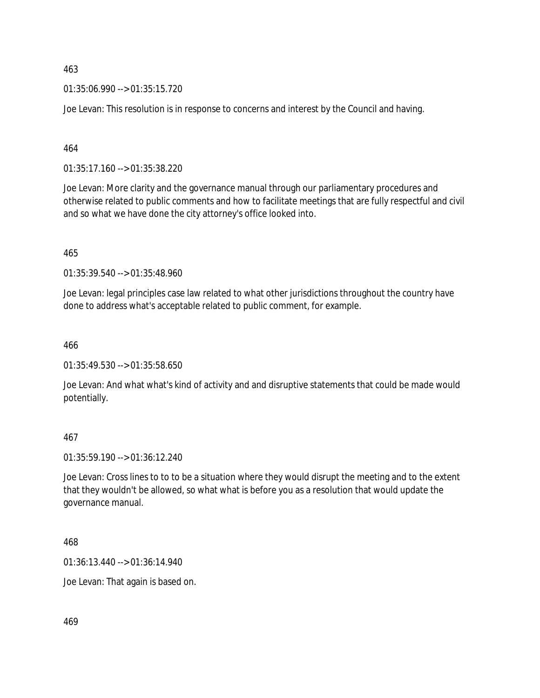01:35:06.990 --> 01:35:15.720

Joe Levan: This resolution is in response to concerns and interest by the Council and having.

464

01:35:17.160 --> 01:35:38.220

Joe Levan: More clarity and the governance manual through our parliamentary procedures and otherwise related to public comments and how to facilitate meetings that are fully respectful and civil and so what we have done the city attorney's office looked into.

465

01:35:39.540 --> 01:35:48.960

Joe Levan: legal principles case law related to what other jurisdictions throughout the country have done to address what's acceptable related to public comment, for example.

466

01:35:49.530 --> 01:35:58.650

Joe Levan: And what what's kind of activity and and disruptive statements that could be made would potentially.

467

01:35:59.190 --> 01:36:12.240

Joe Levan: Cross lines to to to be a situation where they would disrupt the meeting and to the extent that they wouldn't be allowed, so what what is before you as a resolution that would update the governance manual.

468

01:36:13.440 --> 01:36:14.940

Joe Levan: That again is based on.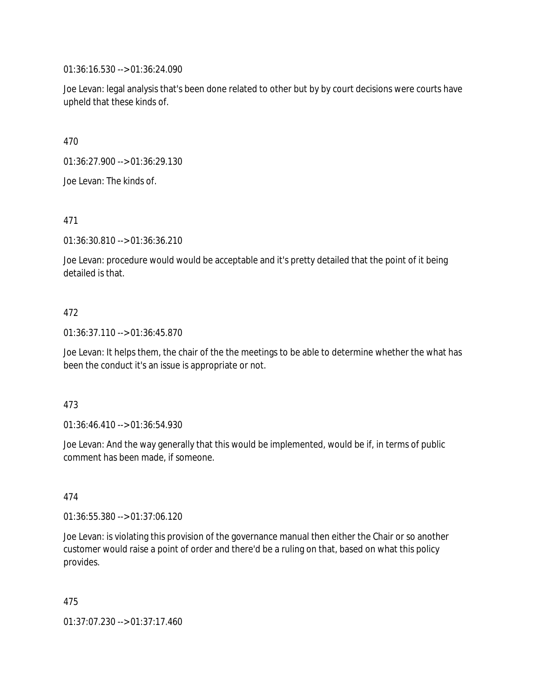01:36:16.530 --> 01:36:24.090

Joe Levan: legal analysis that's been done related to other but by by court decisions were courts have upheld that these kinds of.

470

01:36:27.900 --> 01:36:29.130

Joe Levan: The kinds of.

471

01:36:30.810 --> 01:36:36.210

Joe Levan: procedure would would be acceptable and it's pretty detailed that the point of it being detailed is that.

# 472

01:36:37.110 --> 01:36:45.870

Joe Levan: It helps them, the chair of the the meetings to be able to determine whether the what has been the conduct it's an issue is appropriate or not.

# 473

01:36:46.410 --> 01:36:54.930

Joe Levan: And the way generally that this would be implemented, would be if, in terms of public comment has been made, if someone.

# 474

01:36:55.380 --> 01:37:06.120

Joe Levan: is violating this provision of the governance manual then either the Chair or so another customer would raise a point of order and there'd be a ruling on that, based on what this policy provides.

475

01:37:07.230 --> 01:37:17.460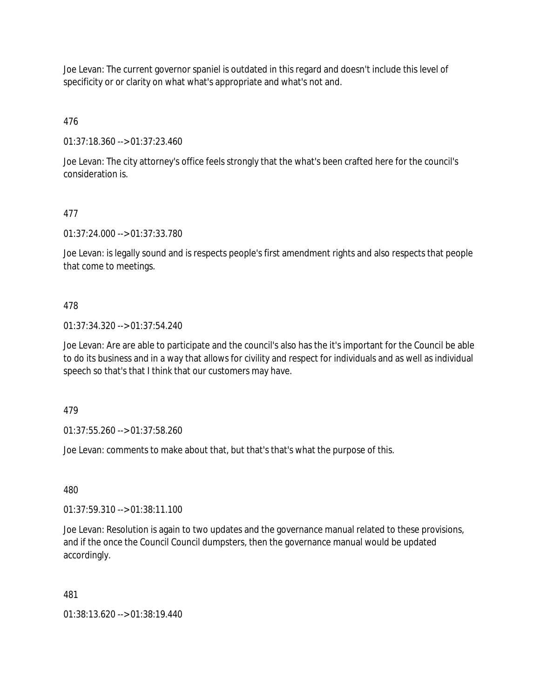Joe Levan: The current governor spaniel is outdated in this regard and doesn't include this level of specificity or or clarity on what what's appropriate and what's not and.

476

01:37:18.360 --> 01:37:23.460

Joe Levan: The city attorney's office feels strongly that the what's been crafted here for the council's consideration is.

# 477

01:37:24.000 --> 01:37:33.780

Joe Levan: is legally sound and is respects people's first amendment rights and also respects that people that come to meetings.

# 478

01:37:34.320 --> 01:37:54.240

Joe Levan: Are are able to participate and the council's also has the it's important for the Council be able to do its business and in a way that allows for civility and respect for individuals and as well as individual speech so that's that I think that our customers may have.

479

01:37:55.260 --> 01:37:58.260

Joe Levan: comments to make about that, but that's that's what the purpose of this.

480

01:37:59.310 --> 01:38:11.100

Joe Levan: Resolution is again to two updates and the governance manual related to these provisions, and if the once the Council Council dumpsters, then the governance manual would be updated accordingly.

# 481

01:38:13.620 --> 01:38:19.440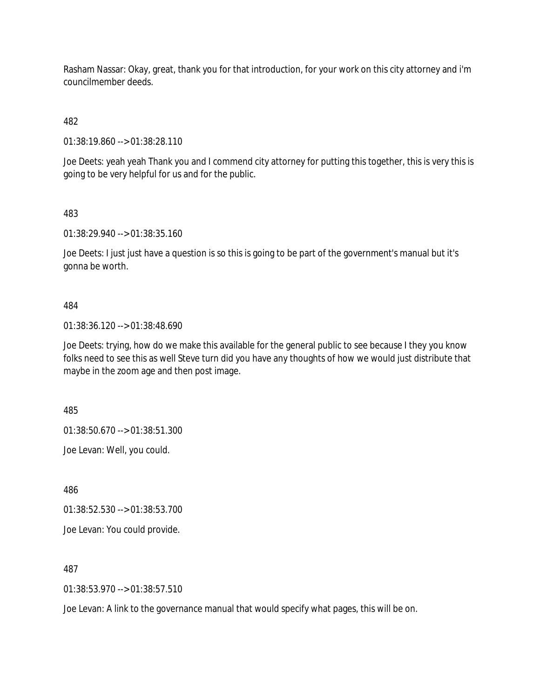Rasham Nassar: Okay, great, thank you for that introduction, for your work on this city attorney and i'm councilmember deeds.

482

01:38:19.860 --> 01:38:28.110

Joe Deets: yeah yeah Thank you and I commend city attorney for putting this together, this is very this is going to be very helpful for us and for the public.

483

01:38:29.940 --> 01:38:35.160

Joe Deets: I just just have a question is so this is going to be part of the government's manual but it's gonna be worth.

# 484

01:38:36.120 --> 01:38:48.690

Joe Deets: trying, how do we make this available for the general public to see because I they you know folks need to see this as well Steve turn did you have any thoughts of how we would just distribute that maybe in the zoom age and then post image.

485

01:38:50.670 --> 01:38:51.300

Joe Levan: Well, you could.

486

01:38:52.530 --> 01:38:53.700

Joe Levan: You could provide.

487

01:38:53.970 --> 01:38:57.510

Joe Levan: A link to the governance manual that would specify what pages, this will be on.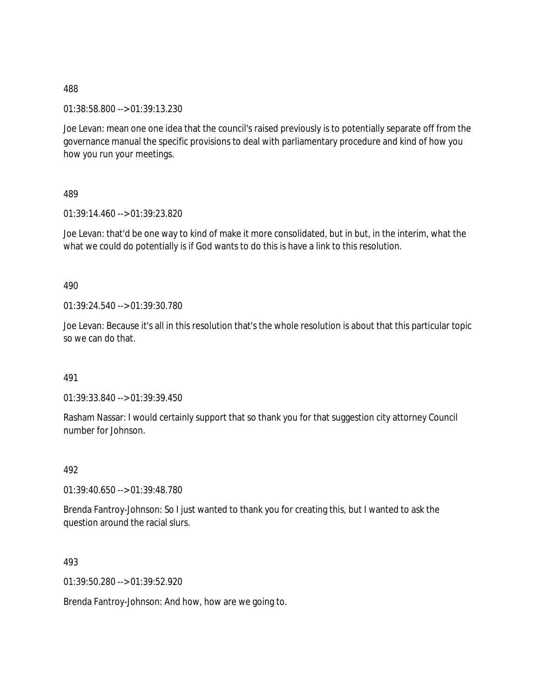01:38:58.800 --> 01:39:13.230

Joe Levan: mean one one idea that the council's raised previously is to potentially separate off from the governance manual the specific provisions to deal with parliamentary procedure and kind of how you how you run your meetings.

489

01:39:14.460 --> 01:39:23.820

Joe Levan: that'd be one way to kind of make it more consolidated, but in but, in the interim, what the what we could do potentially is if God wants to do this is have a link to this resolution.

490

01:39:24.540 --> 01:39:30.780

Joe Levan: Because it's all in this resolution that's the whole resolution is about that this particular topic so we can do that.

491

01:39:33.840 --> 01:39:39.450

Rasham Nassar: I would certainly support that so thank you for that suggestion city attorney Council number for Johnson.

492

01:39:40.650 --> 01:39:48.780

Brenda Fantroy-Johnson: So I just wanted to thank you for creating this, but I wanted to ask the question around the racial slurs.

493

01:39:50.280 --> 01:39:52.920

Brenda Fantroy-Johnson: And how, how are we going to.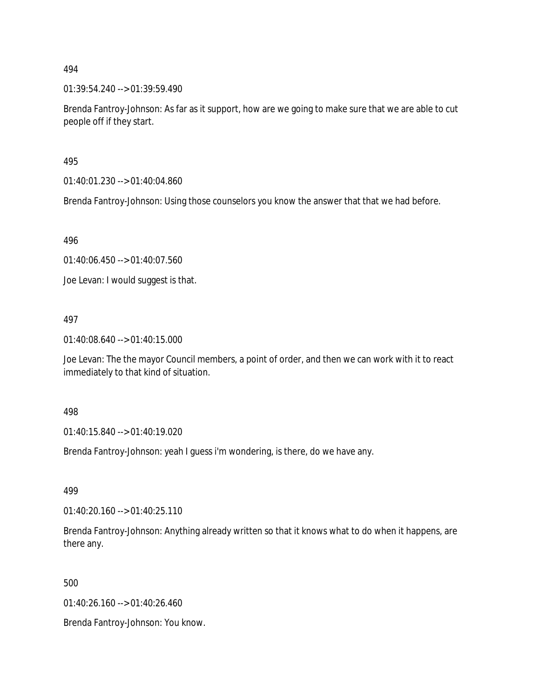01:39:54.240 --> 01:39:59.490

Brenda Fantroy-Johnson: As far as it support, how are we going to make sure that we are able to cut people off if they start.

495

01:40:01.230 --> 01:40:04.860

Brenda Fantroy-Johnson: Using those counselors you know the answer that that we had before.

496

01:40:06.450 --> 01:40:07.560

Joe Levan: I would suggest is that.

497

01:40:08.640 --> 01:40:15.000

Joe Levan: The the mayor Council members, a point of order, and then we can work with it to react immediately to that kind of situation.

498

01:40:15.840 --> 01:40:19.020

Brenda Fantroy-Johnson: yeah I guess i'm wondering, is there, do we have any.

499

01:40:20.160 --> 01:40:25.110

Brenda Fantroy-Johnson: Anything already written so that it knows what to do when it happens, are there any.

500

01:40:26.160 --> 01:40:26.460

Brenda Fantroy-Johnson: You know.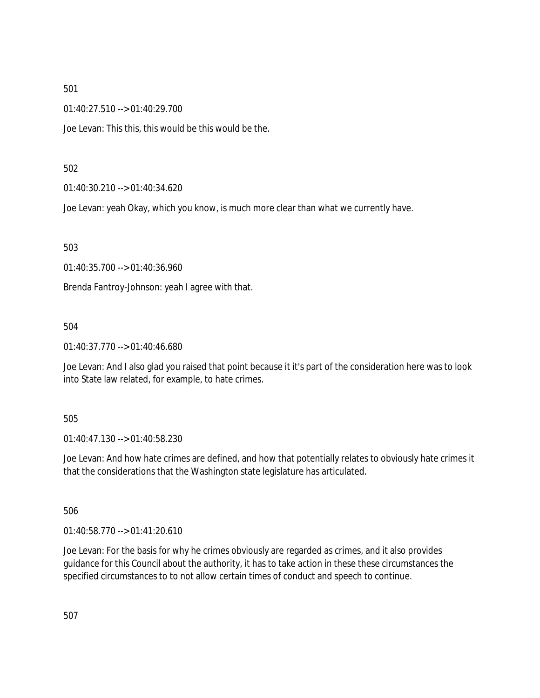01:40:27.510 --> 01:40:29.700

Joe Levan: This this, this would be this would be the.

# 502

01:40:30.210 --> 01:40:34.620

Joe Levan: yeah Okay, which you know, is much more clear than what we currently have.

503

01:40:35.700 --> 01:40:36.960

Brenda Fantroy-Johnson: yeah I agree with that.

# 504

01:40:37.770 --> 01:40:46.680

Joe Levan: And I also glad you raised that point because it it's part of the consideration here was to look into State law related, for example, to hate crimes.

# 505

01:40:47.130 --> 01:40:58.230

Joe Levan: And how hate crimes are defined, and how that potentially relates to obviously hate crimes it that the considerations that the Washington state legislature has articulated.

506

01:40:58.770 --> 01:41:20.610

Joe Levan: For the basis for why he crimes obviously are regarded as crimes, and it also provides guidance for this Council about the authority, it has to take action in these these circumstances the specified circumstances to to not allow certain times of conduct and speech to continue.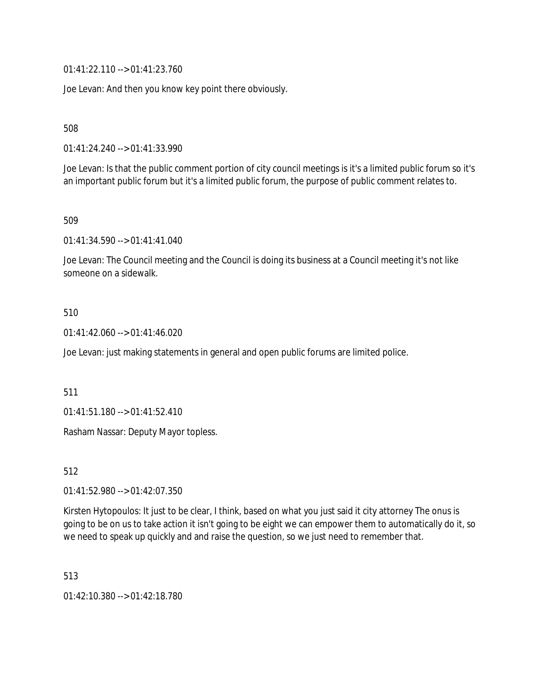01:41:22.110 --> 01:41:23.760

Joe Levan: And then you know key point there obviously.

508

01:41:24.240 --> 01:41:33.990

Joe Levan: Is that the public comment portion of city council meetings is it's a limited public forum so it's an important public forum but it's a limited public forum, the purpose of public comment relates to.

509

01:41:34.590 --> 01:41:41.040

Joe Levan: The Council meeting and the Council is doing its business at a Council meeting it's not like someone on a sidewalk.

# 510

 $01:41:42.060 \rightarrow 01:41:46.020$ 

Joe Levan: just making statements in general and open public forums are limited police.

# 511

01:41:51.180 --> 01:41:52.410

Rasham Nassar: Deputy Mayor topless.

512

01:41:52.980 --> 01:42:07.350

Kirsten Hytopoulos: It just to be clear, I think, based on what you just said it city attorney The onus is going to be on us to take action it isn't going to be eight we can empower them to automatically do it, so we need to speak up quickly and and raise the question, so we just need to remember that.

513

01:42:10.380 --> 01:42:18.780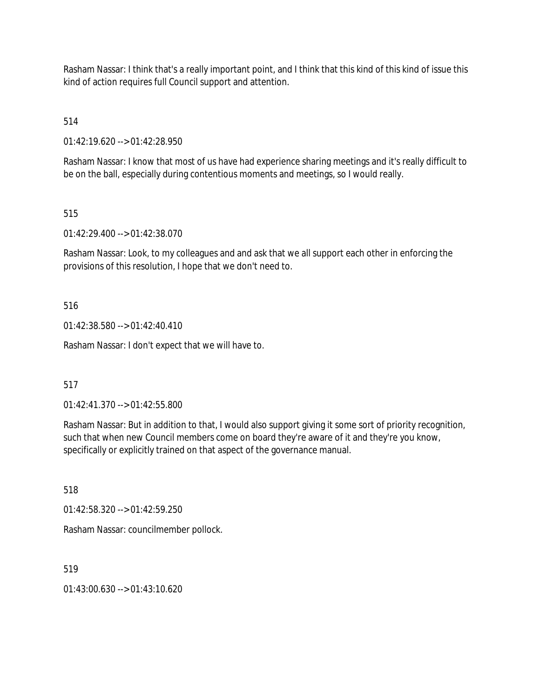Rasham Nassar: I think that's a really important point, and I think that this kind of this kind of issue this kind of action requires full Council support and attention.

514

01:42:19.620 --> 01:42:28.950

Rasham Nassar: I know that most of us have had experience sharing meetings and it's really difficult to be on the ball, especially during contentious moments and meetings, so I would really.

# 515

01:42:29.400 --> 01:42:38.070

Rasham Nassar: Look, to my colleagues and and ask that we all support each other in enforcing the provisions of this resolution, I hope that we don't need to.

# 516

01:42:38.580 --> 01:42:40.410

Rasham Nassar: I don't expect that we will have to.

# 517

01:42:41.370 --> 01:42:55.800

Rasham Nassar: But in addition to that, I would also support giving it some sort of priority recognition, such that when new Council members come on board they're aware of it and they're you know, specifically or explicitly trained on that aspect of the governance manual.

518

01:42:58.320 --> 01:42:59.250

Rasham Nassar: councilmember pollock.

519

 $01:43:00.630 \rightarrow 01:43:10.620$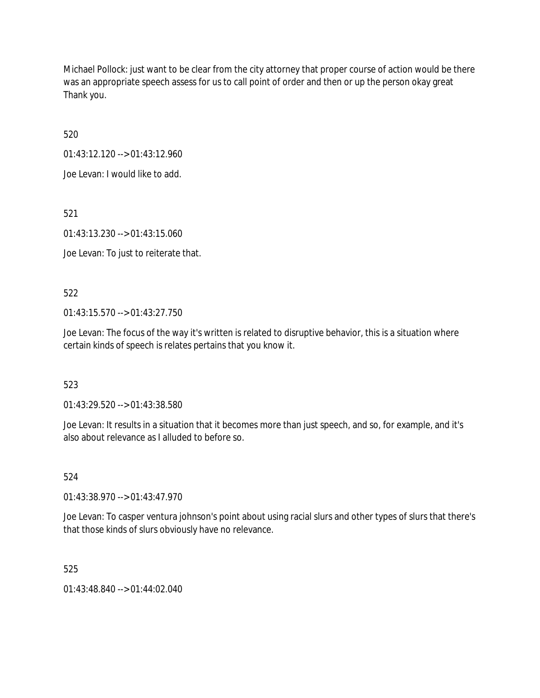Michael Pollock: just want to be clear from the city attorney that proper course of action would be there was an appropriate speech assess for us to call point of order and then or up the person okay great Thank you.

520

01:43:12.120 --> 01:43:12.960

Joe Levan: I would like to add.

521

01:43:13.230 --> 01:43:15.060

Joe Levan: To just to reiterate that.

# 522

01:43:15.570 --> 01:43:27.750

Joe Levan: The focus of the way it's written is related to disruptive behavior, this is a situation where certain kinds of speech is relates pertains that you know it.

# 523

01:43:29.520 --> 01:43:38.580

Joe Levan: It results in a situation that it becomes more than just speech, and so, for example, and it's also about relevance as I alluded to before so.

# 524

01:43:38.970 --> 01:43:47.970

Joe Levan: To casper ventura johnson's point about using racial slurs and other types of slurs that there's that those kinds of slurs obviously have no relevance.

# 525

01:43:48.840 --> 01:44:02.040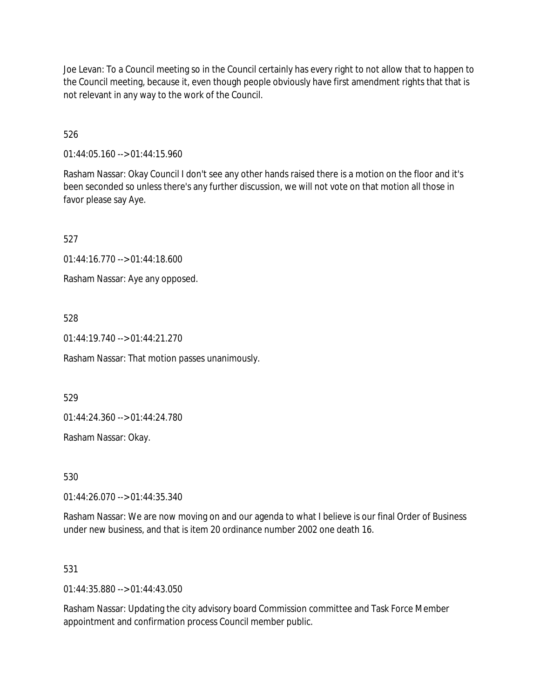Joe Levan: To a Council meeting so in the Council certainly has every right to not allow that to happen to the Council meeting, because it, even though people obviously have first amendment rights that that is not relevant in any way to the work of the Council.

526

01:44:05.160 --> 01:44:15.960

Rasham Nassar: Okay Council I don't see any other hands raised there is a motion on the floor and it's been seconded so unless there's any further discussion, we will not vote on that motion all those in favor please say Aye.

527

01:44:16.770 --> 01:44:18.600

Rasham Nassar: Aye any opposed.

528

01:44:19.740 --> 01:44:21.270

Rasham Nassar: That motion passes unanimously.

529

01:44:24.360 --> 01:44:24.780

Rasham Nassar: Okay.

530

01:44:26.070 --> 01:44:35.340

Rasham Nassar: We are now moving on and our agenda to what I believe is our final Order of Business under new business, and that is item 20 ordinance number 2002 one death 16.

# 531

 $01:44:35.880 \rightarrow 01:44:43.050$ 

Rasham Nassar: Updating the city advisory board Commission committee and Task Force Member appointment and confirmation process Council member public.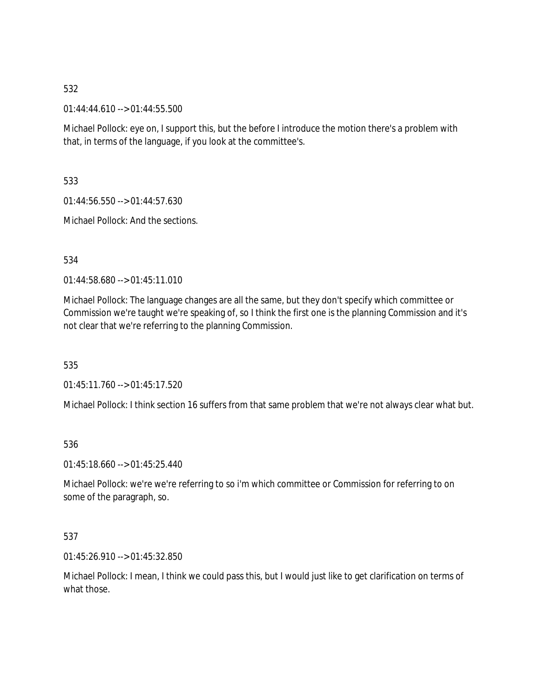01:44:44.610 --> 01:44:55.500

Michael Pollock: eye on, I support this, but the before I introduce the motion there's a problem with that, in terms of the language, if you look at the committee's.

533

01:44:56.550 --> 01:44:57.630

Michael Pollock: And the sections.

534

01:44:58.680 --> 01:45:11.010

Michael Pollock: The language changes are all the same, but they don't specify which committee or Commission we're taught we're speaking of, so I think the first one is the planning Commission and it's not clear that we're referring to the planning Commission.

535

01:45:11.760 --> 01:45:17.520

Michael Pollock: I think section 16 suffers from that same problem that we're not always clear what but.

536

01:45:18.660 --> 01:45:25.440

Michael Pollock: we're we're referring to so i'm which committee or Commission for referring to on some of the paragraph, so.

537

01:45:26.910 --> 01:45:32.850

Michael Pollock: I mean, I think we could pass this, but I would just like to get clarification on terms of what those.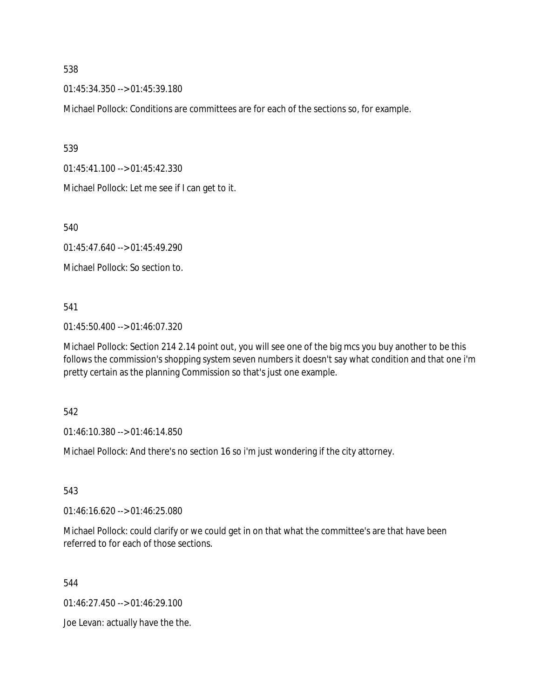01:45:34.350 --> 01:45:39.180

Michael Pollock: Conditions are committees are for each of the sections so, for example.

539

01:45:41.100 --> 01:45:42.330

Michael Pollock: Let me see if I can get to it.

540

01:45:47.640 --> 01:45:49.290

Michael Pollock: So section to.

541

01:45:50.400 --> 01:46:07.320

Michael Pollock: Section 214 2.14 point out, you will see one of the big mcs you buy another to be this follows the commission's shopping system seven numbers it doesn't say what condition and that one i'm pretty certain as the planning Commission so that's just one example.

542

01:46:10.380 --> 01:46:14.850

Michael Pollock: And there's no section 16 so i'm just wondering if the city attorney.

543

01:46:16.620 --> 01:46:25.080

Michael Pollock: could clarify or we could get in on that what the committee's are that have been referred to for each of those sections.

544

01:46:27.450 --> 01:46:29.100

Joe Levan: actually have the the.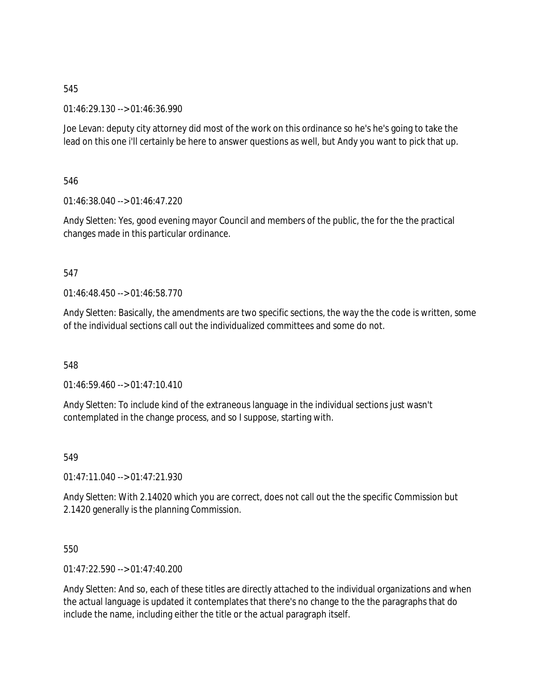01:46:29.130 --> 01:46:36.990

Joe Levan: deputy city attorney did most of the work on this ordinance so he's he's going to take the lead on this one i'll certainly be here to answer questions as well, but Andy you want to pick that up.

546

01:46:38.040 --> 01:46:47.220

Andy Sletten: Yes, good evening mayor Council and members of the public, the for the the practical changes made in this particular ordinance.

547

01:46:48.450 --> 01:46:58.770

Andy Sletten: Basically, the amendments are two specific sections, the way the the code is written, some of the individual sections call out the individualized committees and some do not.

548

01:46:59.460 --> 01:47:10.410

Andy Sletten: To include kind of the extraneous language in the individual sections just wasn't contemplated in the change process, and so I suppose, starting with.

549

01:47:11.040 --> 01:47:21.930

Andy Sletten: With 2.14020 which you are correct, does not call out the the specific Commission but 2.1420 generally is the planning Commission.

550

01:47:22.590 --> 01:47:40.200

Andy Sletten: And so, each of these titles are directly attached to the individual organizations and when the actual language is updated it contemplates that there's no change to the the paragraphs that do include the name, including either the title or the actual paragraph itself.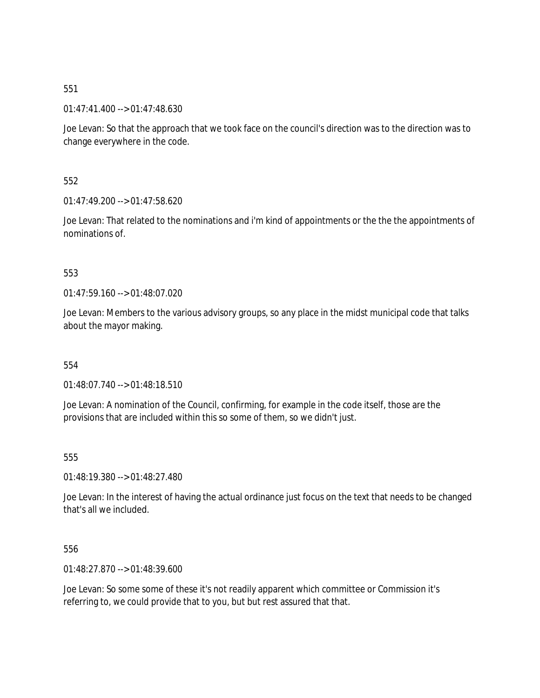01:47:41.400 --> 01:47:48.630

Joe Levan: So that the approach that we took face on the council's direction was to the direction was to change everywhere in the code.

552

 $01:47:49.200 \rightarrow 01:47:58.620$ 

Joe Levan: That related to the nominations and i'm kind of appointments or the the the appointments of nominations of.

553

01:47:59.160 --> 01:48:07.020

Joe Levan: Members to the various advisory groups, so any place in the midst municipal code that talks about the mayor making.

554

01:48:07.740 --> 01:48:18.510

Joe Levan: A nomination of the Council, confirming, for example in the code itself, those are the provisions that are included within this so some of them, so we didn't just.

555

01:48:19.380 --> 01:48:27.480

Joe Levan: In the interest of having the actual ordinance just focus on the text that needs to be changed that's all we included.

556

01:48:27.870 --> 01:48:39.600

Joe Levan: So some some of these it's not readily apparent which committee or Commission it's referring to, we could provide that to you, but but rest assured that that.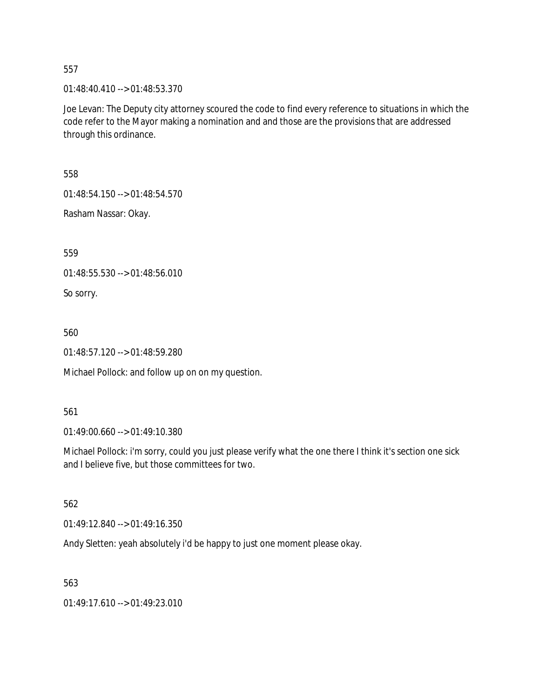01:48:40.410 --> 01:48:53.370

Joe Levan: The Deputy city attorney scoured the code to find every reference to situations in which the code refer to the Mayor making a nomination and and those are the provisions that are addressed through this ordinance.

558

01:48:54.150 --> 01:48:54.570

Rasham Nassar: Okay.

559

01:48:55.530 --> 01:48:56.010

So sorry.

560

01:48:57.120 --> 01:48:59.280

Michael Pollock: and follow up on on my question.

561

01:49:00.660 --> 01:49:10.380

Michael Pollock: i'm sorry, could you just please verify what the one there I think it's section one sick and I believe five, but those committees for two.

562

01:49:12.840 --> 01:49:16.350

Andy Sletten: yeah absolutely i'd be happy to just one moment please okay.

563

01:49:17.610 --> 01:49:23.010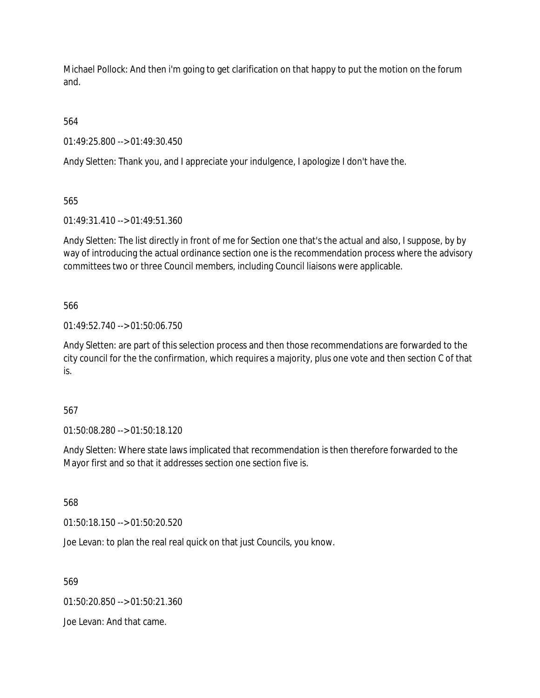Michael Pollock: And then i'm going to get clarification on that happy to put the motion on the forum and.

564

01:49:25.800 --> 01:49:30.450

Andy Sletten: Thank you, and I appreciate your indulgence, I apologize I don't have the.

565

01:49:31.410 --> 01:49:51.360

Andy Sletten: The list directly in front of me for Section one that's the actual and also, I suppose, by by way of introducing the actual ordinance section one is the recommendation process where the advisory committees two or three Council members, including Council liaisons were applicable.

566

01:49:52.740 --> 01:50:06.750

Andy Sletten: are part of this selection process and then those recommendations are forwarded to the city council for the the confirmation, which requires a majority, plus one vote and then section C of that is.

567

01:50:08.280 --> 01:50:18.120

Andy Sletten: Where state laws implicated that recommendation is then therefore forwarded to the Mayor first and so that it addresses section one section five is.

568

01:50:18.150 --> 01:50:20.520

Joe Levan: to plan the real real quick on that just Councils, you know.

569

01:50:20.850 --> 01:50:21.360

Joe Levan: And that came.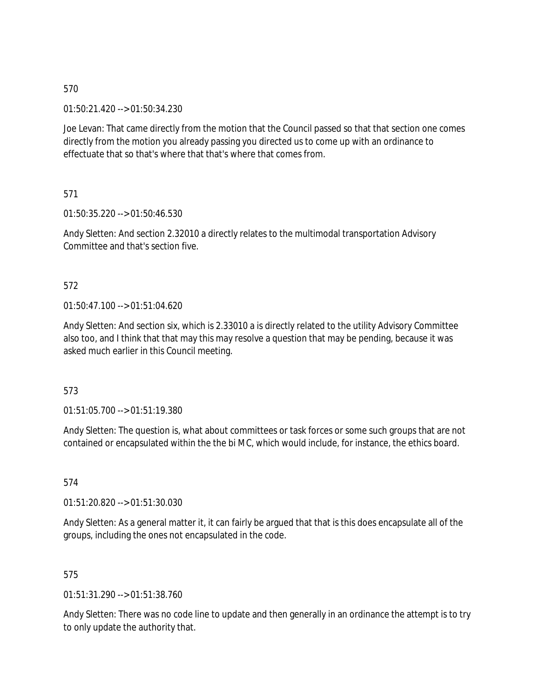01:50:21.420 --> 01:50:34.230

Joe Levan: That came directly from the motion that the Council passed so that that section one comes directly from the motion you already passing you directed us to come up with an ordinance to effectuate that so that's where that that's where that comes from.

571

01:50:35.220 --> 01:50:46.530

Andy Sletten: And section 2.32010 a directly relates to the multimodal transportation Advisory Committee and that's section five.

# 572

01:50:47.100 --> 01:51:04.620

Andy Sletten: And section six, which is 2.33010 a is directly related to the utility Advisory Committee also too, and I think that that may this may resolve a question that may be pending, because it was asked much earlier in this Council meeting.

573

01:51:05.700 --> 01:51:19.380

Andy Sletten: The question is, what about committees or task forces or some such groups that are not contained or encapsulated within the the bi MC, which would include, for instance, the ethics board.

574

01:51:20.820 --> 01:51:30.030

Andy Sletten: As a general matter it, it can fairly be argued that that is this does encapsulate all of the groups, including the ones not encapsulated in the code.

# 575

01:51:31.290 --> 01:51:38.760

Andy Sletten: There was no code line to update and then generally in an ordinance the attempt is to try to only update the authority that.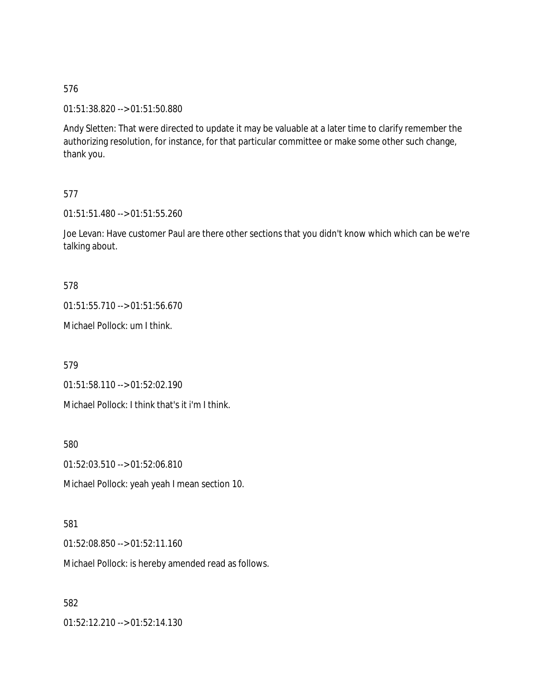01:51:38.820 --> 01:51:50.880

Andy Sletten: That were directed to update it may be valuable at a later time to clarify remember the authorizing resolution, for instance, for that particular committee or make some other such change, thank you.

# 577

01:51:51.480 --> 01:51:55.260

Joe Levan: Have customer Paul are there other sections that you didn't know which which can be we're talking about.

# 578

01:51:55.710 --> 01:51:56.670

Michael Pollock: um I think.

579

01:51:58.110 --> 01:52:02.190

Michael Pollock: I think that's it i'm I think.

580

01:52:03.510 --> 01:52:06.810

Michael Pollock: yeah yeah I mean section 10.

# 581

01:52:08.850 --> 01:52:11.160

Michael Pollock: is hereby amended read as follows.

# 582

01:52:12.210 --> 01:52:14.130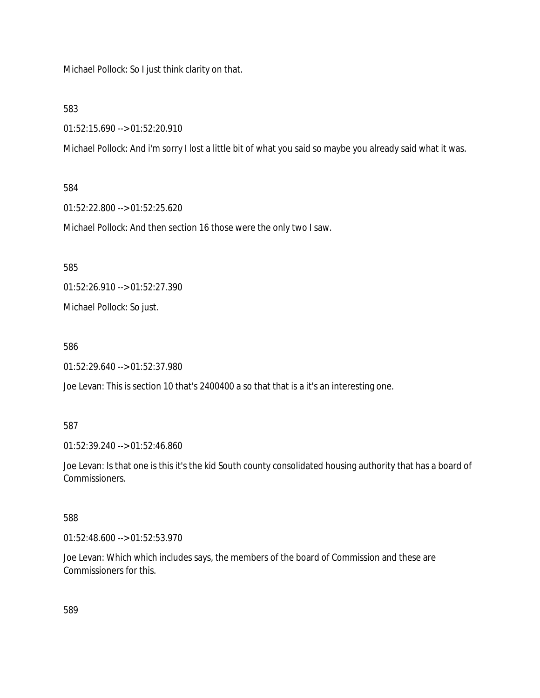Michael Pollock: So I just think clarity on that.

583

01:52:15.690 --> 01:52:20.910

Michael Pollock: And i'm sorry I lost a little bit of what you said so maybe you already said what it was.

584

01:52:22.800 --> 01:52:25.620

Michael Pollock: And then section 16 those were the only two I saw.

585

01:52:26.910 --> 01:52:27.390

Michael Pollock: So just.

586

01:52:29.640 --> 01:52:37.980

Joe Levan: This is section 10 that's 2400400 a so that that is a it's an interesting one.

587

01:52:39.240 --> 01:52:46.860

Joe Levan: Is that one is this it's the kid South county consolidated housing authority that has a board of Commissioners.

588

01:52:48.600 --> 01:52:53.970

Joe Levan: Which which includes says, the members of the board of Commission and these are Commissioners for this.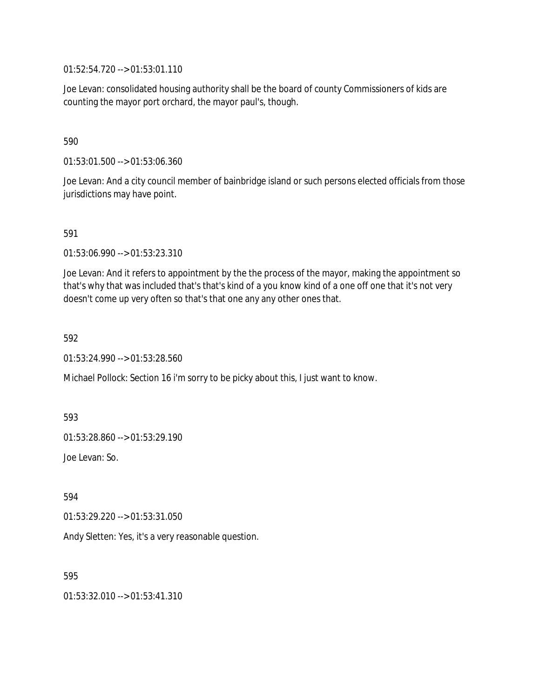01:52:54.720 --> 01:53:01.110

Joe Levan: consolidated housing authority shall be the board of county Commissioners of kids are counting the mayor port orchard, the mayor paul's, though.

590

01:53:01.500 --> 01:53:06.360

Joe Levan: And a city council member of bainbridge island or such persons elected officials from those jurisdictions may have point.

591

01:53:06.990 --> 01:53:23.310

Joe Levan: And it refers to appointment by the the process of the mayor, making the appointment so that's why that was included that's that's kind of a you know kind of a one off one that it's not very doesn't come up very often so that's that one any any other ones that.

592

01:53:24.990 --> 01:53:28.560

Michael Pollock: Section 16 i'm sorry to be picky about this, I just want to know.

593

01:53:28.860 --> 01:53:29.190

Joe Levan: So.

594

01:53:29.220 --> 01:53:31.050

Andy Sletten: Yes, it's a very reasonable question.

595

01:53:32.010 --> 01:53:41.310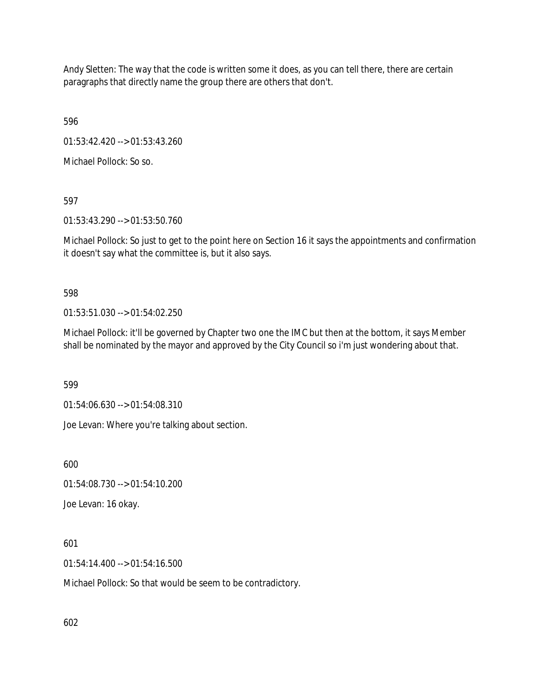Andy Sletten: The way that the code is written some it does, as you can tell there, there are certain paragraphs that directly name the group there are others that don't.

596

01:53:42.420 --> 01:53:43.260

Michael Pollock: So so.

597

01:53:43.290 --> 01:53:50.760

Michael Pollock: So just to get to the point here on Section 16 it says the appointments and confirmation it doesn't say what the committee is, but it also says.

598

01:53:51.030 --> 01:54:02.250

Michael Pollock: it'll be governed by Chapter two one the IMC but then at the bottom, it says Member shall be nominated by the mayor and approved by the City Council so i'm just wondering about that.

599

01:54:06.630 --> 01:54:08.310

Joe Levan: Where you're talking about section.

600

01:54:08.730 --> 01:54:10.200

Joe Levan: 16 okay.

601

01:54:14.400 --> 01:54:16.500

Michael Pollock: So that would be seem to be contradictory.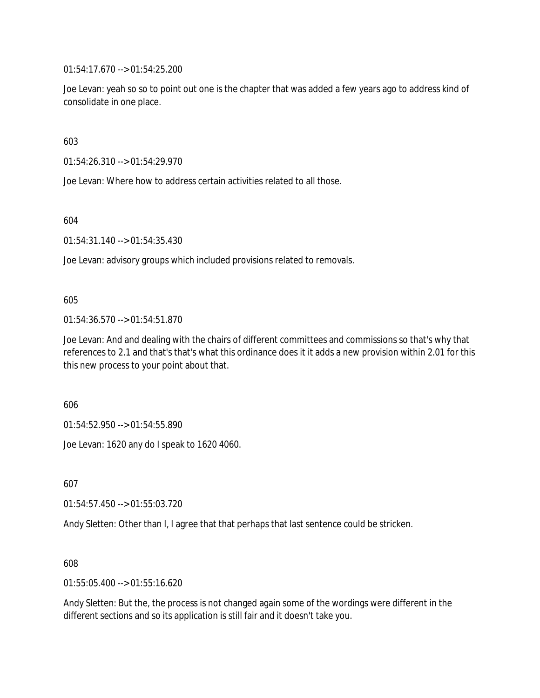01:54:17.670 --> 01:54:25.200

Joe Levan: yeah so so to point out one is the chapter that was added a few years ago to address kind of consolidate in one place.

603

01:54:26.310 --> 01:54:29.970

Joe Levan: Where how to address certain activities related to all those.

604

01:54:31.140 --> 01:54:35.430

Joe Levan: advisory groups which included provisions related to removals.

#### 605

01:54:36.570 --> 01:54:51.870

Joe Levan: And and dealing with the chairs of different committees and commissions so that's why that references to 2.1 and that's that's what this ordinance does it it adds a new provision within 2.01 for this this new process to your point about that.

606

01:54:52.950 --> 01:54:55.890

Joe Levan: 1620 any do I speak to 1620 4060.

607

01:54:57.450 --> 01:55:03.720

Andy Sletten: Other than I, I agree that that perhaps that last sentence could be stricken.

608

01:55:05.400 --> 01:55:16.620

Andy Sletten: But the, the process is not changed again some of the wordings were different in the different sections and so its application is still fair and it doesn't take you.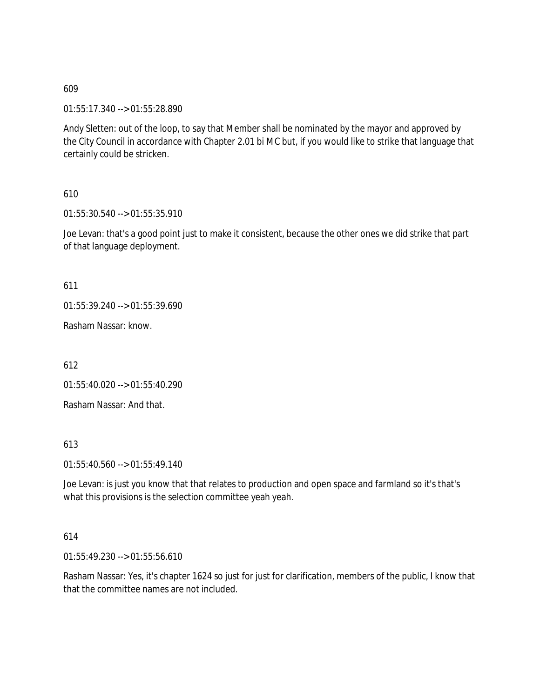01:55:17.340 --> 01:55:28.890

Andy Sletten: out of the loop, to say that Member shall be nominated by the mayor and approved by the City Council in accordance with Chapter 2.01 bi MC but, if you would like to strike that language that certainly could be stricken.

610

01:55:30.540 --> 01:55:35.910

Joe Levan: that's a good point just to make it consistent, because the other ones we did strike that part of that language deployment.

611

01:55:39.240 --> 01:55:39.690

Rasham Nassar: know.

612

01:55:40.020 --> 01:55:40.290

Rasham Nassar: And that.

613

01:55:40.560 --> 01:55:49.140

Joe Levan: is just you know that that relates to production and open space and farmland so it's that's what this provisions is the selection committee yeah yeah.

#### 614

01:55:49.230 --> 01:55:56.610

Rasham Nassar: Yes, it's chapter 1624 so just for just for clarification, members of the public, I know that that the committee names are not included.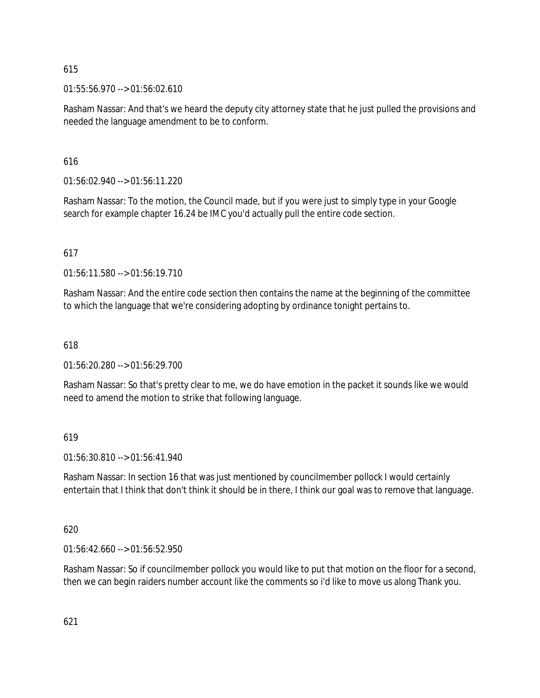01:55:56.970 --> 01:56:02.610

Rasham Nassar: And that's we heard the deputy city attorney state that he just pulled the provisions and needed the language amendment to be to conform.

# 616

01:56:02.940 --> 01:56:11.220

Rasham Nassar: To the motion, the Council made, but if you were just to simply type in your Google search for example chapter 16.24 be IMC you'd actually pull the entire code section.

# 617

01:56:11.580 --> 01:56:19.710

Rasham Nassar: And the entire code section then contains the name at the beginning of the committee to which the language that we're considering adopting by ordinance tonight pertains to.

# 618

01:56:20.280 --> 01:56:29.700

Rasham Nassar: So that's pretty clear to me, we do have emotion in the packet it sounds like we would need to amend the motion to strike that following language.

# 619

01:56:30.810 --> 01:56:41.940

Rasham Nassar: In section 16 that was just mentioned by councilmember pollock I would certainly entertain that I think that don't think it should be in there, I think our goal was to remove that language.

# 620

01:56:42.660 --> 01:56:52.950

Rasham Nassar: So if councilmember pollock you would like to put that motion on the floor for a second, then we can begin raiders number account like the comments so i'd like to move us along Thank you.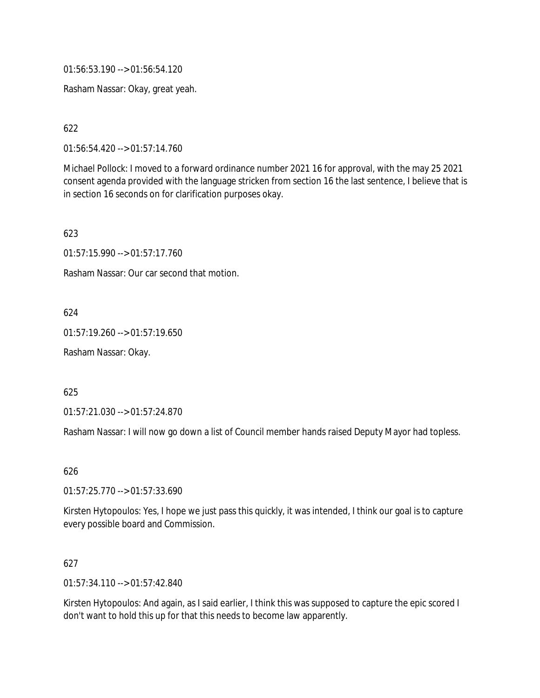01:56:53.190 --> 01:56:54.120

Rasham Nassar: Okay, great yeah.

622

01:56:54.420 --> 01:57:14.760

Michael Pollock: I moved to a forward ordinance number 2021 16 for approval, with the may 25 2021 consent agenda provided with the language stricken from section 16 the last sentence, I believe that is in section 16 seconds on for clarification purposes okay.

623

01:57:15.990 --> 01:57:17.760

Rasham Nassar: Our car second that motion.

624

01:57:19.260 --> 01:57:19.650

Rasham Nassar: Okay.

625

01:57:21.030 --> 01:57:24.870

Rasham Nassar: I will now go down a list of Council member hands raised Deputy Mayor had topless.

626

01:57:25.770 --> 01:57:33.690

Kirsten Hytopoulos: Yes, I hope we just pass this quickly, it was intended, I think our goal is to capture every possible board and Commission.

# 627

01:57:34.110 --> 01:57:42.840

Kirsten Hytopoulos: And again, as I said earlier, I think this was supposed to capture the epic scored I don't want to hold this up for that this needs to become law apparently.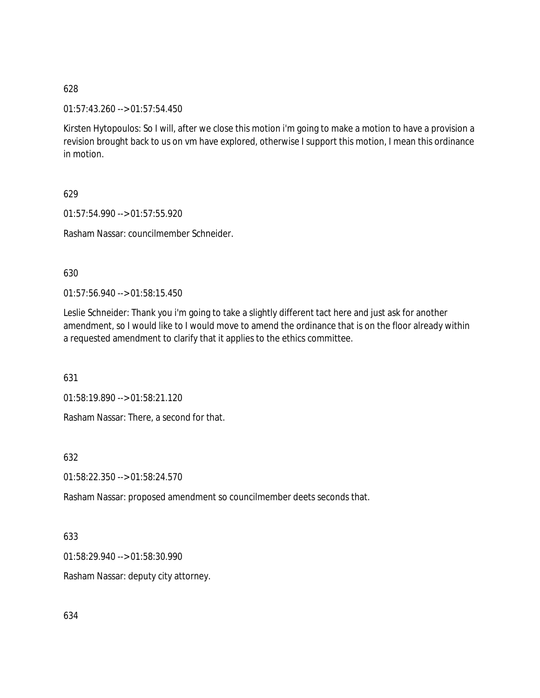01:57:43.260 --> 01:57:54.450

Kirsten Hytopoulos: So I will, after we close this motion i'm going to make a motion to have a provision a revision brought back to us on vm have explored, otherwise I support this motion, I mean this ordinance in motion.

629

01:57:54.990 --> 01:57:55.920

Rasham Nassar: councilmember Schneider.

630

01:57:56.940 --> 01:58:15.450

Leslie Schneider: Thank you i'm going to take a slightly different tact here and just ask for another amendment, so I would like to I would move to amend the ordinance that is on the floor already within a requested amendment to clarify that it applies to the ethics committee.

631

01:58:19.890 --> 01:58:21.120

Rasham Nassar: There, a second for that.

632

01:58:22.350 --> 01:58:24.570

Rasham Nassar: proposed amendment so councilmember deets seconds that.

633

01:58:29.940 --> 01:58:30.990

Rasham Nassar: deputy city attorney.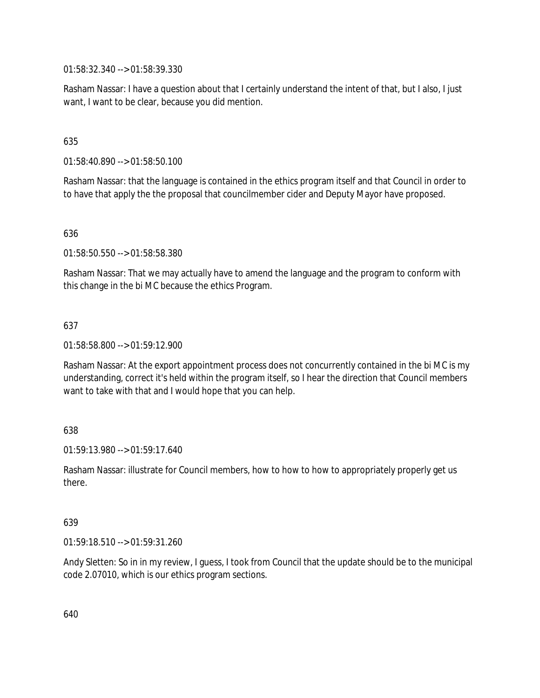01:58:32.340 --> 01:58:39.330

Rasham Nassar: I have a question about that I certainly understand the intent of that, but I also, I just want, I want to be clear, because you did mention.

# 635

01:58:40.890 --> 01:58:50.100

Rasham Nassar: that the language is contained in the ethics program itself and that Council in order to to have that apply the the proposal that councilmember cider and Deputy Mayor have proposed.

# 636

01:58:50.550 --> 01:58:58.380

Rasham Nassar: That we may actually have to amend the language and the program to conform with this change in the bi MC because the ethics Program.

# 637

01:58:58.800 --> 01:59:12.900

Rasham Nassar: At the export appointment process does not concurrently contained in the bi MC is my understanding, correct it's held within the program itself, so I hear the direction that Council members want to take with that and I would hope that you can help.

# 638

01:59:13.980 --> 01:59:17.640

Rasham Nassar: illustrate for Council members, how to how to how to appropriately properly get us there.

# 639

01:59:18.510 --> 01:59:31.260

Andy Sletten: So in in my review, I guess, I took from Council that the update should be to the municipal code 2.07010, which is our ethics program sections.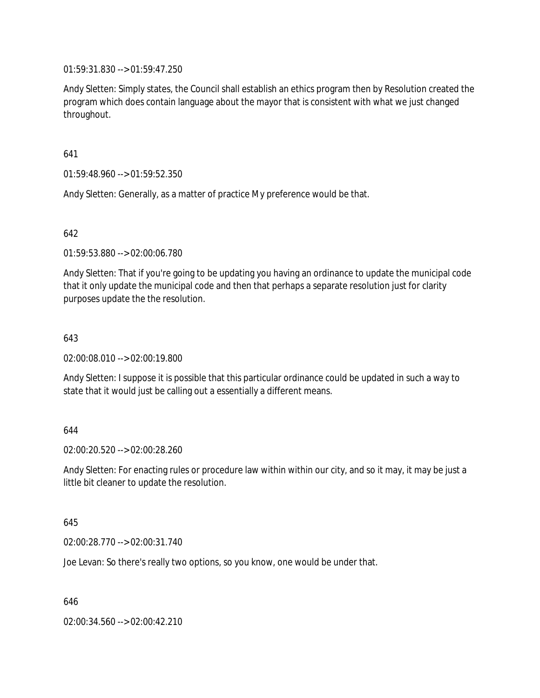01:59:31.830 --> 01:59:47.250

Andy Sletten: Simply states, the Council shall establish an ethics program then by Resolution created the program which does contain language about the mayor that is consistent with what we just changed throughout.

641

01:59:48.960 --> 01:59:52.350

Andy Sletten: Generally, as a matter of practice My preference would be that.

642

01:59:53.880 --> 02:00:06.780

Andy Sletten: That if you're going to be updating you having an ordinance to update the municipal code that it only update the municipal code and then that perhaps a separate resolution just for clarity purposes update the the resolution.

643

02:00:08.010 --> 02:00:19.800

Andy Sletten: I suppose it is possible that this particular ordinance could be updated in such a way to state that it would just be calling out a essentially a different means.

644

02:00:20.520 --> 02:00:28.260

Andy Sletten: For enacting rules or procedure law within within our city, and so it may, it may be just a little bit cleaner to update the resolution.

645

02:00:28.770 --> 02:00:31.740

Joe Levan: So there's really two options, so you know, one would be under that.

646

02:00:34.560 --> 02:00:42.210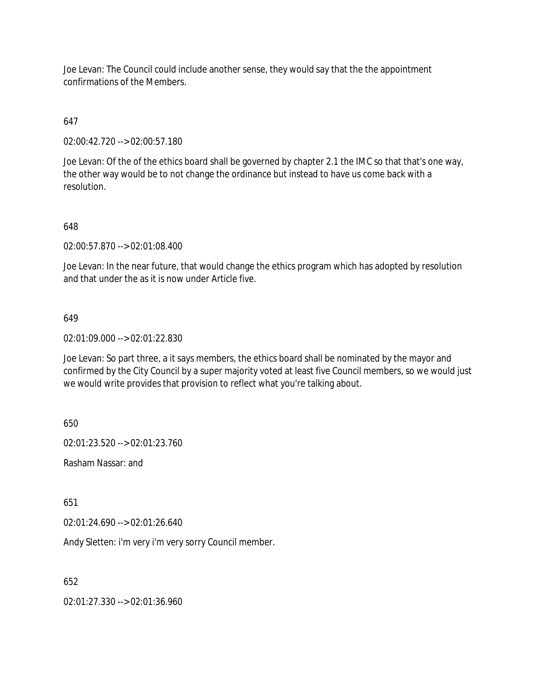Joe Levan: The Council could include another sense, they would say that the the appointment confirmations of the Members.

# 647

02:00:42.720 --> 02:00:57.180

Joe Levan: Of the of the ethics board shall be governed by chapter 2.1 the IMC so that that's one way, the other way would be to not change the ordinance but instead to have us come back with a resolution.

# 648

02:00:57.870 --> 02:01:08.400

Joe Levan: In the near future, that would change the ethics program which has adopted by resolution and that under the as it is now under Article five.

# 649

02:01:09.000 --> 02:01:22.830

Joe Levan: So part three, a it says members, the ethics board shall be nominated by the mayor and confirmed by the City Council by a super majority voted at least five Council members, so we would just we would write provides that provision to reflect what you're talking about.

650

02:01:23.520 --> 02:01:23.760

Rasham Nassar: and

651

02:01:24.690 --> 02:01:26.640

Andy Sletten: i'm very i'm very sorry Council member.

652

02:01:27.330 --> 02:01:36.960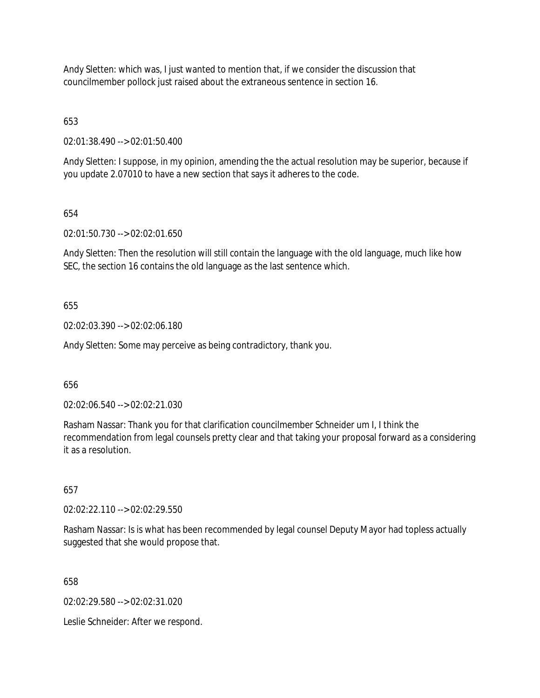Andy Sletten: which was, I just wanted to mention that, if we consider the discussion that councilmember pollock just raised about the extraneous sentence in section 16.

653

02:01:38.490 --> 02:01:50.400

Andy Sletten: I suppose, in my opinion, amending the the actual resolution may be superior, because if you update 2.07010 to have a new section that says it adheres to the code.

654

02:01:50.730 --> 02:02:01.650

Andy Sletten: Then the resolution will still contain the language with the old language, much like how SEC, the section 16 contains the old language as the last sentence which.

655

02:02:03.390 --> 02:02:06.180

Andy Sletten: Some may perceive as being contradictory, thank you.

656

02:02:06.540 --> 02:02:21.030

Rasham Nassar: Thank you for that clarification councilmember Schneider um I, I think the recommendation from legal counsels pretty clear and that taking your proposal forward as a considering it as a resolution.

657

02:02:22.110 --> 02:02:29.550

Rasham Nassar: Is is what has been recommended by legal counsel Deputy Mayor had topless actually suggested that she would propose that.

658

02:02:29.580 --> 02:02:31.020

Leslie Schneider: After we respond.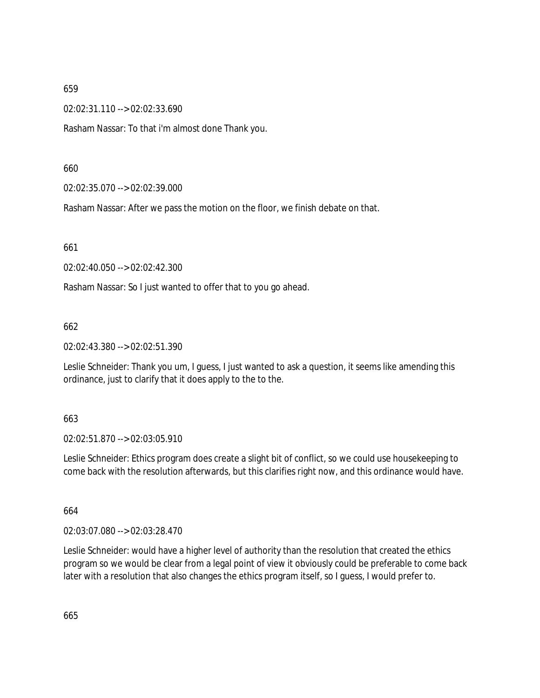02:02:31.110 --> 02:02:33.690

Rasham Nassar: To that i'm almost done Thank you.

660

02:02:35.070 --> 02:02:39.000

Rasham Nassar: After we pass the motion on the floor, we finish debate on that.

661

02:02:40.050 --> 02:02:42.300

Rasham Nassar: So I just wanted to offer that to you go ahead.

662

02:02:43.380 --> 02:02:51.390

Leslie Schneider: Thank you um, I guess, I just wanted to ask a question, it seems like amending this ordinance, just to clarify that it does apply to the to the.

# 663

02:02:51.870 --> 02:03:05.910

Leslie Schneider: Ethics program does create a slight bit of conflict, so we could use housekeeping to come back with the resolution afterwards, but this clarifies right now, and this ordinance would have.

664

02:03:07.080 --> 02:03:28.470

Leslie Schneider: would have a higher level of authority than the resolution that created the ethics program so we would be clear from a legal point of view it obviously could be preferable to come back later with a resolution that also changes the ethics program itself, so I guess, I would prefer to.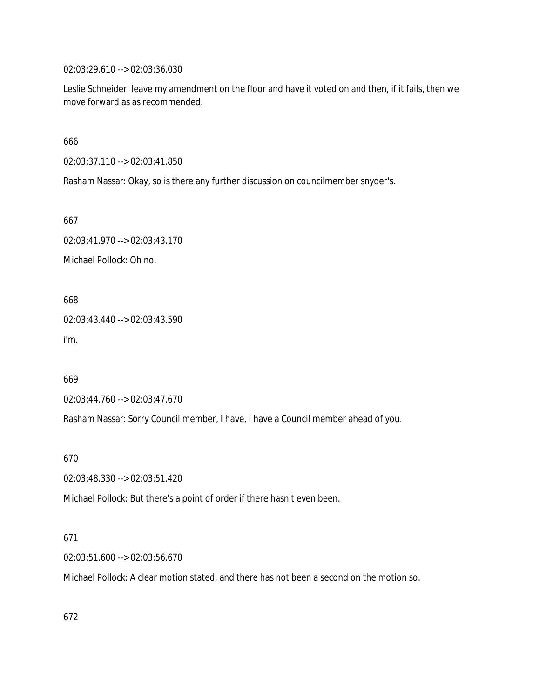02:03:29.610 --> 02:03:36.030

Leslie Schneider: leave my amendment on the floor and have it voted on and then, if it fails, then we move forward as as recommended.

666

02:03:37.110 --> 02:03:41.850

Rasham Nassar: Okay, so is there any further discussion on councilmember snyder's.

667

02:03:41.970 --> 02:03:43.170 Michael Pollock: Oh no.

668

02:03:43.440 --> 02:03:43.590 i'm.

669

02:03:44.760 --> 02:03:47.670

Rasham Nassar: Sorry Council member, I have, I have a Council member ahead of you.

670

02:03:48.330 --> 02:03:51.420

Michael Pollock: But there's a point of order if there hasn't even been.

# 671

02:03:51.600 --> 02:03:56.670

Michael Pollock: A clear motion stated, and there has not been a second on the motion so.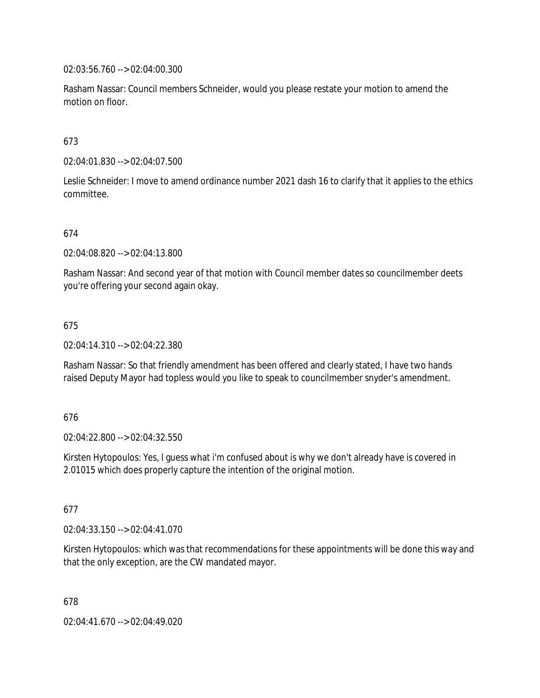02:03:56.760 --> 02:04:00.300

Rasham Nassar: Council members Schneider, would you please restate your motion to amend the motion on floor.

# 673

02:04:01.830 --> 02:04:07.500

Leslie Schneider: I move to amend ordinance number 2021 dash 16 to clarify that it applies to the ethics committee.

# 674

02:04:08.820 --> 02:04:13.800

Rasham Nassar: And second year of that motion with Council member dates so councilmember deets you're offering your second again okay.

# 675

02:04:14.310 --> 02:04:22.380

Rasham Nassar: So that friendly amendment has been offered and clearly stated, I have two hands raised Deputy Mayor had topless would you like to speak to councilmember snyder's amendment.

#### 676

02:04:22.800 --> 02:04:32.550

Kirsten Hytopoulos: Yes, I guess what i'm confused about is why we don't already have is covered in 2.01015 which does properly capture the intention of the original motion.

#### 677

02:04:33.150 --> 02:04:41.070

Kirsten Hytopoulos: which was that recommendations for these appointments will be done this way and that the only exception, are the CW mandated mayor.

678

02:04:41.670 --> 02:04:49.020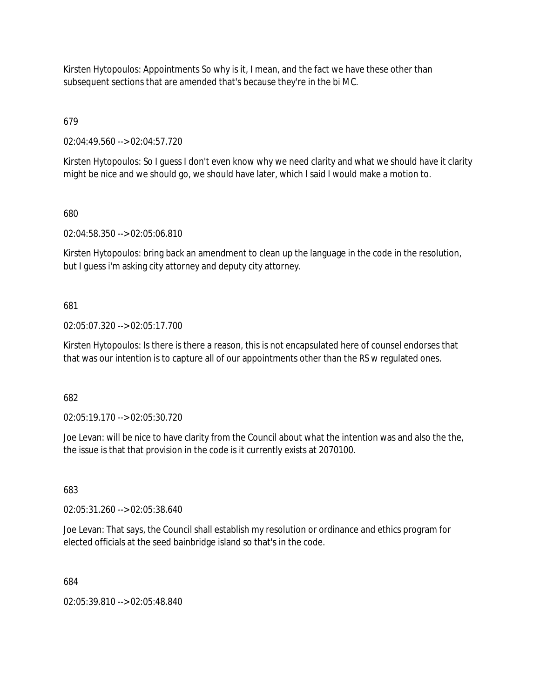Kirsten Hytopoulos: Appointments So why is it, I mean, and the fact we have these other than subsequent sections that are amended that's because they're in the bi MC.

679

02:04:49.560 --> 02:04:57.720

Kirsten Hytopoulos: So I guess I don't even know why we need clarity and what we should have it clarity might be nice and we should go, we should have later, which I said I would make a motion to.

680

02:04:58.350 --> 02:05:06.810

Kirsten Hytopoulos: bring back an amendment to clean up the language in the code in the resolution, but I guess i'm asking city attorney and deputy city attorney.

681

02:05:07.320 --> 02:05:17.700

Kirsten Hytopoulos: Is there is there a reason, this is not encapsulated here of counsel endorses that that was our intention is to capture all of our appointments other than the RS w regulated ones.

682

02:05:19.170 --> 02:05:30.720

Joe Levan: will be nice to have clarity from the Council about what the intention was and also the the, the issue is that that provision in the code is it currently exists at 2070100.

683

02:05:31.260 --> 02:05:38.640

Joe Levan: That says, the Council shall establish my resolution or ordinance and ethics program for elected officials at the seed bainbridge island so that's in the code.

684

02:05:39.810 --> 02:05:48.840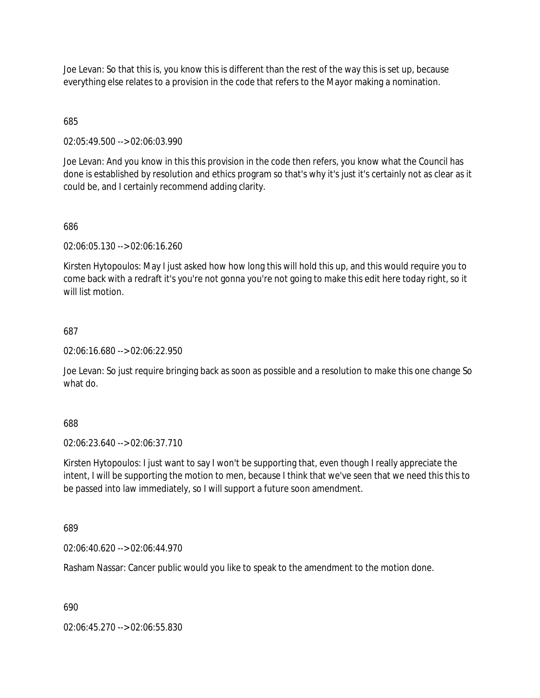Joe Levan: So that this is, you know this is different than the rest of the way this is set up, because everything else relates to a provision in the code that refers to the Mayor making a nomination.

685

02:05:49.500 --> 02:06:03.990

Joe Levan: And you know in this this provision in the code then refers, you know what the Council has done is established by resolution and ethics program so that's why it's just it's certainly not as clear as it could be, and I certainly recommend adding clarity.

686

02:06:05.130 --> 02:06:16.260

Kirsten Hytopoulos: May I just asked how how long this will hold this up, and this would require you to come back with a redraft it's you're not gonna you're not going to make this edit here today right, so it will list motion

687

02:06:16.680 --> 02:06:22.950

Joe Levan: So just require bringing back as soon as possible and a resolution to make this one change So what do.

688

02:06:23.640 --> 02:06:37.710

Kirsten Hytopoulos: I just want to say I won't be supporting that, even though I really appreciate the intent, I will be supporting the motion to men, because I think that we've seen that we need this this to be passed into law immediately, so I will support a future soon amendment.

689

02:06:40.620 --> 02:06:44.970

Rasham Nassar: Cancer public would you like to speak to the amendment to the motion done.

690

02:06:45.270 --> 02:06:55.830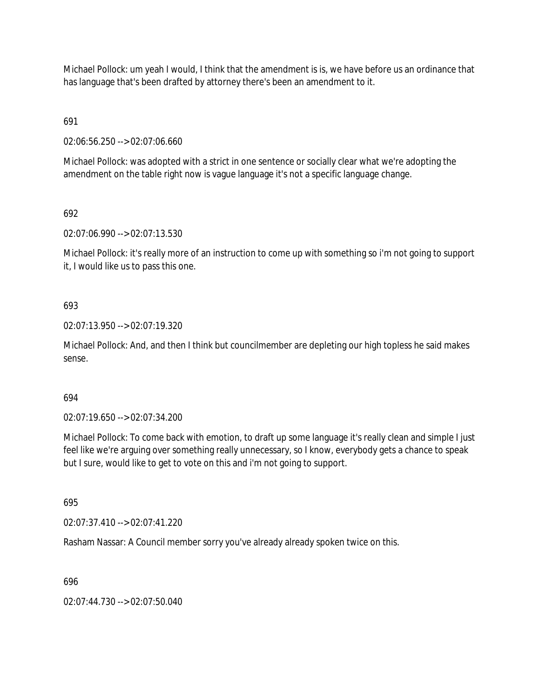Michael Pollock: um yeah I would, I think that the amendment is is, we have before us an ordinance that has language that's been drafted by attorney there's been an amendment to it.

691

02:06:56.250 --> 02:07:06.660

Michael Pollock: was adopted with a strict in one sentence or socially clear what we're adopting the amendment on the table right now is vague language it's not a specific language change.

692

02:07:06.990 --> 02:07:13.530

Michael Pollock: it's really more of an instruction to come up with something so i'm not going to support it, I would like us to pass this one.

# 693

02:07:13.950 --> 02:07:19.320

Michael Pollock: And, and then I think but councilmember are depleting our high topless he said makes sense.

## 694

02:07:19.650 --> 02:07:34.200

Michael Pollock: To come back with emotion, to draft up some language it's really clean and simple I just feel like we're arguing over something really unnecessary, so I know, everybody gets a chance to speak but I sure, would like to get to vote on this and i'm not going to support.

695

02:07:37.410 --> 02:07:41.220

Rasham Nassar: A Council member sorry you've already already spoken twice on this.

696

02:07:44.730 --> 02:07:50.040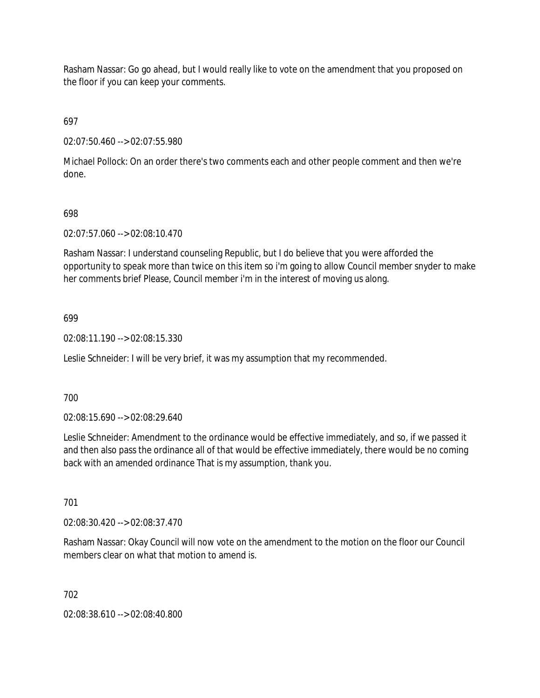Rasham Nassar: Go go ahead, but I would really like to vote on the amendment that you proposed on the floor if you can keep your comments.

697

02:07:50.460 --> 02:07:55.980

Michael Pollock: On an order there's two comments each and other people comment and then we're done.

## 698

02:07:57.060 --> 02:08:10.470

Rasham Nassar: I understand counseling Republic, but I do believe that you were afforded the opportunity to speak more than twice on this item so i'm going to allow Council member snyder to make her comments brief Please, Council member i'm in the interest of moving us along.

### 699

02:08:11.190 --> 02:08:15.330

Leslie Schneider: I will be very brief, it was my assumption that my recommended.

700

02:08:15.690 --> 02:08:29.640

Leslie Schneider: Amendment to the ordinance would be effective immediately, and so, if we passed it and then also pass the ordinance all of that would be effective immediately, there would be no coming back with an amended ordinance That is my assumption, thank you.

701

02:08:30.420 --> 02:08:37.470

Rasham Nassar: Okay Council will now vote on the amendment to the motion on the floor our Council members clear on what that motion to amend is.

702

02:08:38.610 --> 02:08:40.800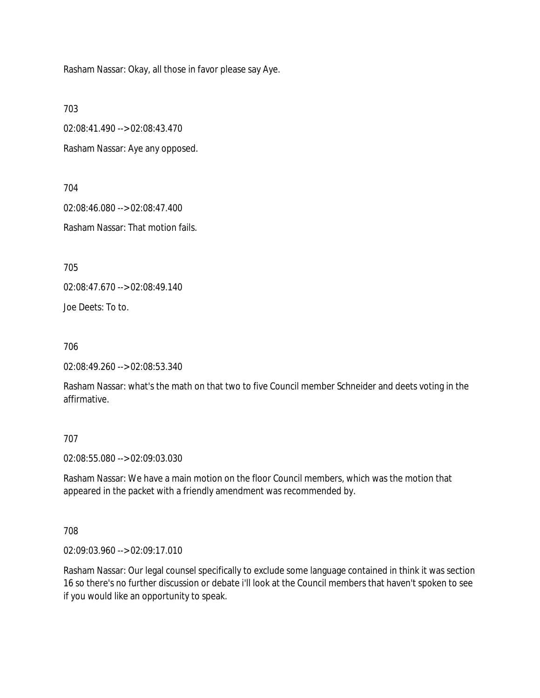Rasham Nassar: Okay, all those in favor please say Aye.

703

02:08:41.490 --> 02:08:43.470

Rasham Nassar: Aye any opposed.

704

02:08:46.080 --> 02:08:47.400

Rasham Nassar: That motion fails.

705

02:08:47.670 --> 02:08:49.140

Joe Deets: To to.

706

```
02:08:49.260 --> 02:08:53.340
```
Rasham Nassar: what's the math on that two to five Council member Schneider and deets voting in the affirmative.

707

02:08:55.080 --> 02:09:03.030

Rasham Nassar: We have a main motion on the floor Council members, which was the motion that appeared in the packet with a friendly amendment was recommended by.

708

02:09:03.960 --> 02:09:17.010

Rasham Nassar: Our legal counsel specifically to exclude some language contained in think it was section 16 so there's no further discussion or debate i'll look at the Council members that haven't spoken to see if you would like an opportunity to speak.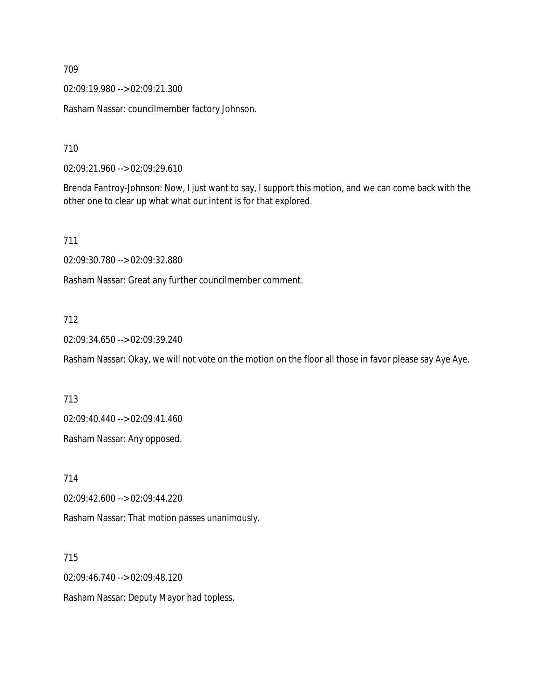02:09:19.980 --> 02:09:21.300

Rasham Nassar: councilmember factory Johnson.

710

02:09:21.960 --> 02:09:29.610

Brenda Fantroy-Johnson: Now, I just want to say, I support this motion, and we can come back with the other one to clear up what what our intent is for that explored.

711

02:09:30.780 --> 02:09:32.880

Rasham Nassar: Great any further councilmember comment.

## 712

02:09:34.650 --> 02:09:39.240

Rasham Nassar: Okay, we will not vote on the motion on the floor all those in favor please say Aye Aye.

713

02:09:40.440 --> 02:09:41.460

Rasham Nassar: Any opposed.

714

02:09:42.600 --> 02:09:44.220

Rasham Nassar: That motion passes unanimously.

715

02:09:46.740 --> 02:09:48.120

Rasham Nassar: Deputy Mayor had topless.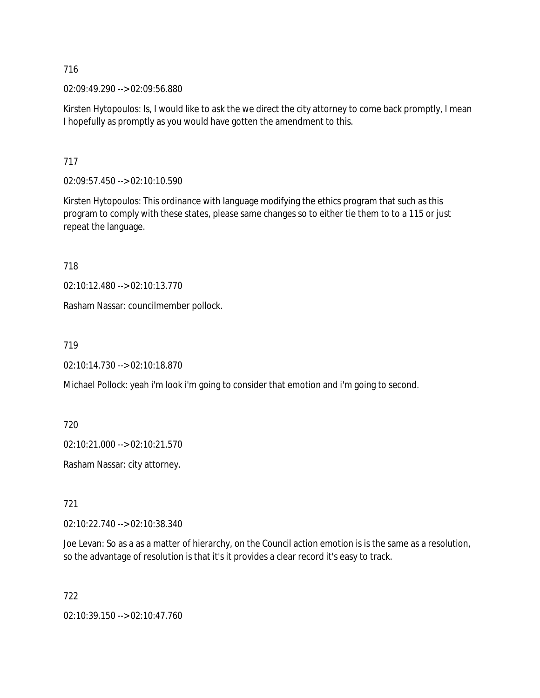02:09:49.290 --> 02:09:56.880

Kirsten Hytopoulos: Is, I would like to ask the we direct the city attorney to come back promptly, I mean I hopefully as promptly as you would have gotten the amendment to this.

717

02:09:57.450 --> 02:10:10.590

Kirsten Hytopoulos: This ordinance with language modifying the ethics program that such as this program to comply with these states, please same changes so to either tie them to to a 115 or just repeat the language.

718

02:10:12.480 --> 02:10:13.770

Rasham Nassar: councilmember pollock.

719

02:10:14.730 --> 02:10:18.870

Michael Pollock: yeah i'm look i'm going to consider that emotion and i'm going to second.

720

02:10:21.000 --> 02:10:21.570

Rasham Nassar: city attorney.

721

02:10:22.740 --> 02:10:38.340

Joe Levan: So as a as a matter of hierarchy, on the Council action emotion is is the same as a resolution, so the advantage of resolution is that it's it provides a clear record it's easy to track.

722

02:10:39.150 --> 02:10:47.760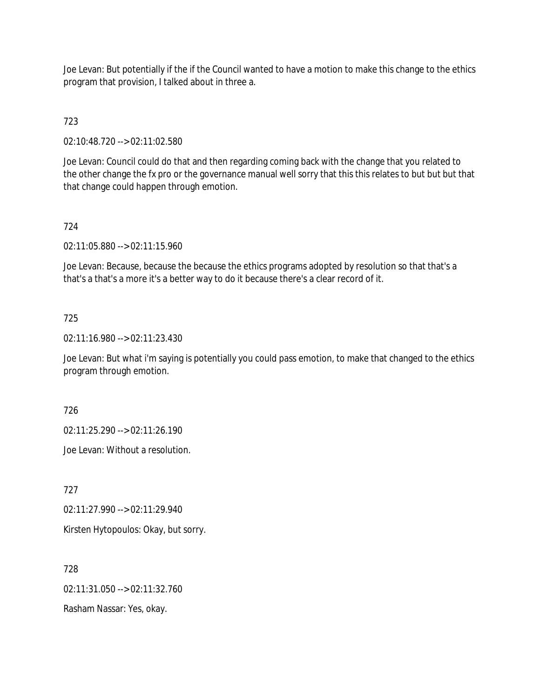Joe Levan: But potentially if the if the Council wanted to have a motion to make this change to the ethics program that provision, I talked about in three a.

# 723

02:10:48.720 --> 02:11:02.580

Joe Levan: Council could do that and then regarding coming back with the change that you related to the other change the fx pro or the governance manual well sorry that this this relates to but but but that that change could happen through emotion.

# 724

02:11:05.880 --> 02:11:15.960

Joe Levan: Because, because the because the ethics programs adopted by resolution so that that's a that's a that's a more it's a better way to do it because there's a clear record of it.

# 725

02:11:16.980 --> 02:11:23.430

Joe Levan: But what i'm saying is potentially you could pass emotion, to make that changed to the ethics program through emotion.

726

02:11:25.290 --> 02:11:26.190

Joe Levan: Without a resolution.

727

02:11:27.990 --> 02:11:29.940

Kirsten Hytopoulos: Okay, but sorry.

728

02:11:31.050 --> 02:11:32.760

Rasham Nassar: Yes, okay.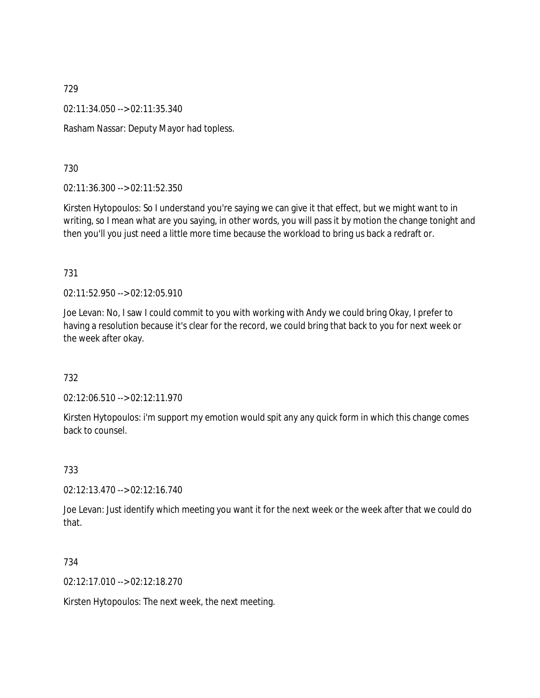02:11:34.050 --> 02:11:35.340

Rasham Nassar: Deputy Mayor had topless.

730

02:11:36.300 --> 02:11:52.350

Kirsten Hytopoulos: So I understand you're saying we can give it that effect, but we might want to in writing, so I mean what are you saying, in other words, you will pass it by motion the change tonight and then you'll you just need a little more time because the workload to bring us back a redraft or.

731

02:11:52.950 --> 02:12:05.910

Joe Levan: No, I saw I could commit to you with working with Andy we could bring Okay, I prefer to having a resolution because it's clear for the record, we could bring that back to you for next week or the week after okay.

732

02:12:06.510 --> 02:12:11.970

Kirsten Hytopoulos: i'm support my emotion would spit any any quick form in which this change comes back to counsel.

733

02:12:13.470 --> 02:12:16.740

Joe Levan: Just identify which meeting you want it for the next week or the week after that we could do that.

734

02:12:17.010 --> 02:12:18.270

Kirsten Hytopoulos: The next week, the next meeting.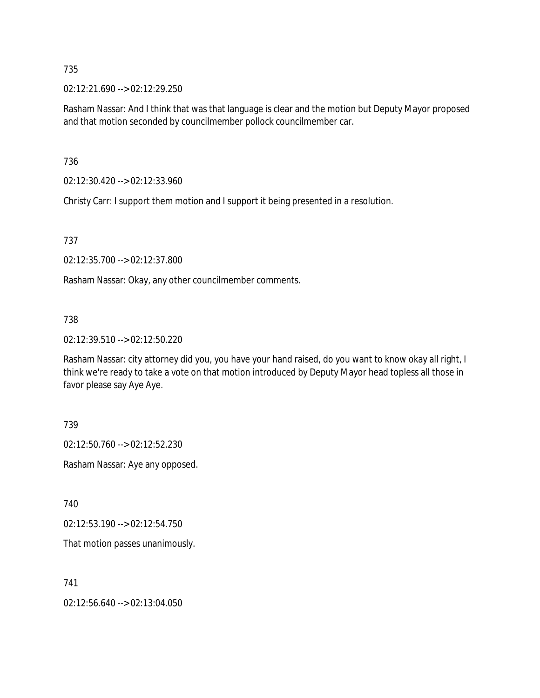02:12:21.690 --> 02:12:29.250

Rasham Nassar: And I think that was that language is clear and the motion but Deputy Mayor proposed and that motion seconded by councilmember pollock councilmember car.

736

02:12:30.420 --> 02:12:33.960

Christy Carr: I support them motion and I support it being presented in a resolution.

737

02:12:35.700 --> 02:12:37.800

Rasham Nassar: Okay, any other councilmember comments.

### 738

02:12:39.510 --> 02:12:50.220

Rasham Nassar: city attorney did you, you have your hand raised, do you want to know okay all right, I think we're ready to take a vote on that motion introduced by Deputy Mayor head topless all those in favor please say Aye Aye.

739

02:12:50.760 --> 02:12:52.230

Rasham Nassar: Aye any opposed.

740

02:12:53.190 --> 02:12:54.750

That motion passes unanimously.

741

02:12:56.640 --> 02:13:04.050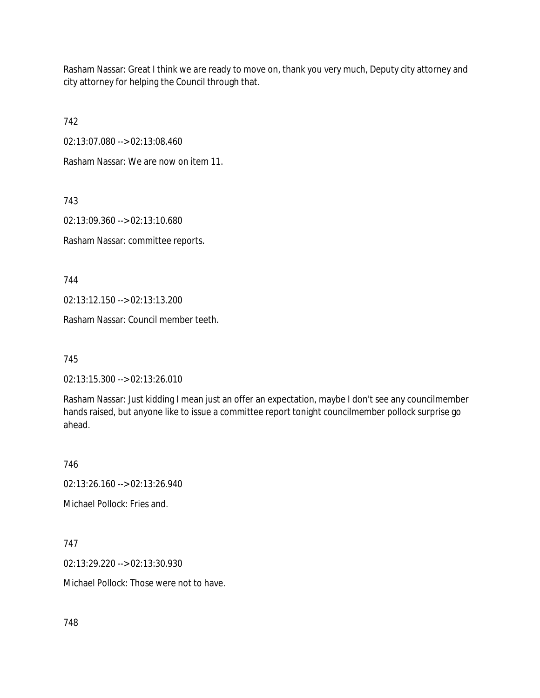Rasham Nassar: Great I think we are ready to move on, thank you very much, Deputy city attorney and city attorney for helping the Council through that.

742

02:13:07.080 --> 02:13:08.460

Rasham Nassar: We are now on item 11.

743

02:13:09.360 --> 02:13:10.680

Rasham Nassar: committee reports.

744

02:13:12.150 --> 02:13:13.200

Rasham Nassar: Council member teeth.

745

02:13:15.300 --> 02:13:26.010

Rasham Nassar: Just kidding I mean just an offer an expectation, maybe I don't see any councilmember hands raised, but anyone like to issue a committee report tonight councilmember pollock surprise go ahead.

746

02:13:26.160 --> 02:13:26.940

Michael Pollock: Fries and.

747

02:13:29.220 --> 02:13:30.930

Michael Pollock: Those were not to have.

748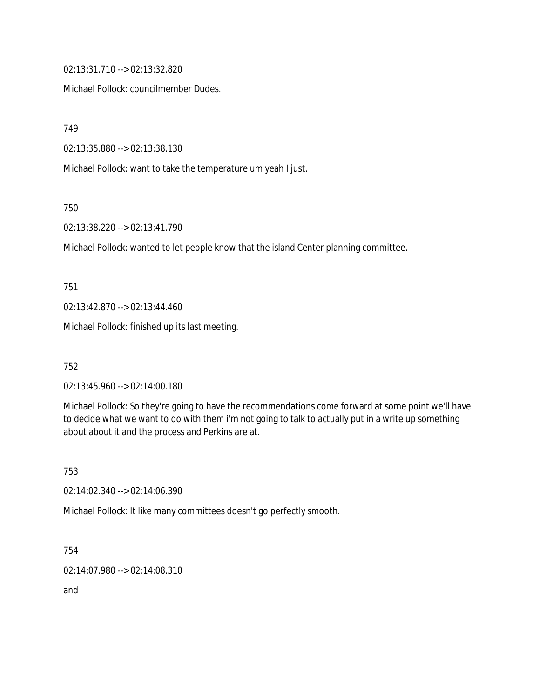02:13:31.710 --> 02:13:32.820

Michael Pollock: councilmember Dudes.

749

02:13:35.880 --> 02:13:38.130

Michael Pollock: want to take the temperature um yeah I just.

750

02:13:38.220 --> 02:13:41.790

Michael Pollock: wanted to let people know that the island Center planning committee.

751

02:13:42.870 --> 02:13:44.460

Michael Pollock: finished up its last meeting.

752

02:13:45.960 --> 02:14:00.180

Michael Pollock: So they're going to have the recommendations come forward at some point we'll have to decide what we want to do with them i'm not going to talk to actually put in a write up something about about it and the process and Perkins are at.

753

02:14:02.340 --> 02:14:06.390

Michael Pollock: It like many committees doesn't go perfectly smooth.

754

02:14:07.980 --> 02:14:08.310

and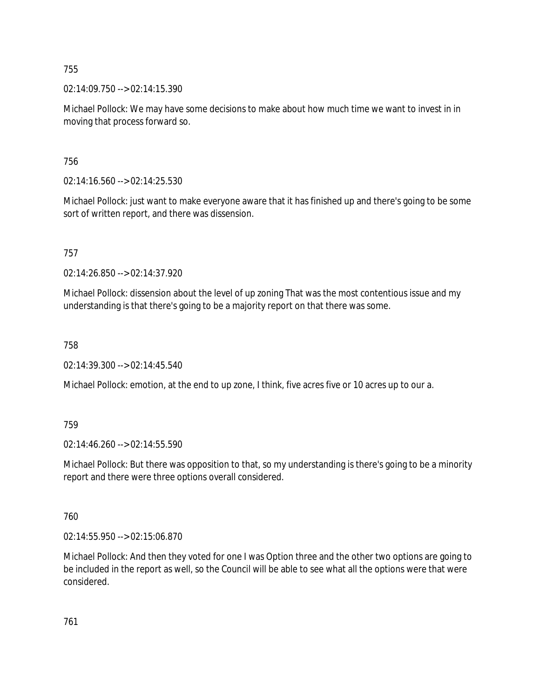02:14:09.750 --> 02:14:15.390

Michael Pollock: We may have some decisions to make about how much time we want to invest in in moving that process forward so.

756

02:14:16.560 --> 02:14:25.530

Michael Pollock: just want to make everyone aware that it has finished up and there's going to be some sort of written report, and there was dissension.

757

02:14:26.850 --> 02:14:37.920

Michael Pollock: dissension about the level of up zoning That was the most contentious issue and my understanding is that there's going to be a majority report on that there was some.

758

02:14:39.300 --> 02:14:45.540

Michael Pollock: emotion, at the end to up zone, I think, five acres five or 10 acres up to our a.

# 759

02:14:46.260 --> 02:14:55.590

Michael Pollock: But there was opposition to that, so my understanding is there's going to be a minority report and there were three options overall considered.

760

02:14:55.950 --> 02:15:06.870

Michael Pollock: And then they voted for one I was Option three and the other two options are going to be included in the report as well, so the Council will be able to see what all the options were that were considered.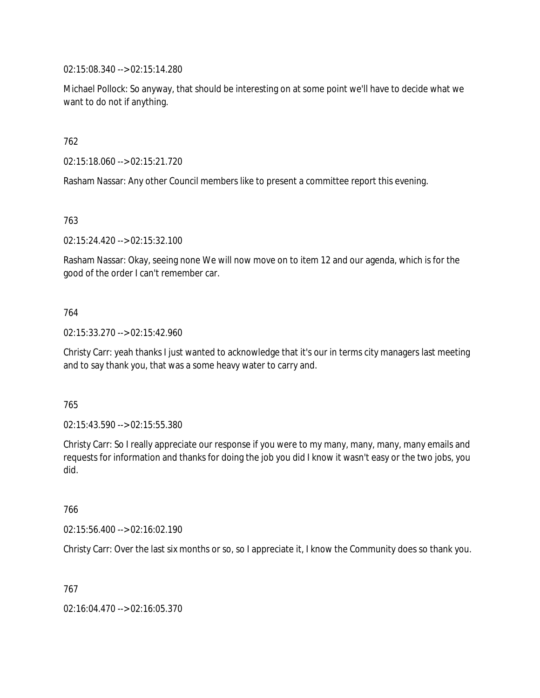02:15:08.340 --> 02:15:14.280

Michael Pollock: So anyway, that should be interesting on at some point we'll have to decide what we want to do not if anything.

762

02:15:18.060 --> 02:15:21.720

Rasham Nassar: Any other Council members like to present a committee report this evening.

763

02:15:24.420 --> 02:15:32.100

Rasham Nassar: Okay, seeing none We will now move on to item 12 and our agenda, which is for the good of the order I can't remember car.

## 764

02:15:33.270 --> 02:15:42.960

Christy Carr: yeah thanks I just wanted to acknowledge that it's our in terms city managers last meeting and to say thank you, that was a some heavy water to carry and.

765

02:15:43.590 --> 02:15:55.380

Christy Carr: So I really appreciate our response if you were to my many, many, many, many emails and requests for information and thanks for doing the job you did I know it wasn't easy or the two jobs, you did.

766

02:15:56.400 --> 02:16:02.190

Christy Carr: Over the last six months or so, so I appreciate it, I know the Community does so thank you.

767

02:16:04.470 --> 02:16:05.370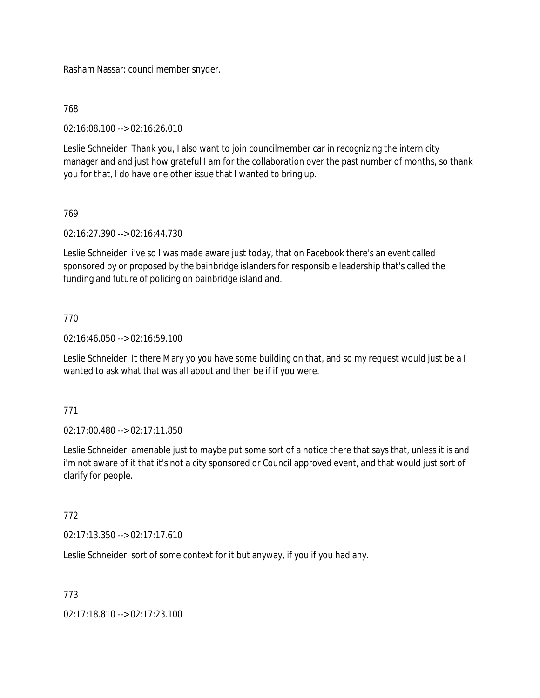Rasham Nassar: councilmember snyder.

# 768

02:16:08.100 --> 02:16:26.010

Leslie Schneider: Thank you, I also want to join councilmember car in recognizing the intern city manager and and just how grateful I am for the collaboration over the past number of months, so thank you for that, I do have one other issue that I wanted to bring up.

# 769

02:16:27.390 --> 02:16:44.730

Leslie Schneider: i've so I was made aware just today, that on Facebook there's an event called sponsored by or proposed by the bainbridge islanders for responsible leadership that's called the funding and future of policing on bainbridge island and.

# 770

02:16:46.050 --> 02:16:59.100

Leslie Schneider: It there Mary yo you have some building on that, and so my request would just be a I wanted to ask what that was all about and then be if if you were.

## 771

02:17:00.480 --> 02:17:11.850

Leslie Schneider: amenable just to maybe put some sort of a notice there that says that, unless it is and i'm not aware of it that it's not a city sponsored or Council approved event, and that would just sort of clarify for people.

# 772

 $02:17:13.350 \rightarrow 02:17:17.610$ 

Leslie Schneider: sort of some context for it but anyway, if you if you had any.

## 773

02:17:18.810 --> 02:17:23.100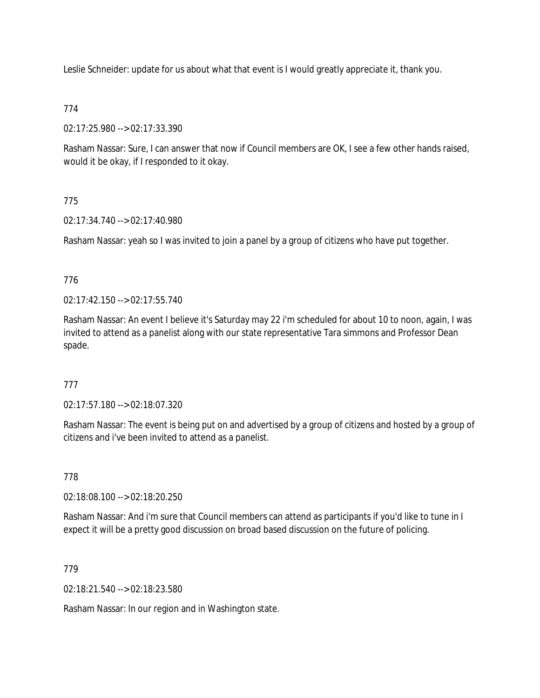Leslie Schneider: update for us about what that event is I would greatly appreciate it, thank you.

# 774

02:17:25.980 --> 02:17:33.390

Rasham Nassar: Sure, I can answer that now if Council members are OK, I see a few other hands raised, would it be okay, if I responded to it okay.

# 775

02:17:34.740 --> 02:17:40.980

Rasham Nassar: yeah so I was invited to join a panel by a group of citizens who have put together.

# 776

02:17:42.150 --> 02:17:55.740

Rasham Nassar: An event I believe it's Saturday may 22 i'm scheduled for about 10 to noon, again, I was invited to attend as a panelist along with our state representative Tara simmons and Professor Dean spade.

# 777

02:17:57.180 --> 02:18:07.320

Rasham Nassar: The event is being put on and advertised by a group of citizens and hosted by a group of citizens and i've been invited to attend as a panelist.

# 778

02:18:08.100 --> 02:18:20.250

Rasham Nassar: And i'm sure that Council members can attend as participants if you'd like to tune in I expect it will be a pretty good discussion on broad based discussion on the future of policing.

# 779

02:18:21.540 --> 02:18:23.580

Rasham Nassar: In our region and in Washington state.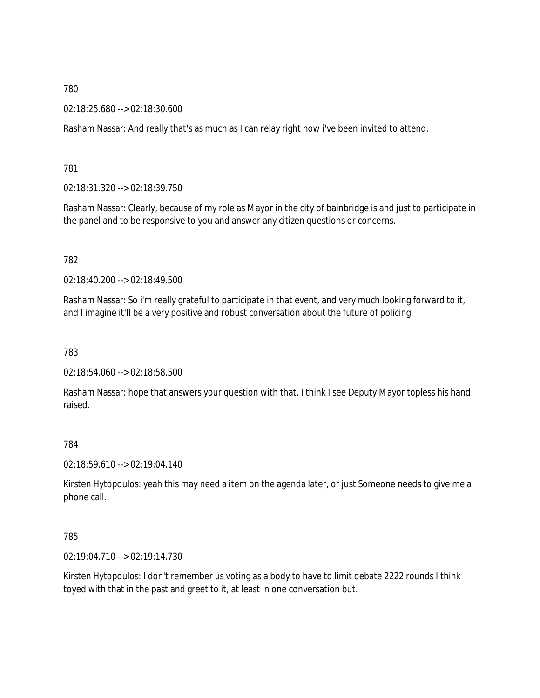02:18:25.680 --> 02:18:30.600

Rasham Nassar: And really that's as much as I can relay right now i've been invited to attend.

781

02:18:31.320 --> 02:18:39.750

Rasham Nassar: Clearly, because of my role as Mayor in the city of bainbridge island just to participate in the panel and to be responsive to you and answer any citizen questions or concerns.

782

02:18:40.200 --> 02:18:49.500

Rasham Nassar: So i'm really grateful to participate in that event, and very much looking forward to it, and I imagine it'll be a very positive and robust conversation about the future of policing.

783

02:18:54.060 --> 02:18:58.500

Rasham Nassar: hope that answers your question with that, I think I see Deputy Mayor topless his hand raised.

784

02:18:59.610 --> 02:19:04.140

Kirsten Hytopoulos: yeah this may need a item on the agenda later, or just Someone needs to give me a phone call.

785

02:19:04.710 --> 02:19:14.730

Kirsten Hytopoulos: I don't remember us voting as a body to have to limit debate 2222 rounds I think toyed with that in the past and greet to it, at least in one conversation but.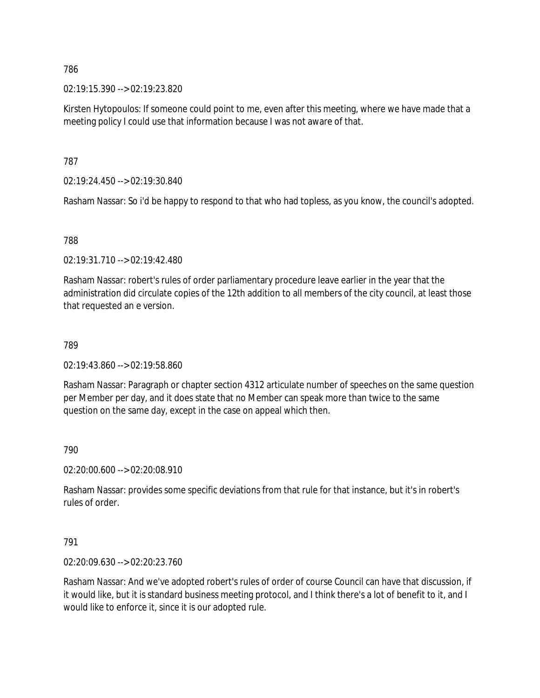02:19:15.390 --> 02:19:23.820

Kirsten Hytopoulos: If someone could point to me, even after this meeting, where we have made that a meeting policy I could use that information because I was not aware of that.

787

02:19:24.450 --> 02:19:30.840

Rasham Nassar: So i'd be happy to respond to that who had topless, as you know, the council's adopted.

## 788

02:19:31.710 --> 02:19:42.480

Rasham Nassar: robert's rules of order parliamentary procedure leave earlier in the year that the administration did circulate copies of the 12th addition to all members of the city council, at least those that requested an e version.

### 789

02:19:43.860 --> 02:19:58.860

Rasham Nassar: Paragraph or chapter section 4312 articulate number of speeches on the same question per Member per day, and it does state that no Member can speak more than twice to the same question on the same day, except in the case on appeal which then.

#### 790

02:20:00.600 --> 02:20:08.910

Rasham Nassar: provides some specific deviations from that rule for that instance, but it's in robert's rules of order.

#### 791

02:20:09.630 --> 02:20:23.760

Rasham Nassar: And we've adopted robert's rules of order of course Council can have that discussion, if it would like, but it is standard business meeting protocol, and I think there's a lot of benefit to it, and I would like to enforce it, since it is our adopted rule.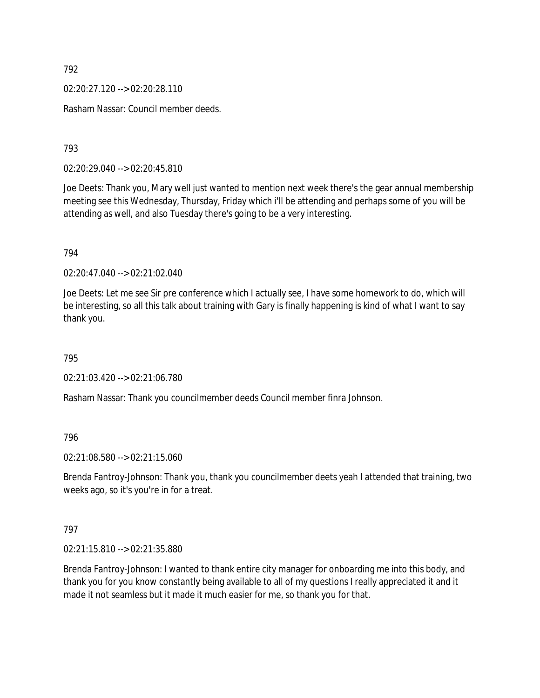02:20:27.120 --> 02:20:28.110

Rasham Nassar: Council member deeds.

793

02:20:29.040 --> 02:20:45.810

Joe Deets: Thank you, Mary well just wanted to mention next week there's the gear annual membership meeting see this Wednesday, Thursday, Friday which i'll be attending and perhaps some of you will be attending as well, and also Tuesday there's going to be a very interesting.

794

02:20:47.040 --> 02:21:02.040

Joe Deets: Let me see Sir pre conference which I actually see, I have some homework to do, which will be interesting, so all this talk about training with Gary is finally happening is kind of what I want to say thank you.

795

02:21:03.420 --> 02:21:06.780

Rasham Nassar: Thank you councilmember deeds Council member finra Johnson.

796

02:21:08.580 --> 02:21:15.060

Brenda Fantroy-Johnson: Thank you, thank you councilmember deets yeah I attended that training, two weeks ago, so it's you're in for a treat.

797

02:21:15.810 --> 02:21:35.880

Brenda Fantroy-Johnson: I wanted to thank entire city manager for onboarding me into this body, and thank you for you know constantly being available to all of my questions I really appreciated it and it made it not seamless but it made it much easier for me, so thank you for that.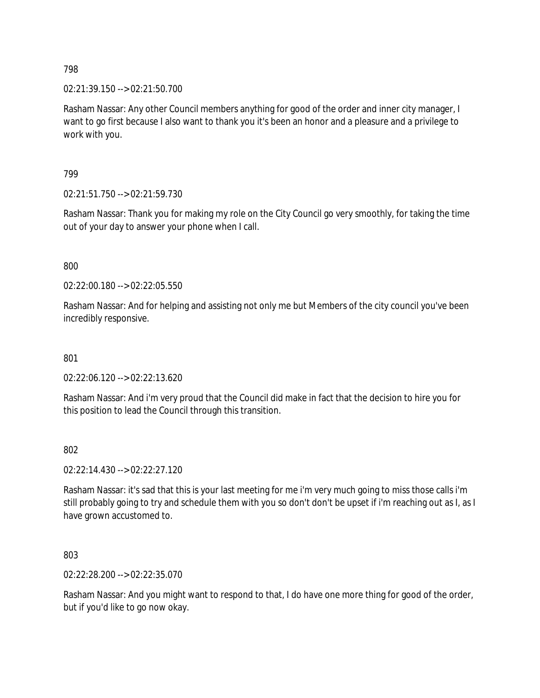02:21:39.150 --> 02:21:50.700

Rasham Nassar: Any other Council members anything for good of the order and inner city manager, I want to go first because I also want to thank you it's been an honor and a pleasure and a privilege to work with you.

799

02:21:51.750 --> 02:21:59.730

Rasham Nassar: Thank you for making my role on the City Council go very smoothly, for taking the time out of your day to answer your phone when I call.

800

02:22:00.180 --> 02:22:05.550

Rasham Nassar: And for helping and assisting not only me but Members of the city council you've been incredibly responsive.

801

02:22:06.120 --> 02:22:13.620

Rasham Nassar: And i'm very proud that the Council did make in fact that the decision to hire you for this position to lead the Council through this transition.

802

02:22:14.430 --> 02:22:27.120

Rasham Nassar: it's sad that this is your last meeting for me i'm very much going to miss those calls i'm still probably going to try and schedule them with you so don't don't be upset if i'm reaching out as I, as I have grown accustomed to.

803

02:22:28.200 --> 02:22:35.070

Rasham Nassar: And you might want to respond to that, I do have one more thing for good of the order, but if you'd like to go now okay.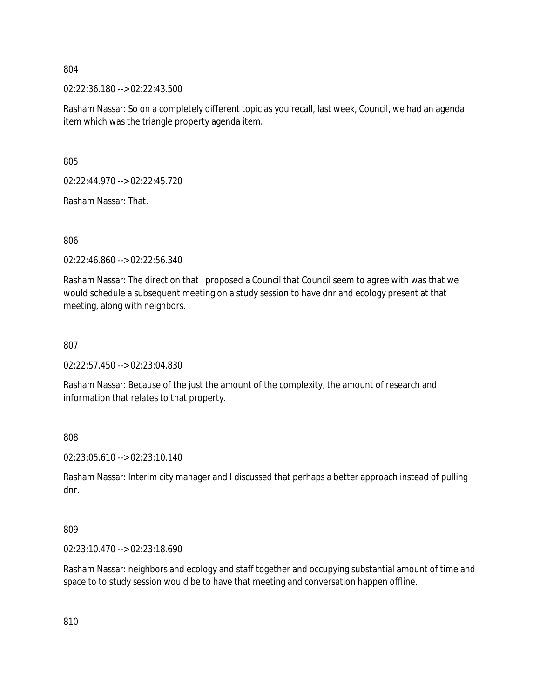02:22:36.180 --> 02:22:43.500

Rasham Nassar: So on a completely different topic as you recall, last week, Council, we had an agenda item which was the triangle property agenda item.

805

02:22:44.970 --> 02:22:45.720

Rasham Nassar: That.

806

02:22:46.860 --> 02:22:56.340

Rasham Nassar: The direction that I proposed a Council that Council seem to agree with was that we would schedule a subsequent meeting on a study session to have dnr and ecology present at that meeting, along with neighbors.

807

02:22:57.450 --> 02:23:04.830

Rasham Nassar: Because of the just the amount of the complexity, the amount of research and information that relates to that property.

808

02:23:05.610 --> 02:23:10.140

Rasham Nassar: Interim city manager and I discussed that perhaps a better approach instead of pulling dnr.

809

02:23:10.470 --> 02:23:18.690

Rasham Nassar: neighbors and ecology and staff together and occupying substantial amount of time and space to to study session would be to have that meeting and conversation happen offline.

810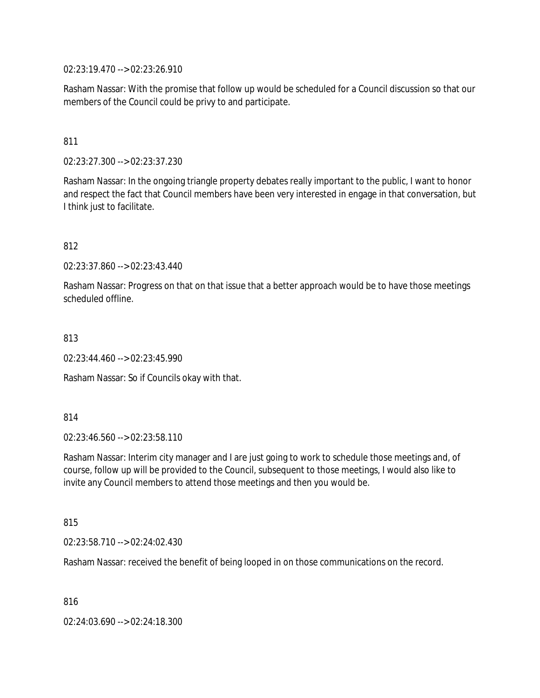02:23:19.470 --> 02:23:26.910

Rasham Nassar: With the promise that follow up would be scheduled for a Council discussion so that our members of the Council could be privy to and participate.

## 811

02:23:27.300 --> 02:23:37.230

Rasham Nassar: In the ongoing triangle property debates really important to the public, I want to honor and respect the fact that Council members have been very interested in engage in that conversation, but I think just to facilitate.

812

02:23:37.860 --> 02:23:43.440

Rasham Nassar: Progress on that on that issue that a better approach would be to have those meetings scheduled offline.

813

02:23:44.460 --> 02:23:45.990

Rasham Nassar: So if Councils okay with that.

814

02:23:46.560 --> 02:23:58.110

Rasham Nassar: Interim city manager and I are just going to work to schedule those meetings and, of course, follow up will be provided to the Council, subsequent to those meetings, I would also like to invite any Council members to attend those meetings and then you would be.

815

02:23:58.710 --> 02:24:02.430

Rasham Nassar: received the benefit of being looped in on those communications on the record.

816

02:24:03.690 --> 02:24:18.300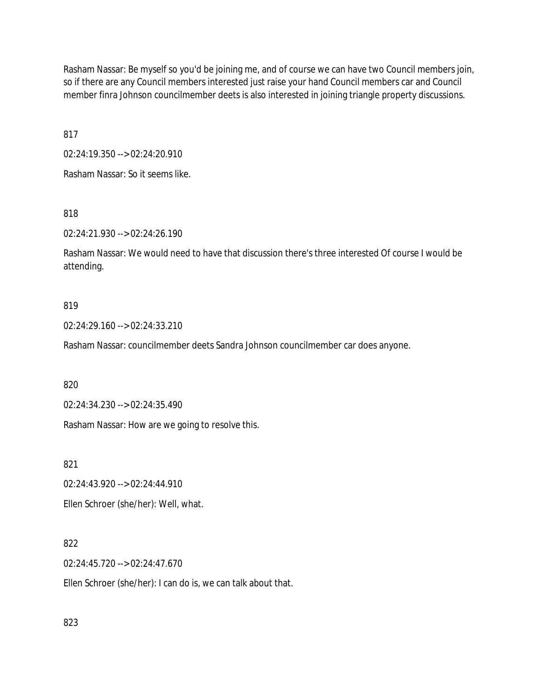Rasham Nassar: Be myself so you'd be joining me, and of course we can have two Council members join, so if there are any Council members interested just raise your hand Council members car and Council member finra Johnson councilmember deets is also interested in joining triangle property discussions.

817

02:24:19.350 --> 02:24:20.910

Rasham Nassar: So it seems like.

818

02:24:21.930 --> 02:24:26.190

Rasham Nassar: We would need to have that discussion there's three interested Of course I would be attending.

### 819

02:24:29.160 --> 02:24:33.210

Rasham Nassar: councilmember deets Sandra Johnson councilmember car does anyone.

820

02:24:34.230 --> 02:24:35.490

Rasham Nassar: How are we going to resolve this.

821

02:24:43.920 --> 02:24:44.910

Ellen Schroer (she/her): Well, what.

## 822

02:24:45.720 --> 02:24:47.670

Ellen Schroer (she/her): I can do is, we can talk about that.

823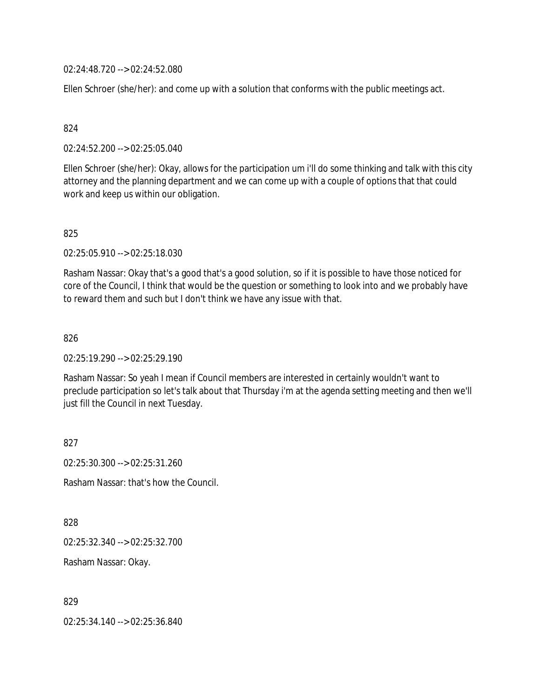02:24:48.720 --> 02:24:52.080

Ellen Schroer (she/her): and come up with a solution that conforms with the public meetings act.

### 824

02:24:52.200 --> 02:25:05.040

Ellen Schroer (she/her): Okay, allows for the participation um i'll do some thinking and talk with this city attorney and the planning department and we can come up with a couple of options that that could work and keep us within our obligation.

### 825

02:25:05.910 --> 02:25:18.030

Rasham Nassar: Okay that's a good that's a good solution, so if it is possible to have those noticed for core of the Council, I think that would be the question or something to look into and we probably have to reward them and such but I don't think we have any issue with that.

### 826

02:25:19.290 --> 02:25:29.190

Rasham Nassar: So yeah I mean if Council members are interested in certainly wouldn't want to preclude participation so let's talk about that Thursday i'm at the agenda setting meeting and then we'll just fill the Council in next Tuesday.

827

02:25:30.300 --> 02:25:31.260

Rasham Nassar: that's how the Council.

828

02:25:32.340 --> 02:25:32.700

Rasham Nassar: Okay.

829

02:25:34.140 --> 02:25:36.840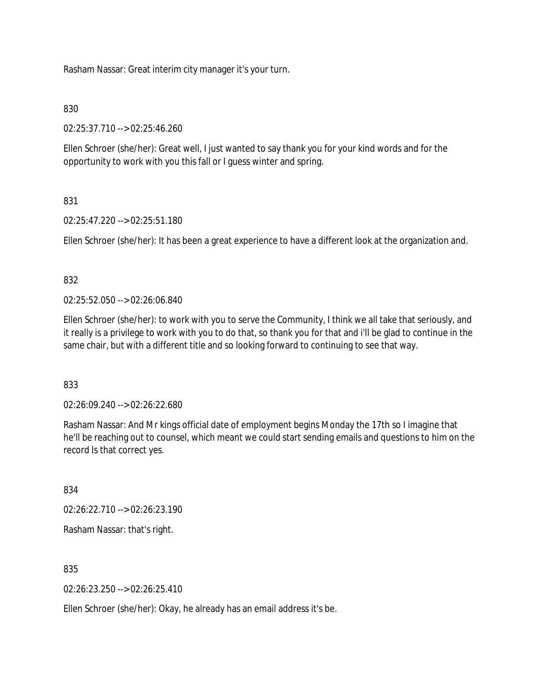Rasham Nassar: Great interim city manager it's your turn.

## 830

02:25:37.710 --> 02:25:46.260

Ellen Schroer (she/her): Great well, I just wanted to say thank you for your kind words and for the opportunity to work with you this fall or I guess winter and spring.

# 831

02:25:47.220 --> 02:25:51.180

Ellen Schroer (she/her): It has been a great experience to have a different look at the organization and.

## 832

02:25:52.050 --> 02:26:06.840

Ellen Schroer (she/her): to work with you to serve the Community, I think we all take that seriously, and it really is a privilege to work with you to do that, so thank you for that and i'll be glad to continue in the same chair, but with a different title and so looking forward to continuing to see that way.

## 833

02:26:09.240 --> 02:26:22.680

Rasham Nassar: And Mr kings official date of employment begins Monday the 17th so I imagine that he'll be reaching out to counsel, which meant we could start sending emails and questions to him on the record Is that correct yes.

834

02:26:22.710 --> 02:26:23.190

Rasham Nassar: that's right.

835

02:26:23.250 --> 02:26:25.410

Ellen Schroer (she/her): Okay, he already has an email address it's be.